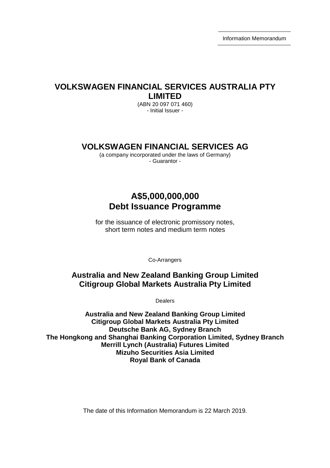Information Memorandum

# **VOLKSWAGEN FINANCIAL SERVICES AUSTRALIA PTY LIMITED**

(ABN 20 097 071 460) - Initial Issuer -

# **VOLKSWAGEN FINANCIAL SERVICES AG**

(a company incorporated under the laws of Germany) - Guarantor -

# **A\$5,000,000,000 Debt Issuance Programme**

for the issuance of electronic promissory notes, short term notes and medium term notes

Co-Arrangers

# **Australia and New Zealand Banking Group Limited Citigroup Global Markets Australia Pty Limited**

Dealers

**Australia and New Zealand Banking Group Limited Citigroup Global Markets Australia Pty Limited Deutsche Bank AG, Sydney Branch The Hongkong and Shanghai Banking Corporation Limited, Sydney Branch Merrill Lynch (Australia) Futures Limited Mizuho Securities Asia Limited Royal Bank of Canada** 

The date of this Information Memorandum is 22 March 2019.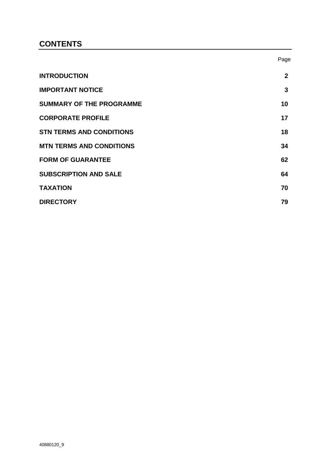# **CONTENTS**

|                                 | Page         |
|---------------------------------|--------------|
| <b>INTRODUCTION</b>             | $\mathbf{2}$ |
| <b>IMPORTANT NOTICE</b>         | 3            |
| <b>SUMMARY OF THE PROGRAMME</b> | 10           |
| <b>CORPORATE PROFILE</b>        | 17           |
| <b>STN TERMS AND CONDITIONS</b> | 18           |
| <b>MTN TERMS AND CONDITIONS</b> | 34           |
| <b>FORM OF GUARANTEE</b>        | 62           |
| <b>SUBSCRIPTION AND SALE</b>    | 64           |
| <b>TAXATION</b>                 | 70           |
| <b>DIRECTORY</b>                | 79           |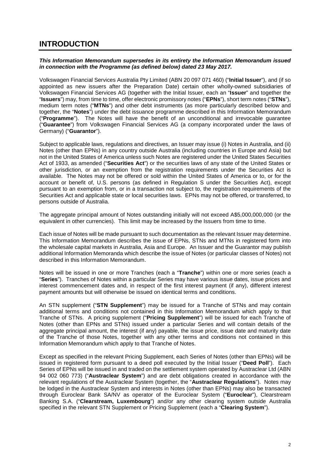# **INTRODUCTION**

# *This Information Memorandum supersedes in its entirety the Information Memorandum issued in connection with the Programme (as defined below) dated 23 May 2017.*

Volkswagen Financial Services Australia Pty Limited (ABN 20 097 071 460) ("**Initial Issuer**"), and (if so appointed as new issuers after the Preparation Date) certain other wholly-owned subsidiaries of Volkswagen Financial Services AG (together with the Initial Issuer, each an "**Issuer**" and together the "**Issuers**") may, from time to time, offer electronic promissory notes ("**EPNs**"), short term notes ("**STNs**"), medium term notes ("**MTNs**") and other debt instruments (as more particularly described below and together, the "**Notes**") under the debt issuance programme described in this Information Memorandum ("**Programme**"). The Notes will have the benefit of an unconditional and irrevocable guarantee ("**Guarantee**") from Volkswagen Financial Services AG (a company incorporated under the laws of Germany) ("**Guarantor**").

Subject to applicable laws, regulations and directives, an Issuer may issue (i) Notes in Australia, and (ii) Notes (other than EPNs) in any country outside Australia (including countries in Europe and Asia) but not in the United States of America unless such Notes are registered under the United States Securities Act of 1933, as amended ("**Securities Act**") or the securities laws of any state of the United States or other jurisdiction, or an exemption from the registration requirements under the Securities Act is available. The Notes may not be offered or sold within the United States of America or to, or for the account or benefit of, U.S. persons (as defined in Regulation S under the Securities Act), except pursuant to an exemption from, or in a transaction not subject to, the registration requirements of the Securities Act and applicable state or local securities laws. EPNs may not be offered, or transferred, to persons outside of Australia.

The aggregate principal amount of Notes outstanding initially will not exceed A\$5,000,000,000 (or the equivalent in other currencies). This limit may be increased by the Issuers from time to time.

Each issue of Notes will be made pursuant to such documentation as the relevant Issuer may determine. This Information Memorandum describes the issue of EPNs, STNs and MTNs in registered form into the wholesale capital markets in Australia, Asia and Europe. An Issuer and the Guarantor may publish additional Information Memoranda which describe the issue of Notes (or particular classes of Notes) not described in this Information Memorandum.

Notes will be issued in one or more Tranches (each a "**Tranche**") within one or more series (each a "**Series**"). Tranches of Notes within a particular Series may have various issue dates, issue prices and interest commencement dates and, in respect of the first interest payment (if any), different interest payment amounts but will otherwise be issued on identical terms and conditions.

An STN supplement ("**STN Supplement**") may be issued for a Tranche of STNs and may contain additional terms and conditions not contained in this Information Memorandum which apply to that Tranche of STNs. A pricing supplement ("**Pricing Supplement**") will be issued for each Tranche of Notes (other than EPNs and STNs) issued under a particular Series and will contain details of the aggregate principal amount, the interest (if any) payable, the issue price, issue date and maturity date of the Tranche of those Notes, together with any other terms and conditions not contained in this Information Memorandum which apply to that Tranche of Notes.

Except as specified in the relevant Pricing Supplement, each Series of Notes (other than EPNs) will be issued in registered form pursuant to a deed poll executed by the Initial Issuer ("**Deed Poll**"). Each Series of EPNs will be issued in and traded on the settlement system operated by Austraclear Ltd (ABN 94 002 060 773) ("**Austraclear System**") and are debt obligations created in accordance with the relevant regulations of the Austraclear System (together, the "**Austraclear Regulations**"). Notes may be lodged in the Austraclear System and interests in Notes (other than EPNs) may also be transacted through Euroclear Bank SA/NV as operator of the Euroclear System ("**Euroclear**"), Clearstream Banking S.A. ("**Clearstream, Luxembourg**") and/or any other clearing system outside Australia specified in the relevant STN Supplement or Pricing Supplement (each a "**Clearing System**").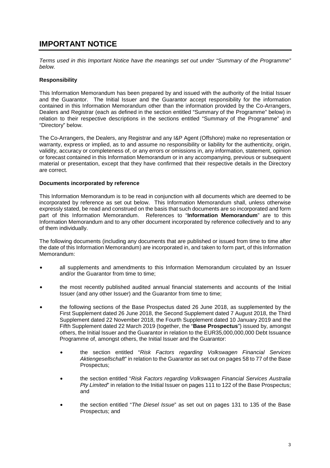# **IMPORTANT NOTICE**

*Terms used in this Important Notice have the meanings set out under "Summary of the Programme" below.* 

# **Responsibility**

This Information Memorandum has been prepared by and issued with the authority of the Initial Issuer and the Guarantor. The Initial Issuer and the Guarantor accept responsibility for the information contained in this Information Memorandum other than the information provided by the Co-Arrangers, Dealers and Registrar (each as defined in the section entitled "Summary of the Programme" below) in relation to their respective descriptions in the sections entitled "Summary of the Programme" and "Directory" below.

The Co-Arrangers, the Dealers, any Registrar and any I&P Agent (Offshore) make no representation or warranty, express or implied, as to and assume no responsibility or liability for the authenticity, origin, validity, accuracy or completeness of, or any errors or omissions in, any information, statement, opinion or forecast contained in this Information Memorandum or in any accompanying, previous or subsequent material or presentation, except that they have confirmed that their respective details in the Directory are correct.

## **Documents incorporated by reference**

This Information Memorandum is to be read in conjunction with all documents which are deemed to be incorporated by reference as set out below. This Information Memorandum shall, unless otherwise expressly stated, be read and construed on the basis that such documents are so incorporated and form part of this Information Memorandum. References to "**Information Memorandum**" are to this Information Memorandum and to any other document incorporated by reference collectively and to any of them individually.

The following documents (including any documents that are published or issued from time to time after the date of this Information Memorandum) are incorporated in, and taken to form part, of this Information Memorandum:

- all supplements and amendments to this Information Memorandum circulated by an Issuer and/or the Guarantor from time to time;
- the most recently published audited annual financial statements and accounts of the Initial Issuer (and any other Issuer) and the Guarantor from time to time;
- the following sections of the Base Prospectus dated 26 June 2018, as supplemented by the First Supplement dated 26 June 2018, the Second Supplement dated 7 August 2018, the Third Supplement dated 22 November 2018, the Fourth Supplement dated 10 January 2019 and the Fifth Supplement dated 22 March 2019 (together, the "**Base Prospectus**") issued by, amongst others, the Initial Issuer and the Guarantor in relation to the EUR35,000,000,000 Debt Issuance Programme of, amongst others, the Initial Issuer and the Guarantor:
	- the section entitled "*Risk Factors regarding Volkswagen Financial Services Aktiengesellschaft*" in relation to the Guarantor as set out on pages 58 to 77 of the Base Prospectus;
	- the section entitled "*Risk Factors regarding Volkswagen Financial Services Australia Pty Limited*" in relation to the Initial Issuer on pages 111 to 122 of the Base Prospectus; and
	- the section entitled "*The Diesel Issue*" as set out on pages 131 to 135 of the Base Prospectus; and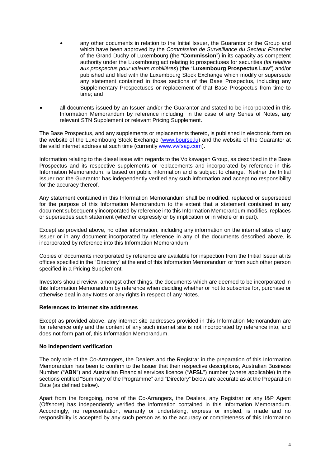- any other documents in relation to the Initial Issuer, the Guarantor or the Group and which have been approved by the *Commission de Surveillance du Secteur Financier*  of the Grand Duchy of Luxembourg (the "**Commission**") in its capacity as competent authority under the Luxembourg act relating to prospectuses for securities (*loi relative aux prospectus pour valeurs mobilières*) (the "**Luxembourg Prospectus Law**") and/or published and filed with the Luxembourg Stock Exchange which modify or supersede any statement contained in those sections of the Base Prospectus, including any Supplementary Prospectuses or replacement of that Base Prospectus from time to time; and
- all documents issued by an Issuer and/or the Guarantor and stated to be incorporated in this Information Memorandum by reference including, in the case of any Series of Notes, any relevant STN Supplement or relevant Pricing Supplement.

The Base Prospectus, and any supplements or replacements thereto, is published in electronic form on the website of the Luxembourg Stock Exchange (www.bourse.lu) and the website of the Guarantor at the valid internet address at such time (currently www.vwfsag.com).

Information relating to the diesel issue with regards to the Volkswagen Group, as described in the Base Prospectus and its respective supplements or replacements and incorporated by reference in this Information Memorandum, is based on public information and is subject to change. Neither the Initial Issuer nor the Guarantor has independently verified any such information and accept no responsibility for the accuracy thereof.

Any statement contained in this Information Memorandum shall be modified, replaced or superseded for the purpose of this Information Memorandum to the extent that a statement contained in any document subsequently incorporated by reference into this Information Memorandum modifies, replaces or supersedes such statement (whether expressly or by implication or in whole or in part).

Except as provided above, no other information, including any information on the internet sites of any Issuer or in any document incorporated by reference in any of the documents described above, is incorporated by reference into this Information Memorandum.

Copies of documents incorporated by reference are available for inspection from the Initial Issuer at its offices specified in the "Directory" at the end of this Information Memorandum or from such other person specified in a Pricing Supplement.

Investors should review, amongst other things, the documents which are deemed to be incorporated in this Information Memorandum by reference when deciding whether or not to subscribe for, purchase or otherwise deal in any Notes or any rights in respect of any Notes.

#### **References to internet site addresses**

Except as provided above, any internet site addresses provided in this Information Memorandum are for reference only and the content of any such internet site is not incorporated by reference into, and does not form part of, this Information Memorandum.

#### **No independent verification**

The only role of the Co-Arrangers, the Dealers and the Registrar in the preparation of this Information Memorandum has been to confirm to the Issuer that their respective descriptions, Australian Business Number ("**ABN**") and Australian Financial services licence ("**AFSL**") number (where applicable) in the sections entitled "Summary of the Programme" and "Directory" below are accurate as at the Preparation Date (as defined below).

Apart from the foregoing, none of the Co-Arrangers, the Dealers, any Registrar or any I&P Agent (Offshore) has independently verified the information contained in this Information Memorandum. Accordingly, no representation, warranty or undertaking, express or implied, is made and no responsibility is accepted by any such person as to the accuracy or completeness of this Information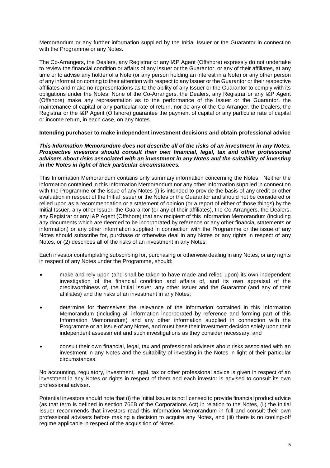Memorandum or any further information supplied by the Initial Issuer or the Guarantor in connection with the Programme or any Notes.

The Co-Arrangers, the Dealers, any Registrar or any I&P Agent (Offshore) expressly do not undertake to review the financial condition or affairs of any Issuer or the Guarantor, or any of their affiliates, at any time or to advise any holder of a Note (or any person holding an interest in a Note) or any other person of any information coming to their attention with respect to any Issuer or the Guarantor or their respective affiliates and make no representations as to the ability of any Issuer or the Guarantor to comply with its obligations under the Notes. None of the Co-Arrangers, the Dealers, any Registrar or any I&P Agent (Offshore) make any representation as to the performance of the Issuer or the Guarantor, the maintenance of capital or any particular rate of return, nor do any of the Co-Arranger, the Dealers, the Registrar or the I&P Agent (Offshore) guarantee the payment of capital or any particular rate of capital or income return, in each case, on any Notes.

#### **Intending purchaser to make independent investment decisions and obtain professional advice**

#### *This Information Memorandum does not describe all of the risks of an investment in any Notes. Prospective investors should consult their own financial, legal, tax and other professional advisers about risks associated with an investment in any Notes and the suitability of investing in the Notes in light of their particular circumstances.*

This Information Memorandum contains only summary information concerning the Notes. Neither the information contained in this Information Memorandum nor any other information supplied in connection with the Programme or the issue of any Notes (i) is intended to provide the basis of any credit or other evaluation in respect of the Initial Issuer or the Notes or the Guarantor and should not be considered or relied upon as a recommendation or a statement of opinion (or a report of either of those things) by the Initial Issuer, any other Issuer, the Guarantor (or any of their affiliates), the Co-Arrangers, the Dealers, any Registrar or any I&P Agent (Offshore) that any recipient of this Information Memorandum (including any documents which are deemed to be incorporated by reference or any other financial statements or information) or any other information supplied in connection with the Programme or the issue of any Notes should subscribe for, purchase or otherwise deal in any Notes or any rights in respect of any Notes, or (2) describes all of the risks of an investment in any Notes.

Each investor contemplating subscribing for, purchasing or otherwise dealing in any Notes, or any rights in respect of any Notes under the Programme, should:

- make and rely upon (and shall be taken to have made and relied upon) its own independent investigation of the financial condition and affairs of, and its own appraisal of the creditworthiness of, the Initial Issuer, any other Issuer and the Guarantor (and any of their affiliates) and the risks of an investment in any Notes;
- determine for themselves the relevance of the information contained in this Information Memorandum (including all information incorporated by reference and forming part of this Information Memorandum) and any other information supplied in connection with the Programme or an issue of any Notes, and must base their investment decision solely upon their independent assessment and such investigations as they consider necessary; and
- consult their own financial, legal, tax and professional advisers about risks associated with an investment in any Notes and the suitability of investing in the Notes in light of their particular circumstances.

No accounting, regulatory, investment, legal, tax or other professional advice is given in respect of an investment in any Notes or rights in respect of them and each investor is advised to consult its own professional adviser.

Potential investors should note that (i) the Initial Issuer is not licensed to provide financial product advice (as that term is defined in section 766B of the Corporations Act) in relation to the Notes, (ii) the Initial Issuer recommends that investors read this Information Memorandum in full and consult their own professional advisers before making a decision to acquire any Notes, and (iii) there is no cooling-off regime applicable in respect of the acquisition of Notes.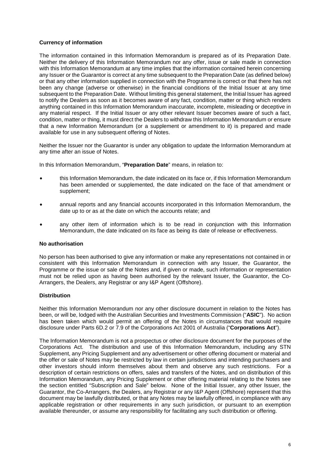# **Currency of information**

The information contained in this Information Memorandum is prepared as of its Preparation Date. Neither the delivery of this Information Memorandum nor any offer, issue or sale made in connection with this Information Memorandum at any time implies that the information contained herein concerning any Issuer or the Guarantor is correct at any time subsequent to the Preparation Date (as defined below) or that any other information supplied in connection with the Programme is correct or that there has not been any change (adverse or otherwise) in the financial conditions of the Initial Issuer at any time subsequent to the Preparation Date. Without limiting this general statement, the Initial Issuer has agreed to notify the Dealers as soon as it becomes aware of any fact, condition, matter or thing which renders anything contained in this Information Memorandum inaccurate, incomplete, misleading or deceptive in any material respect. If the Initial Issuer or any other relevant Issuer becomes aware of such a fact, condition, matter or thing, it must direct the Dealers to withdraw this Information Memorandum or ensure that a new Information Memorandum (or a supplement or amendment to it) is prepared and made available for use in any subsequent offering of Notes.

Neither the Issuer nor the Guarantor is under any obligation to update the Information Memorandum at any time after an issue of Notes.

In this Information Memorandum, "**Preparation Date**" means, in relation to:

- this Information Memorandum, the date indicated on its face or, if this Information Memorandum has been amended or supplemented, the date indicated on the face of that amendment or supplement;
- annual reports and any financial accounts incorporated in this Information Memorandum, the date up to or as at the date on which the accounts relate; and
- any other item of information which is to be read in conjunction with this Information Memorandum, the date indicated on its face as being its date of release or effectiveness.

#### **No authorisation**

No person has been authorised to give any information or make any representations not contained in or consistent with this Information Memorandum in connection with any Issuer, the Guarantor, the Programme or the issue or sale of the Notes and, if given or made, such information or representation must not be relied upon as having been authorised by the relevant Issuer, the Guarantor, the Co-Arrangers, the Dealers, any Registrar or any I&P Agent (Offshore).

### **Distribution**

Neither this Information Memorandum nor any other disclosure document in relation to the Notes has been, or will be, lodged with the Australian Securities and Investments Commission ("**ASIC**"). No action has been taken which would permit an offering of the Notes in circumstances that would require disclosure under Parts 6D.2 or 7.9 of the Corporations Act 2001 of Australia ("**Corporations Act**").

The Information Memorandum is not a prospectus or other disclosure document for the purposes of the Corporations Act. The distribution and use of this Information Memorandum, including any STN Supplement, any Pricing Supplement and any advertisement or other offering document or material and the offer or sale of Notes may be restricted by law in certain jurisdictions and intending purchasers and other investors should inform themselves about them and observe any such restrictions. For a description of certain restrictions on offers, sales and transfers of the Notes, and on distribution of this Information Memorandum, any Pricing Supplement or other offering material relating to the Notes see the section entitled "Subscription and Sale" below. None of the Initial Issuer, any other Issuer, the Guarantor, the Co-Arrangers, the Dealers, any Registrar or any I&P Agent (Offshore) represent that this document may be lawfully distributed, or that any Notes may be lawfully offered, in compliance with any applicable registration or other requirements in any such jurisdiction, or pursuant to an exemption available thereunder, or assume any responsibility for facilitating any such distribution or offering.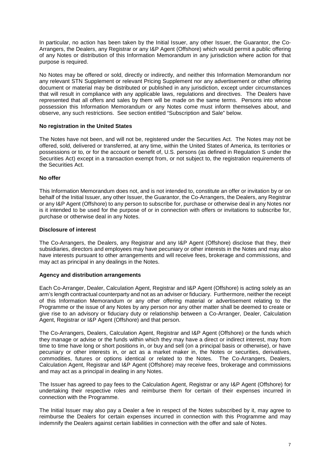In particular, no action has been taken by the Initial Issuer, any other Issuer, the Guarantor, the Co-Arrangers, the Dealers, any Registrar or any I&P Agent (Offshore) which would permit a public offering of any Notes or distribution of this Information Memorandum in any jurisdiction where action for that purpose is required.

No Notes may be offered or sold, directly or indirectly, and neither this Information Memorandum nor any relevant STN Supplement or relevant Pricing Supplement nor any advertisement or other offering document or material may be distributed or published in any jurisdiction, except under circumstances that will result in compliance with any applicable laws, regulations and directives. The Dealers have represented that all offers and sales by them will be made on the same terms. Persons into whose possession this Information Memorandum or any Notes come must inform themselves about, and observe, any such restrictions. See section entitled "Subscription and Sale" below.

## **No registration in the United States**

The Notes have not been, and will not be, registered under the Securities Act. The Notes may not be offered, sold, delivered or transferred, at any time, within the United States of America, its territories or possessions or to, or for the account or benefit of, U.S. persons (as defined in Regulation S under the Securities Act) except in a transaction exempt from, or not subject to, the registration requirements of the Securities Act.

## **No offer**

This Information Memorandum does not, and is not intended to, constitute an offer or invitation by or on behalf of the Initial Issuer, any other Issuer, the Guarantor, the Co-Arrangers, the Dealers, any Registrar or any I&P Agent (Offshore) to any person to subscribe for, purchase or otherwise deal in any Notes nor is it intended to be used for the purpose of or in connection with offers or invitations to subscribe for, purchase or otherwise deal in any Notes.

#### **Disclosure of interest**

The Co-Arrangers, the Dealers, any Registrar and any I&P Agent (Offshore) disclose that they, their subsidiaries, directors and employees may have pecuniary or other interests in the Notes and may also have interests pursuant to other arrangements and will receive fees, brokerage and commissions, and may act as principal in any dealings in the Notes.

#### **Agency and distribution arrangements**

Each Co-Arranger, Dealer, Calculation Agent, Registrar and I&P Agent (Offshore) is acting solely as an arm's length contractual counterparty and not as an adviser or fiduciary. Furthermore, neither the receipt of this Information Memorandum or any other offering material or advertisement relating to the Programme or the issue of any Notes by any person nor any other matter shall be deemed to create or give rise to an advisory or fiduciary duty or relationship between a Co-Arranger, Dealer, Calculation Agent, Registrar or I&P Agent (Offshore) and that person.

The Co-Arrangers, Dealers, Calculation Agent, Registrar and I&P Agent (Offshore) or the funds which they manage or advise or the funds within which they may have a direct or indirect interest, may from time to time have long or short positions in, or buy and sell (on a principal basis or otherwise), or have pecuniary or other interests in, or act as a market maker in, the Notes or securities, derivatives, commodities, futures or options identical or related to the Notes. The Co-Arrangers, Dealers, Calculation Agent, Registrar and I&P Agent (Offshore) may receive fees, brokerage and commissions and may act as a principal in dealing in any Notes.

The Issuer has agreed to pay fees to the Calculation Agent, Registrar or any I&P Agent (Offshore) for undertaking their respective roles and reimburse them for certain of their expenses incurred in connection with the Programme.

The Initial Issuer may also pay a Dealer a fee in respect of the Notes subscribed by it, may agree to reimburse the Dealers for certain expenses incurred in connection with this Programme and may indemnify the Dealers against certain liabilities in connection with the offer and sale of Notes.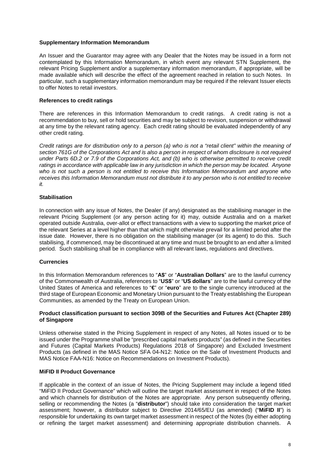## **Supplementary Information Memorandum**

An Issuer and the Guarantor may agree with any Dealer that the Notes may be issued in a form not contemplated by this Information Memorandum, in which event any relevant STN Supplement, the relevant Pricing Supplement and/or a supplementary information memorandum, if appropriate, will be made available which will describe the effect of the agreement reached in relation to such Notes. In particular, such a supplementary information memorandum may be required if the relevant Issuer elects to offer Notes to retail investors.

## **References to credit ratings**

There are references in this Information Memorandum to credit ratings. A credit rating is not a recommendation to buy, sell or hold securities and may be subject to revision, suspension or withdrawal at any time by the relevant rating agency. Each credit rating should be evaluated independently of any other credit rating.

*Credit ratings are for distribution only to a person (a) who is not a "retail client" within the meaning of section 761G of the Corporations Act and is also a person in respect of whom disclosure is not required under Parts 6D.2 or 7.9 of the Corporations Act, and (b) who is otherwise permitted to receive credit ratings in accordance with applicable law in any jurisdiction in which the person may be located. Anyone who is not such a person is not entitled to receive this Information Memorandum and anyone who receives this Information Memorandum must not distribute it to any person who is not entitled to receive it.* 

# **Stabilisation**

In connection with any issue of Notes, the Dealer (if any) designated as the stabilising manager in the relevant Pricing Supplement (or any person acting for it) may, outside Australia and on a market operated outside Australia, over-allot or effect transactions with a view to supporting the market price of the relevant Series at a level higher than that which might otherwise prevail for a limited period after the issue date. However, there is no obligation on the stabilising manager (or its agent) to do this. Such stabilising, if commenced, may be discontinued at any time and must be brought to an end after a limited period. Such stabilising shall be in compliance with all relevant laws, regulations and directives.

# **Currencies**

In this Information Memorandum references to "**A\$**" or "**Australian Dollars**" are to the lawful currency of the Commonwealth of Australia, references to "**US\$**" or "**US dollars**" are to the lawful currency of the United States of America and references to "**€**" or "**euro**" are to the single currency introduced at the third stage of European Economic and Monetary Union pursuant to the Treaty establishing the European Communities, as amended by the Treaty on European Union.

#### **Product classification pursuant to section 309B of the Securities and Futures Act (Chapter 289) of Singapore**

Unless otherwise stated in the Pricing Supplement in respect of any Notes, all Notes issued or to be issued under the Programme shall be "prescribed capital markets products" (as defined in the Securities and Futures (Capital Markets Products) Regulations 2018 of Singapore) and Excluded Investment Products (as defined in the MAS Notice SFA 04-N12: Notice on the Sale of Investment Products and MAS Notice FAA-N16: Notice on Recommendations on Investment Products).

## **MiFID II Product Governance**

If applicable in the context of an issue of Notes, the Pricing Supplement may include a legend titled "MiFID II Product Governance" which will outline the target market assessment in respect of the Notes and which channels for distribution of the Notes are appropriate. Any person subsequently offering, selling or recommending the Notes (a "**distributor**") should take into consideration the target market assessment; however, a distributor subject to Directive 2014/65/EU (as amended) ("**MiFID II**") is responsible for undertaking its own target market assessment in respect of the Notes (by either adopting or refining the target market assessment) and determining appropriate distribution channels. A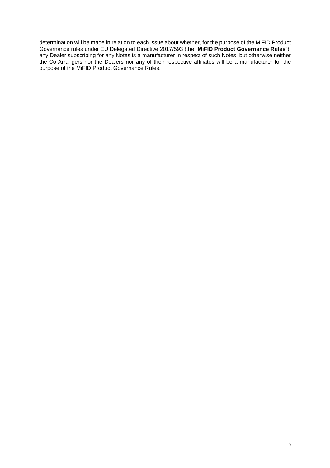determination will be made in relation to each issue about whether, for the purpose of the MiFID Product Governance rules under EU Delegated Directive 2017/593 (the "**MiFID Product Governance Rules**"), any Dealer subscribing for any Notes is a manufacturer in respect of such Notes, but otherwise neither the Co-Arrangers nor the Dealers nor any of their respective affiliates will be a manufacturer for the purpose of the MiFID Product Governance Rules.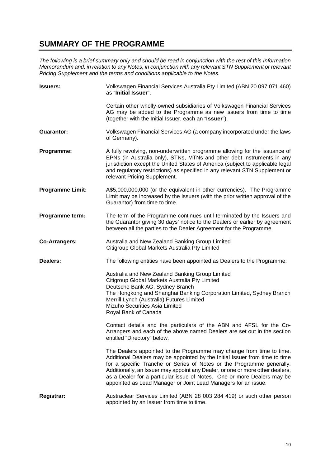# **SUMMARY OF THE PROGRAMME**

*The following is a brief summary only and should be read in conjunction with the rest of this Information Memorandum and, in relation to any Notes, in conjunction with any relevant STN Supplement or relevant Memorandum and, in relation to any Notes, in conjunction with any relevant STN Supplement or relevant Pricing Supplement and the terms and conditions applicable to the Notes.* 

| <b>Issuers:</b>         | Volkswagen Financial Services Australia Pty Limited (ABN 20 097 071 460)<br>as "Initial Issuer".                                                                                                                                                                                                                                                                                                                                                           |
|-------------------------|------------------------------------------------------------------------------------------------------------------------------------------------------------------------------------------------------------------------------------------------------------------------------------------------------------------------------------------------------------------------------------------------------------------------------------------------------------|
|                         | Certain other wholly-owned subsidiaries of Volkswagen Financial Services<br>AG may be added to the Programme as new issuers from time to time<br>(together with the Initial Issuer, each an "Issuer").                                                                                                                                                                                                                                                     |
| <b>Guarantor:</b>       | Volkswagen Financial Services AG (a company incorporated under the laws<br>of Germany).                                                                                                                                                                                                                                                                                                                                                                    |
| Programme:              | A fully revolving, non-underwritten programme allowing for the issuance of<br>EPNs (in Australia only), STNs, MTNs and other debt instruments in any<br>jurisdiction except the United States of America (subject to applicable legal<br>and regulatory restrictions) as specified in any relevant STN Supplement or<br>relevant Pricing Supplement.                                                                                                       |
| <b>Programme Limit:</b> | A\$5,000,000,000 (or the equivalent in other currencies). The Programme<br>Limit may be increased by the Issuers (with the prior written approval of the<br>Guarantor) from time to time.                                                                                                                                                                                                                                                                  |
| Programme term:         | The term of the Programme continues until terminated by the Issuers and<br>the Guarantor giving 30 days' notice to the Dealers or earlier by agreement<br>between all the parties to the Dealer Agreement for the Programme.                                                                                                                                                                                                                               |
| <b>Co-Arrangers:</b>    | Australia and New Zealand Banking Group Limited<br>Citigroup Global Markets Australia Pty Limited                                                                                                                                                                                                                                                                                                                                                          |
| Dealers:                | The following entities have been appointed as Dealers to the Programme:                                                                                                                                                                                                                                                                                                                                                                                    |
|                         | Australia and New Zealand Banking Group Limited<br>Citigroup Global Markets Australia Pty Limited<br>Deutsche Bank AG, Sydney Branch<br>The Hongkong and Shanghai Banking Corporation Limited, Sydney Branch<br>Merrill Lynch (Australia) Futures Limited<br>Mizuho Securities Asia Limited<br>Royal Bank of Canada                                                                                                                                        |
|                         | Contact details and the particulars of the ABN and AFSL for the Co-<br>Arrangers and each of the above named Dealers are set out in the section<br>entitled "Directory" below.                                                                                                                                                                                                                                                                             |
|                         | The Dealers appointed to the Programme may change from time to time.<br>Additional Dealers may be appointed by the Initial Issuer from time to time<br>for a specific Tranche or Series of Notes or the Programme generally.<br>Additionally, an Issuer may appoint any Dealer, or one or more other dealers,<br>as a Dealer for a particular issue of Notes. One or more Dealers may be<br>appointed as Lead Manager or Joint Lead Managers for an issue. |
| <b>Registrar:</b>       | Austraclear Services Limited (ABN 28 003 284 419) or such other person<br>appointed by an Issuer from time to time.                                                                                                                                                                                                                                                                                                                                        |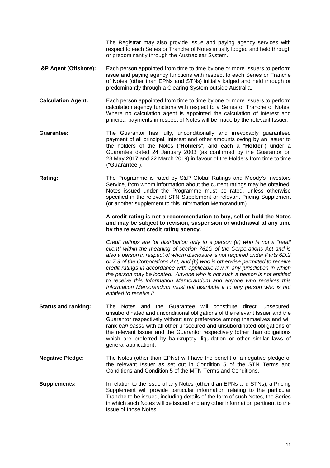The Registrar may also provide issue and paying agency services with respect to each Series or Tranche of Notes initially lodged and held through or predominantly through the Austraclear System.

- **I&P Agent (Offshore):** Each person appointed from time to time by one or more Issuers to perform issue and paying agency functions with respect to each Series or Tranche of Notes (other than EPNs and STNs) initially lodged and held through or predominantly through a Clearing System outside Australia.
- **Calculation Agent:** Each person appointed from time to time by one or more Issuers to perform calculation agency functions with respect to a Series or Tranche of Notes. Where no calculation agent is appointed the calculation of interest and principal payments in respect of Notes will be made by the relevant Issuer.
- **Guarantee:** The Guarantor has fully, unconditionally and irrevocably guaranteed payment of all principal, interest and other amounts owing by an Issuer to the holders of the Notes ("**Holders**", and each a "**Holder**") under a Guarantee dated 24 January 2003 (as confirmed by the Guarantor on 23 May 2017 and 22 March 2019) in favour of the Holders from time to time ("**Guarantee**").
- **Rating:** The Programme is rated by S&P Global Ratings and Moody's Investors Service, from whom information about the current ratings may be obtained. Notes issued under the Programme must be rated, unless otherwise specified in the relevant STN Supplement or relevant Pricing Supplement (or another supplement to this Information Memorandum).

**A credit rating is not a recommendation to buy, sell or hold the Notes and may be subject to revision, suspension or withdrawal at any time by the relevant credit rating agency.** 

*Credit ratings are for distribution only to a person (a) who is not a "retail client" within the meaning of section 761G of the Corporations Act and is also a person in respect of whom disclosure is not required under Parts 6D.2 or 7.9 of the Corporations Act, and (b) who is otherwise permitted to receive credit ratings in accordance with applicable law in any jurisdiction in which the person may be located. Anyone who is not such a person is not entitled to receive this Information Memorandum and anyone who receives this Information Memorandum must not distribute it to any person who is not entitled to receive it.* 

- **Status and ranking:** The Notes and the Guarantee will constitute direct, unsecured, unsubordinated and unconditional obligations of the relevant Issuer and the Guarantor respectively without any preference among themselves and will rank *pari passu* with all other unsecured and unsubordinated obligations of the relevant Issuer and the Guarantor respectively (other than obligations which are preferred by bankruptcy, liquidation or other similar laws of general application).
- **Negative Pledge:** The Notes (other than EPNs) will have the benefit of a negative pledge of the relevant Issuer as set out in Condition 5 of the STN Terms and Conditions and Condition 5 of the MTN Terms and Conditions.
- **Supplements:** In relation to the issue of any Notes (other than EPNs and STNs), a Pricing Supplement will provide particular information relating to the particular Tranche to be issued, including details of the form of such Notes, the Series in which such Notes will be issued and any other information pertinent to the issue of those Notes.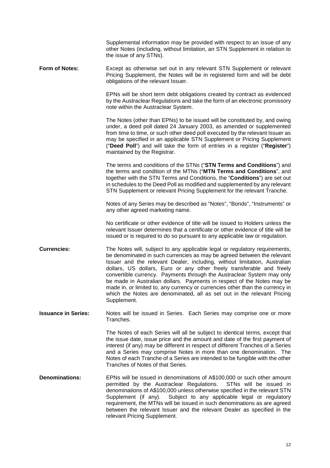|                            | Supplemental information may be provided with respect to an issue of any                                                                                                                                                                                                                                                                                                                                                                                                                                                                                                                                                                    |
|----------------------------|---------------------------------------------------------------------------------------------------------------------------------------------------------------------------------------------------------------------------------------------------------------------------------------------------------------------------------------------------------------------------------------------------------------------------------------------------------------------------------------------------------------------------------------------------------------------------------------------------------------------------------------------|
|                            | other Notes (including, without limitation, an STN Supplement in relation to<br>the issue of any STNs).                                                                                                                                                                                                                                                                                                                                                                                                                                                                                                                                     |
| Form of Notes:             | Except as otherwise set out in any relevant STN Supplement or relevant<br>Pricing Supplement, the Notes will be in registered form and will be debt<br>obligations of the relevant Issuer.                                                                                                                                                                                                                                                                                                                                                                                                                                                  |
|                            | EPNs will be short term debt obligations created by contract as evidenced<br>by the Austraclear Regulations and take the form of an electronic promissory<br>note within the Austraclear System.                                                                                                                                                                                                                                                                                                                                                                                                                                            |
|                            | The Notes (other than EPNs) to be issued will be constituted by, and owing<br>under, a deed poll dated 24 January 2003, as amended or supplemented<br>from time to time, or such other deed poll executed by the relevant Issuer as<br>may be specified in an applicable STN Supplement or Pricing Supplement<br>("Deed Poll") and will take the form of entries in a register ("Register")<br>maintained by the Registrar.                                                                                                                                                                                                                 |
|                            | The terms and conditions of the STNs ("STN Terms and Conditions") and<br>the terms and condition of the MTNs ("MTN Terms and Conditions", and<br>together with the STN Terms and Conditions, the "Conditions") are set out<br>in schedules to the Deed Poll as modified and supplemented by any relevant<br>STN Supplement or relevant Pricing Supplement for the relevant Tranche.                                                                                                                                                                                                                                                         |
|                            | Notes of any Series may be described as "Notes", "Bonds", "Instruments" or<br>any other agreed marketing name.                                                                                                                                                                                                                                                                                                                                                                                                                                                                                                                              |
|                            | No certificate or other evidence of title will be issued to Holders unless the<br>relevant Issuer determines that a certificate or other evidence of title will be<br>issued or is required to do so pursuant to any applicable law or regulation.                                                                                                                                                                                                                                                                                                                                                                                          |
| <b>Currencies:</b>         | The Notes will, subject to any applicable legal or regulatory requirements,<br>be denominated in such currencies as may be agreed between the relevant<br>Issuer and the relevant Dealer, including, without limitation, Australian<br>dollars, US dollars, Euro or any other freely transferable and freely<br>convertible currency. Payments through the Austraclear System may only<br>be made in Australian dollars. Payments in respect of the Notes may be<br>made in, or limited to, any currency or currencies other than the currency in<br>which the Notes are denominated, all as set out in the relevant Pricing<br>Supplement. |
| <b>Issuance in Series:</b> | Notes will be issued in Series. Each Series may comprise one or more<br>Tranches.                                                                                                                                                                                                                                                                                                                                                                                                                                                                                                                                                           |
|                            | The Notes of each Series will all be subject to identical terms, except that<br>the issue date, issue price and the amount and date of the first payment of<br>interest (if any) may be different in respect of different Tranches of a Series<br>and a Series may comprise Notes in more than one denomination. The<br>Notes of each Tranche of a Series are intended to be fungible with the other<br>Tranches of Notes of that Series.                                                                                                                                                                                                   |
| <b>Denominations:</b>      | EPNs will be issued in denominations of A\$100,000 or such other amount<br>permitted by the Austraclear Regulations.<br>STNs will be issued in<br>denominations of A\$100,000 unless otherwise specified in the relevant STN<br>Supplement (if any). Subject to any applicable legal or regulatory<br>requirement, the MTNs will be issued in such denominations as are agreed                                                                                                                                                                                                                                                              |

between the relevant Issuer and the relevant Dealer as specified in the

relevant Pricing Supplement.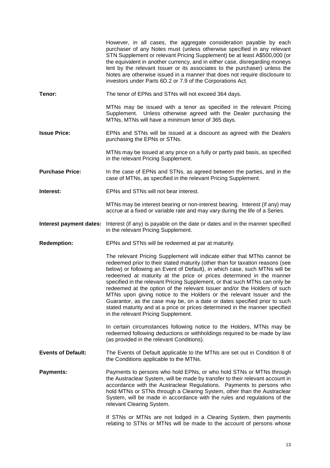|                           | However, in all cases, the aggregate consideration payable by each<br>purchaser of any Notes must (unless otherwise specified in any relevant<br>STN Supplement or relevant Pricing Supplement) be at least A\$500,000 (or<br>the equivalent in another currency, and in either case, disregarding moneys<br>lent by the relevant Issuer or its associates to the purchaser) unless the<br>Notes are otherwise issued in a manner that does not require disclosure to<br>investors under Parts 6D.2 or 7.9 of the Corporations Act.                                                                                                                                                                                                                    |
|---------------------------|--------------------------------------------------------------------------------------------------------------------------------------------------------------------------------------------------------------------------------------------------------------------------------------------------------------------------------------------------------------------------------------------------------------------------------------------------------------------------------------------------------------------------------------------------------------------------------------------------------------------------------------------------------------------------------------------------------------------------------------------------------|
| Tenor:                    | The tenor of EPNs and STNs will not exceed 364 days.                                                                                                                                                                                                                                                                                                                                                                                                                                                                                                                                                                                                                                                                                                   |
|                           | MTNs may be issued with a tenor as specified in the relevant Pricing<br>Supplement. Unless otherwise agreed with the Dealer purchasing the<br>MTNs, MTNs will have a minimum tenor of 365 days.                                                                                                                                                                                                                                                                                                                                                                                                                                                                                                                                                        |
| <b>Issue Price:</b>       | EPNs and STNs will be issued at a discount as agreed with the Dealers<br>purchasing the EPNs or STNs.                                                                                                                                                                                                                                                                                                                                                                                                                                                                                                                                                                                                                                                  |
|                           | MTNs may be issued at any price on a fully or partly paid basis, as specified<br>in the relevant Pricing Supplement.                                                                                                                                                                                                                                                                                                                                                                                                                                                                                                                                                                                                                                   |
| <b>Purchase Price:</b>    | In the case of EPNs and STNs, as agreed between the parties, and in the<br>case of MTNs, as specified in the relevant Pricing Supplement.                                                                                                                                                                                                                                                                                                                                                                                                                                                                                                                                                                                                              |
| Interest:                 | EPNs and STNs will not bear interest.                                                                                                                                                                                                                                                                                                                                                                                                                                                                                                                                                                                                                                                                                                                  |
|                           | MTNs may be interest bearing or non-interest bearing. Interest (if any) may<br>accrue at a fixed or variable rate and may vary during the life of a Series.                                                                                                                                                                                                                                                                                                                                                                                                                                                                                                                                                                                            |
| Interest payment dates:   | Interest (if any) is payable on the date or dates and in the manner specified<br>in the relevant Pricing Supplement.                                                                                                                                                                                                                                                                                                                                                                                                                                                                                                                                                                                                                                   |
| <b>Redemption:</b>        | EPNs and STNs will be redeemed at par at maturity.                                                                                                                                                                                                                                                                                                                                                                                                                                                                                                                                                                                                                                                                                                     |
|                           | The relevant Pricing Supplement will indicate either that MTNs cannot be<br>redeemed prior to their stated maturity (other than for taxation reasons (see<br>below) or following an Event of Default), in which case, such MTNs will be<br>redeemed at maturity at the price or prices determined in the manner<br>specified in the relevant Pricing Supplement, or that such MTNs can only be<br>redeemed at the option of the relevant Issuer and/or the Holders of such<br>MTNs upon giving notice to the Holders or the relevant Issuer and the<br>Guarantor, as the case may be, on a date or dates specified prior to such<br>stated maturity and at a price or prices determined in the manner specified<br>in the relevant Pricing Supplement. |
|                           | In certain circumstances following notice to the Holders, MTNs may be<br>redeemed following deductions or withholdings required to be made by law<br>(as provided in the relevant Conditions).                                                                                                                                                                                                                                                                                                                                                                                                                                                                                                                                                         |
| <b>Events of Default:</b> | The Events of Default applicable to the MTNs are set out in Condition 8 of<br>the Conditions applicable to the MTNs.                                                                                                                                                                                                                                                                                                                                                                                                                                                                                                                                                                                                                                   |
| <b>Payments:</b>          | Payments to persons who hold EPNs, or who hold STNs or MTNs through<br>the Austraclear System, will be made by transfer to their relevant account in<br>accordance with the Austraclear Regulations. Payments to persons who<br>hold MTNs or STNs through a Clearing System, other than the Austraclear<br>System, will be made in accordance with the rules and regulations of the<br>relevant Clearing System.                                                                                                                                                                                                                                                                                                                                       |
|                           | If STNs or MTNs are not lodged in a Clearing System, then payments<br>relating to STNs or MTNs will be made to the account of persons whose                                                                                                                                                                                                                                                                                                                                                                                                                                                                                                                                                                                                            |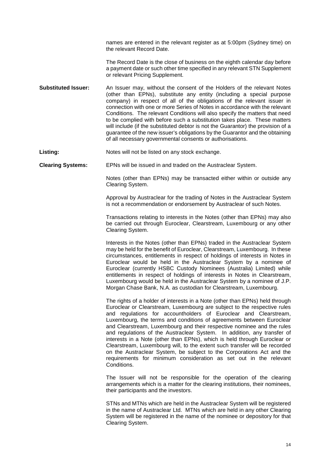names are entered in the relevant register as at 5:00pm (Sydney time) on the relevant Record Date.

 The Record Date is the close of business on the eighth calendar day before a payment date or such other time specified in any relevant STN Supplement or relevant Pricing Supplement.

**Substituted Issuer:** An Issuer may, without the consent of the Holders of the relevant Notes (other than EPNs), substitute any entity (including a special purpose company) in respect of all of the obligations of the relevant issuer in connection with one or more Series of Notes in accordance with the relevant Conditions. The relevant Conditions will also specify the matters that need to be complied with before such a substitution takes place. These matters will include (if the substituted debtor is not the Guarantor) the provision of a guarantee of the new issuer's obligations by the Guarantor and the obtaining of all necessary governmental consents or authorisations.

Listing: Notes will not be listed on any stock exchange.

**Clearing Systems:** EPNs will be issued in and traded on the Austraclear System.

Notes (other than EPNs) may be transacted either within or outside any Clearing System.

Approval by Austraclear for the trading of Notes in the Austraclear System is not a recommendation or endorsement by Austraclear of such Notes.

Transactions relating to interests in the Notes (other than EPNs) may also be carried out through Euroclear, Clearstream, Luxembourg or any other Clearing System.

Interests in the Notes (other than EPNs) traded in the Austraclear System may be held for the benefit of Euroclear, Clearstream, Luxembourg. In these circumstances, entitlements in respect of holdings of interests in Notes in Euroclear would be held in the Austraclear System by a nominee of Euroclear (currently HSBC Custody Nominees (Australia) Limited) while entitlements in respect of holdings of interests in Notes in Clearstream, Luxembourg would be held in the Austraclear System by a nominee of J.P. Morgan Chase Bank, N.A. as custodian for Clearstream, Luxembourg.

The rights of a holder of interests in a Note (other than EPNs) held through Euroclear or Clearstream, Luxembourg are subject to the respective rules and regulations for accountholders of Euroclear and Clearstream, Luxembourg, the terms and conditions of agreements between Euroclear and Clearstream, Luxembourg and their respective nominee and the rules and regulations of the Austraclear System. In addition, any transfer of interests in a Note (other than EPNs), which is held through Euroclear or Clearstream, Luxembourg will, to the extent such transfer will be recorded on the Austraclear System, be subject to the Corporations Act and the requirements for minimum consideration as set out in the relevant Conditions.

The Issuer will not be responsible for the operation of the clearing arrangements which is a matter for the clearing institutions, their nominees, their participants and the investors.

STNs and MTNs which are held in the Austraclear System will be registered in the name of Austraclear Ltd. MTNs which are held in any other Clearing System will be registered in the name of the nominee or depository for that Clearing System.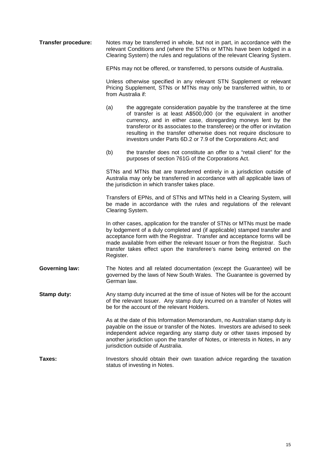| <b>Transfer procedure:</b> | Notes may be transferred in whole, but not in part, in accordance with the<br>relevant Conditions and (where the STNs or MTNs have been lodged in a<br>Clearing System) the rules and regulations of the relevant Clearing System.                                                                                                                                                |                                                                                                                                                                                                                                                                                                                                                                                                                              |  |  |
|----------------------------|-----------------------------------------------------------------------------------------------------------------------------------------------------------------------------------------------------------------------------------------------------------------------------------------------------------------------------------------------------------------------------------|------------------------------------------------------------------------------------------------------------------------------------------------------------------------------------------------------------------------------------------------------------------------------------------------------------------------------------------------------------------------------------------------------------------------------|--|--|
|                            | EPNs may not be offered, or transferred, to persons outside of Australia.<br>Unless otherwise specified in any relevant STN Supplement or relevant<br>Pricing Supplement, STNs or MTNs may only be transferred within, to or<br>from Australia if:                                                                                                                                |                                                                                                                                                                                                                                                                                                                                                                                                                              |  |  |
|                            |                                                                                                                                                                                                                                                                                                                                                                                   |                                                                                                                                                                                                                                                                                                                                                                                                                              |  |  |
|                            | (a)                                                                                                                                                                                                                                                                                                                                                                               | the aggregate consideration payable by the transferee at the time<br>of transfer is at least A\$500,000 (or the equivalent in another<br>currency, and in either case, disregarding moneys lent by the<br>transferor or its associates to the transferee) or the offer or invitation<br>resulting in the transfer otherwise does not require disclosure to<br>investors under Parts 6D.2 or 7.9 of the Corporations Act; and |  |  |
|                            | (b)                                                                                                                                                                                                                                                                                                                                                                               | the transfer does not constitute an offer to a "retail client" for the<br>purposes of section 761G of the Corporations Act.                                                                                                                                                                                                                                                                                                  |  |  |
|                            | STNs and MTNs that are transferred entirely in a jurisdiction outside of<br>Australia may only be transferred in accordance with all applicable laws of<br>the jurisdiction in which transfer takes place.<br>Transfers of EPNs, and of STNs and MTNs held in a Clearing System, will<br>be made in accordance with the rules and regulations of the relevant<br>Clearing System. |                                                                                                                                                                                                                                                                                                                                                                                                                              |  |  |
|                            |                                                                                                                                                                                                                                                                                                                                                                                   |                                                                                                                                                                                                                                                                                                                                                                                                                              |  |  |
|                            | Register.                                                                                                                                                                                                                                                                                                                                                                         | In other cases, application for the transfer of STNs or MTNs must be made<br>by lodgement of a duly completed and (if applicable) stamped transfer and<br>acceptance form with the Registrar. Transfer and acceptance forms will be<br>made available from either the relevant Issuer or from the Registrar. Such<br>transfer takes effect upon the transferee's name being entered on the                                   |  |  |
| <b>Governing law:</b>      | The Notes and all related documentation (except the Guarantee) will be<br>governed by the laws of New South Wales. The Guarantee is governed by<br>German law.                                                                                                                                                                                                                    |                                                                                                                                                                                                                                                                                                                                                                                                                              |  |  |
| Stamp duty:                |                                                                                                                                                                                                                                                                                                                                                                                   | Any stamp duty incurred at the time of issue of Notes will be for the account<br>of the relevant Issuer. Any stamp duty incurred on a transfer of Notes will<br>be for the account of the relevant Holders.                                                                                                                                                                                                                  |  |  |
|                            |                                                                                                                                                                                                                                                                                                                                                                                   | As at the date of this Information Memorandum, no Australian stamp duty is<br>payable on the issue or transfer of the Notes. Investors are advised to seek<br>independent advice regarding any stamp duty or other taxes imposed by<br>another jurisdiction upon the transfer of Notes, or interests in Notes, in any<br>jurisdiction outside of Australia.                                                                  |  |  |
| Taxes:                     | Investors should obtain their own taxation advice regarding the taxation<br>status of investing in Notes.                                                                                                                                                                                                                                                                         |                                                                                                                                                                                                                                                                                                                                                                                                                              |  |  |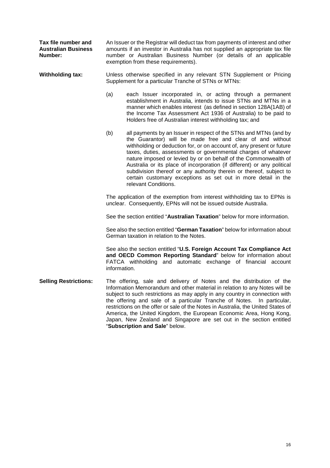**Tax file number and Australian Business Number:** 

An Issuer or the Registrar will deduct tax from payments of interest and other amounts if an investor in Australia has not supplied an appropriate tax file number or Australian Business Number (or details of an applicable exemption from these requirements).

**Withholding tax:** Unless otherwise specified in any relevant STN Supplement or Pricing Supplement for a particular Tranche of STNs or MTNs:

- (a) each Issuer incorporated in, or acting through a permanent establishment in Australia, intends to issue STNs and MTNs in a manner which enables interest (as defined in section 128A(1AB) of the Income Tax Assessment Act 1936 of Australia) to be paid to Holders free of Australian interest withholding tax; and
- (b) all payments by an Issuer in respect of the STNs and MTNs (and by the Guarantor) will be made free and clear of and without withholding or deduction for, or on account of, any present or future taxes, duties, assessments or governmental charges of whatever nature imposed or levied by or on behalf of the Commonwealth of Australia or its place of incorporation (if different) or any political subdivision thereof or any authority therein or thereof, subject to certain customary exceptions as set out in more detail in the relevant Conditions.

The application of the exemption from interest withholding tax to EPNs is unclear. Consequently, EPNs will not be issued outside Australia.

See the section entitled "**Australian Taxation**" below for more information.

See also the section entitled "**German Taxation**" below for information about German taxation in relation to the Notes.

 See also the section entitled "**U.S. Foreign Account Tax Compliance Act and OECD Common Reporting Standard**" below for information about FATCA withholding and automatic exchange of financial account information.

**Selling Restrictions:** The offering, sale and delivery of Notes and the distribution of the Information Memorandum and other material in relation to any Notes will be subject to such restrictions as may apply in any country in connection with the offering and sale of a particular Tranche of Notes. In particular, restrictions on the offer or sale of the Notes in Australia, the United States of America, the United Kingdom, the European Economic Area, Hong Kong, Japan, New Zealand and Singapore are set out in the section entitled "**Subscription and Sale**" below.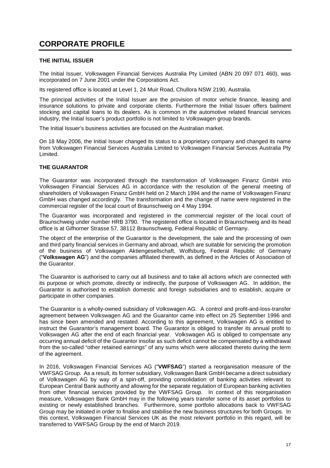# **CORPORATE PROFILE**

# **THE INITIAL ISSUER**

The Initial Issuer, Volkswagen Financial Services Australia Pty Limited (ABN 20 097 071 460), was incorporated on 7 June 2001 under the Corporations Act.

Its registered office is located at Level 1, 24 Muir Road, Chullora NSW 2190, Australia.

The principal activities of the Initial Issuer are the provision of motor vehicle finance, leasing and insurance solutions to private and corporate clients. Furthermore the Initial Issuer offers bailment stocking and capital loans to its dealers. As is common in the automotive related financial services industry, the Initial Issuer's product portfolio is not limited to Volkswagen group brands.

The Initial Issuer's business activities are focused on the Australian market.

On 18 May 2006, the Initial Issuer changed its status to a proprietary company and changed its name from Volkswagen Financial Services Australia Limited to Volkswagen Financial Services Australia Pty Limited.

# **THE GUARANTOR**

The Guarantor was incorporated through the transformation of Volkswagen Finanz GmbH into Volkswagen Financial Services AG in accordance with the resolution of the general meeting of shareholders of Volkswagen Finanz GmbH held on 2 March 1994 and the name of Volkswagen Finanz GmbH was changed accordingly. The transformation and the change of name were registered in the commercial register of the local court of Braunschweig on 4 May 1994.

The Guarantor was incorporated and registered in the commercial register of the local court of Braunschweig under number HRB 3790. The registered office is located in Braunschweig and its head office is at Gifhorner Strasse 57, 38112 Braunschweig, Federal Republic of Germany.

The object of the enterprise of the Guarantor is the development, the sale and the processing of own and third party financial services in Germany and abroad, which are suitable for servicing the promotion of the business of Volkswagen Aktiengesellschaft, Wolfsburg, Federal Republic of Germany ("**Volkswagen AG**") and the companies affiliated therewith, as defined in the Articles of Association of the Guarantor.

The Guarantor is authorised to carry out all business and to take all actions which are connected with its purpose or which promote, directly or indirectly, the purpose of Volkswagen AG. In addition, the Guarantor is authorised to establish domestic and foreign subsidiaries and to establish, acquire or participate in other companies.

The Guarantor is a wholly-owned subsidiary of Volkswagen AG. A control and profit-and-loss-transfer agreement between Volkswagen AG and the Guarantor came into effect on 25 September 1996 and has since been amended and restated. According to this agreement, Volkswagen AG is entitled to instruct the Guarantor's management board. The Guarantor is obliged to transfer its annual profit to Volkswagen AG after the end of each financial year. Volkswagen AG is obliged to compensate any occurring annual deficit of the Guarantor insofar as such deficit cannot be compensated by a withdrawal from the so-called "other retained earnings" of any sums which were allocated thereto during the term of the agreement.

In 2016, Volkswagen Financial Services AG ("**VWFSAG**") started a reorganisation measure of the VWFSAG Group. As a result, its former subsidiary, Volkswagen Bank GmbH became a direct subsidiary of Volkswagen AG by way of a spin-off, providing consolidation of banking activities relevant to European Central Bank authority and allowing for the separate regulation of European banking activities from other financial services provided by the VWFSAG Group. In context of this reorganisation measure, Volkswagen Bank GmbH may in the following years transfer some of its asset portfolios to existing or newly established branches. Furthermore, some portfolio allocations back to VWFSAG Group may be initiated in order to finalise and stabilise the new business structures for both Groups. In this context, Volkswagen Financial Services UK as the most relevant portfolio in this regard, will be transferred to VWFSAG Group by the end of March 2019.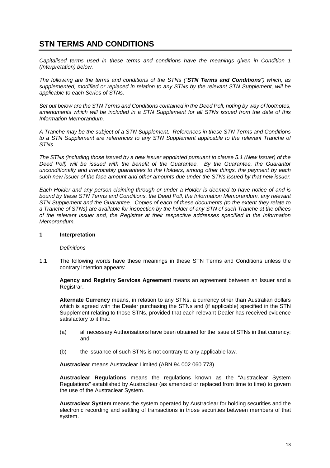# **STN TERMS AND CONDITIONS**

*Capitalised terms used in these terms and conditions have the meanings given in Condition 1 (Interpretation) below.* 

*The following are the terms and conditions of the STNs ("STN Terms and Conditions") which, as supplemented, modified or replaced in relation to any STNs by the relevant STN Supplement, will be applicable to each Series of STNs.*

*Set out below are the STN Terms and Conditions contained in the Deed Poll, noting by way of footnotes, amendments which will be included in a STN Supplement for all STNs issued from the date of this Information Memorandum.* 

*A Tranche may be the subject of a STN Supplement. References in these STN Terms and Conditions*  to a STN Supplement are references to any STN Supplement applicable to the relevant Tranche of *STNs.*

*The STNs (including those issued by a new issuer appointed pursuant to clause 5.1 (New Issuer) of the Deed Poll) will be issued with the benefit of the Guarantee. By the Guarantee, the Guarantor unconditionally and irrevocably guarantees to the Holders, among other things, the payment by each such new issuer of the face amount and other amounts due under the STNs issued by that new issuer.* 

*Each Holder and any person claiming through or under a Holder is deemed to have notice of and is bound by these STN Terms and Conditions, the Deed Poll, the Information Memorandum, any relevant STN Supplement and the Guarantee. Copies of each of these documents (to the extent they relate to a Tranche of STNs) are available for inspection by the holder of any STN of such Tranche at the offices of the relevant Issuer and, the Registrar at their respective addresses specified in the Information Memorandum.*

## **1 Interpretation**

#### *Definitions*

1.1 The following words have these meanings in these STN Terms and Conditions unless the contrary intention appears:

**Agency and Registry Services Agreement** means an agreement between an Issuer and a Registrar.

**Alternate Currency** means, in relation to any STNs, a currency other than Australian dollars which is agreed with the Dealer purchasing the STNs and (if applicable) specified in the STN Supplement relating to those STNs, provided that each relevant Dealer has received evidence satisfactory to it that:

- (a) all necessary Authorisations have been obtained for the issue of STNs in that currency; and
- (b) the issuance of such STNs is not contrary to any applicable law.

**Austraclear** means Austraclear Limited (ABN 94 002 060 773).

**Austraclear Regulations** means the regulations known as the "Austraclear System Regulations" established by Austraclear (as amended or replaced from time to time) to govern the use of the Austraclear System.

**Austraclear System** means the system operated by Austraclear for holding securities and the electronic recording and settling of transactions in those securities between members of that system.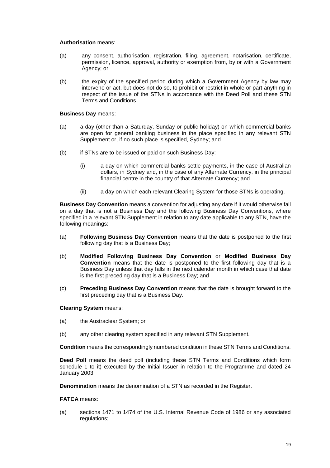#### **Authorisation** means:

- (a) any consent, authorisation, registration, filing, agreement, notarisation, certificate, permission, licence, approval, authority or exemption from, by or with a Government Agency; or
- (b) the expiry of the specified period during which a Government Agency by law may intervene or act, but does not do so, to prohibit or restrict in whole or part anything in respect of the issue of the STNs in accordance with the Deed Poll and these STN Terms and Conditions.

# **Business Day** means:

- (a) a day (other than a Saturday, Sunday or public holiday) on which commercial banks are open for general banking business in the place specified in any relevant STN Supplement or, if no such place is specified, Sydney; and
- (b) if STNs are to be issued or paid on such Business Day:
	- (i) a day on which commercial banks settle payments, in the case of Australian dollars, in Sydney and, in the case of any Alternate Currency, in the principal financial centre in the country of that Alternate Currency; and
	- (ii) a day on which each relevant Clearing System for those STNs is operating.

**Business Day Convention** means a convention for adjusting any date if it would otherwise fall on a day that is not a Business Day and the following Business Day Conventions, where specified in a relevant STN Supplement in relation to any date applicable to any STN, have the following meanings:

- (a) **Following Business Day Convention** means that the date is postponed to the first following day that is a Business Day;
- (b) **Modified Following Business Day Convention** or **Modified Business Day Convention** means that the date is postponed to the first following day that is a Business Day unless that day falls in the next calendar month in which case that date is the first preceding day that is a Business Day; and
- (c) **Preceding Business Day Convention** means that the date is brought forward to the first preceding day that is a Business Day.

#### **Clearing System** means:

- (a) the Austraclear System; or
- (b) any other clearing system specified in any relevant STN Supplement.

**Condition** means the correspondingly numbered condition in these STN Terms and Conditions.

**Deed Poll** means the deed poll (including these STN Terms and Conditions which form schedule 1 to it) executed by the Initial Issuer in relation to the Programme and dated 24 January 2003.

**Denomination** means the denomination of a STN as recorded in the Register.

# **FATCA** means:

(a) sections 1471 to 1474 of the U.S. Internal Revenue Code of 1986 or any associated regulations: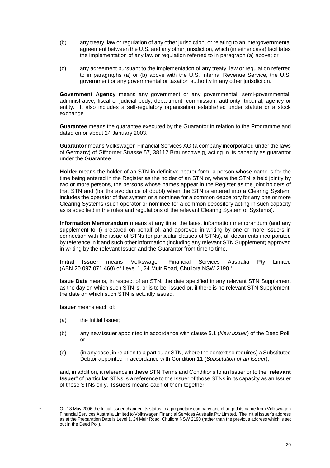- (b) any treaty, law or regulation of any other jurisdiction, or relating to an intergovernmental agreement between the U.S. and any other jurisdiction, which (in either case) facilitates the implementation of any law or regulation referred to in paragraph (a) above; or
- (c) any agreement pursuant to the implementation of any treaty, law or regulation referred to in paragraphs (a) or (b) above with the U.S. Internal Revenue Service, the U.S. government or any governmental or taxation authority in any other jurisdiction.

**Government Agency** means any government or any governmental, semi-governmental, administrative, fiscal or judicial body, department, commission, authority, tribunal, agency or entity. It also includes a self-regulatory organisation established under statute or a stock exchange.

**Guarantee** means the guarantee executed by the Guarantor in relation to the Programme and dated on or about 24 January 2003.

**Guarantor** means Volkswagen Financial Services AG (a company incorporated under the laws of Germany) of Gifhorner Strasse 57, 38112 Braunschweig, acting in its capacity as guarantor under the Guarantee.

**Holder** means the holder of an STN in definitive bearer form, a person whose name is for the time being entered in the Register as the holder of an STN or, where the STN is held jointly by two or more persons, the persons whose names appear in the Register as the joint holders of that STN and (for the avoidance of doubt) when the STN is entered into a Clearing System, includes the operator of that system or a nominee for a common depository for any one or more Clearing Systems (such operator or nominee for a common depository acting in such capacity as is specified in the rules and regulations of the relevant Clearing System or Systems).

**Information Memorandum** means at any time, the latest information memorandum (and any supplement to it) prepared on behalf of, and approved in writing by one or more Issuers in connection with the issue of STNs (or particular classes of STNs), all documents incorporated by reference in it and such other information (including any relevant STN Supplement) approved in writing by the relevant Issuer and the Guarantor from time to time.

**Initial Issuer** means Volkswagen Financial Services Australia Pty Limited (ABN 20 097 071 460) of Level 1, 24 Muir Road, Chullora NSW 2190.1

**Issue Date** means, in respect of an STN, the date specified in any relevant STN Supplement as the day on which such STN is, or is to be, issued or, if there is no relevant STN Supplement, the date on which such STN is actually issued.

**Issuer** means each of:

- (a) the Initial Issuer;
- (b) any new issuer appointed in accordance with clause 5.1 (*New Issuer*) of the Deed Poll; or
- (c) (in any case, in relation to a particular STN, where the context so requires) a Substituted Debtor appointed in accordance with Condition 11 (*Substitution of an Issuer*),

and, in addition, a reference in these STN Terms and Conditions to an Issuer or to the "**relevant Issuer**" of particular STNs is a reference to the Issuer of those STNs in its capacity as an Issuer of those STNs only. **Issuers** means each of them together.

 $\overline{a}$ 1

On 18 May 2006 the Initial Issuer changed its status to a proprietary company and changed its name from Volkswagen Financial Services Australia Limited to Volkswagen Financial Services Australia Pty Limited. The Initial Issuer's address as at the Preparation Date is Level 1, 24 Muir Road, Chullora NSW 2190 (rather than the previous address which is set out in the Deed Poll).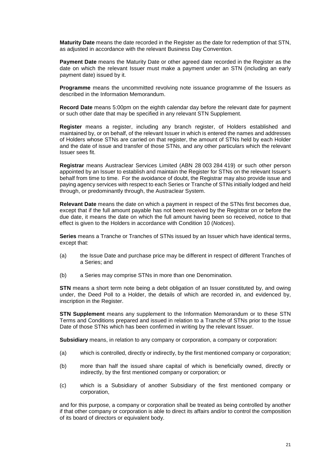**Maturity Date** means the date recorded in the Register as the date for redemption of that STN, as adjusted in accordance with the relevant Business Day Convention.

**Payment Date** means the Maturity Date or other agreed date recorded in the Register as the date on which the relevant Issuer must make a payment under an STN (including an early payment date) issued by it.

**Programme** means the uncommitted revolving note issuance programme of the Issuers as described in the Information Memorandum.

**Record Date** means 5:00pm on the eighth calendar day before the relevant date for payment or such other date that may be specified in any relevant STN Supplement.

**Register** means a register, including any branch register, of Holders established and maintained by, or on behalf, of the relevant Issuer in which is entered the names and addresses of Holders whose STNs are carried on that register, the amount of STNs held by each Holder and the date of issue and transfer of those STNs, and any other particulars which the relevant Issuer sees fit.

**Registrar** means Austraclear Services Limited (ABN 28 003 284 419) or such other person appointed by an Issuer to establish and maintain the Register for STNs on the relevant Issuer's behalf from time to time. For the avoidance of doubt, the Registrar may also provide issue and paying agency services with respect to each Series or Tranche of STNs initially lodged and held through, or predominantly through, the Austraclear System.

**Relevant Date** means the date on which a payment in respect of the STNs first becomes due, except that if the full amount payable has not been received by the Registrar on or before the due date, it means the date on which the full amount having been so received, notice to that effect is given to the Holders in accordance with Condition 10 (*Notices*).

**Series** means a Tranche or Tranches of STNs issued by an Issuer which have identical terms, except that:

- (a) the Issue Date and purchase price may be different in respect of different Tranches of a Series; and
- (b) a Series may comprise STNs in more than one Denomination.

**STN** means a short term note being a debt obligation of an Issuer constituted by, and owing under, the Deed Poll to a Holder, the details of which are recorded in, and evidenced by, inscription in the Register.

**STN Supplement** means any supplement to the Information Memorandum or to these STN Terms and Conditions prepared and issued in relation to a Tranche of STNs prior to the Issue Date of those STNs which has been confirmed in writing by the relevant Issuer.

**Subsidiary** means, in relation to any company or corporation, a company or corporation:

- (a) which is controlled, directly or indirectly, by the first mentioned company or corporation;
- (b) more than half the issued share capital of which is beneficially owned, directly or indirectly, by the first mentioned company or corporation; or
- (c) which is a Subsidiary of another Subsidiary of the first mentioned company or corporation,

and for this purpose, a company or corporation shall be treated as being controlled by another if that other company or corporation is able to direct its affairs and/or to control the composition of its board of directors or equivalent body.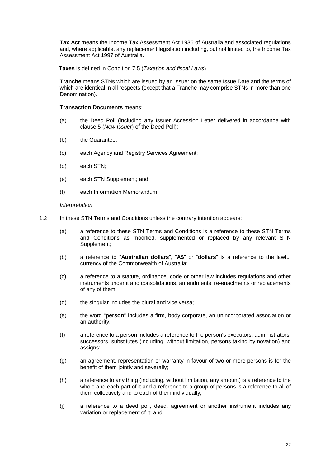**Tax Act** means the Income Tax Assessment Act 1936 of Australia and associated regulations and, where applicable, any replacement legislation including, but not limited to, the Income Tax Assessment Act 1997 of Australia.

**Taxes** is defined in Condition 7.5 (*Taxation and fiscal Laws*).

**Tranche** means STNs which are issued by an Issuer on the same Issue Date and the terms of which are identical in all respects (except that a Tranche may comprise STNs in more than one Denomination).

#### **Transaction Documents** means:

- (a) the Deed Poll (including any Issuer Accession Letter delivered in accordance with clause 5 (*New Issuer*) of the Deed Poll);
- (b) the Guarantee;
- (c) each Agency and Registry Services Agreement;
- (d) each STN;
- (e) each STN Supplement; and
- (f) each Information Memorandum.

#### *Interpretation*

- 1.2 In these STN Terms and Conditions unless the contrary intention appears:
	- (a) a reference to these STN Terms and Conditions is a reference to these STN Terms and Conditions as modified, supplemented or replaced by any relevant STN Supplement;
	- (b) a reference to "**Australian dollars**", "**A\$**" or "**dollars**" is a reference to the lawful currency of the Commonwealth of Australia;
	- (c) a reference to a statute, ordinance, code or other law includes regulations and other instruments under it and consolidations, amendments, re-enactments or replacements of any of them;
	- (d) the singular includes the plural and vice versa;
	- (e) the word "**person**" includes a firm, body corporate, an unincorporated association or an authority;
	- (f) a reference to a person includes a reference to the person's executors, administrators, successors, substitutes (including, without limitation, persons taking by novation) and assigns;
	- (g) an agreement, representation or warranty in favour of two or more persons is for the benefit of them jointly and severally;
	- (h) a reference to any thing (including, without limitation, any amount) is a reference to the whole and each part of it and a reference to a group of persons is a reference to all of them collectively and to each of them individually;
	- (j) a reference to a deed poll, deed, agreement or another instrument includes any variation or replacement of it; and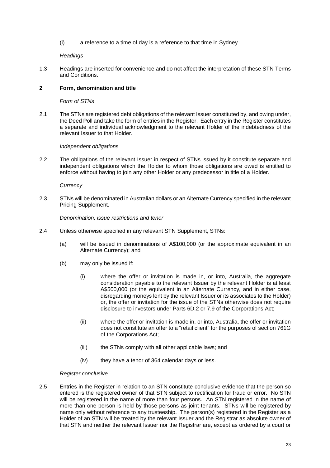(i) a reference to a time of day is a reference to that time in Sydney.

# *Headings*

1.3 Headings are inserted for convenience and do not affect the interpretation of these STN Terms and Conditions.

# **2 Form, denomination and title**

## *Form of STNs*

2.1 The STNs are registered debt obligations of the relevant Issuer constituted by, and owing under, the Deed Poll and take the form of entries in the Register. Each entry in the Register constitutes a separate and individual acknowledgment to the relevant Holder of the indebtedness of the relevant Issuer to that Holder.

#### *Independent obligations*

2.2 The obligations of the relevant Issuer in respect of STNs issued by it constitute separate and independent obligations which the Holder to whom those obligations are owed is entitled to enforce without having to join any other Holder or any predecessor in title of a Holder.

#### *Currency*

2.3 STNs will be denominated in Australian dollars or an Alternate Currency specified in the relevant Pricing Supplement.

## *Denomination, issue restrictions and tenor*

- 2.4 Unless otherwise specified in any relevant STN Supplement, STNs:
	- (a) will be issued in denominations of A\$100,000 (or the approximate equivalent in an Alternate Currency); and
	- (b) may only be issued if:
		- (i) where the offer or invitation is made in, or into, Australia, the aggregate consideration payable to the relevant Issuer by the relevant Holder is at least A\$500,000 (or the equivalent in an Alternate Currency, and in either case, disregarding moneys lent by the relevant Issuer or its associates to the Holder) or, the offer or invitation for the issue of the STNs otherwise does not require disclosure to investors under Parts 6D.2 or 7.9 of the Corporations Act;
		- (ii) where the offer or invitation is made in, or into, Australia, the offer or invitation does not constitute an offer to a "retail client" for the purposes of section 761G of the Corporations Act;
		- (iii) the STNs comply with all other applicable laws; and
		- (iv) they have a tenor of 364 calendar days or less.

#### *Register conclusive*

2.5 Entries in the Register in relation to an STN constitute conclusive evidence that the person so entered is the registered owner of that STN subject to rectification for fraud or error. No STN will be registered in the name of more than four persons. An STN registered in the name of more than one person is held by those persons as joint tenants. STNs will be registered by name only without reference to any trusteeship. The person(s) registered in the Register as a Holder of an STN will be treated by the relevant Issuer and the Registrar as absolute owner of that STN and neither the relevant Issuer nor the Registrar are, except as ordered by a court or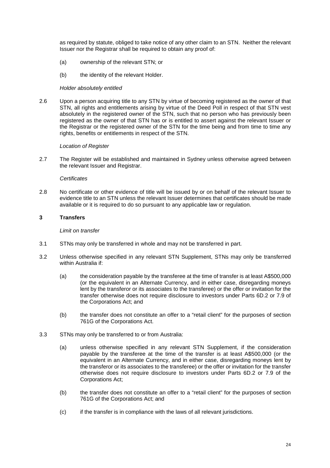as required by statute, obliged to take notice of any other claim to an STN. Neither the relevant Issuer nor the Registrar shall be required to obtain any proof of:

- (a) ownership of the relevant STN; or
- (b) the identity of the relevant Holder.

#### *Holder absolutely entitled*

2.6 Upon a person acquiring title to any STN by virtue of becoming registered as the owner of that STN, all rights and entitlements arising by virtue of the Deed Poll in respect of that STN vest absolutely in the registered owner of the STN, such that no person who has previously been registered as the owner of that STN has or is entitled to assert against the relevant Issuer or the Registrar or the registered owner of the STN for the time being and from time to time any rights, benefits or entitlements in respect of the STN.

#### *Location of Register*

2.7 The Register will be established and maintained in Sydney unless otherwise agreed between the relevant Issuer and Registrar.

#### *Certificates*

2.8 No certificate or other evidence of title will be issued by or on behalf of the relevant Issuer to evidence title to an STN unless the relevant Issuer determines that certificates should be made available or it is required to do so pursuant to any applicable law or regulation.

# **3 Transfers**

#### *Limit on transfer*

- 3.1 STNs may only be transferred in whole and may not be transferred in part.
- 3.2 Unless otherwise specified in any relevant STN Supplement, STNs may only be transferred within Australia if:
	- (a) the consideration payable by the transferee at the time of transfer is at least A\$500,000 (or the equivalent in an Alternate Currency, and in either case, disregarding moneys lent by the transferor or its associates to the transferee) or the offer or invitation for the transfer otherwise does not require disclosure to investors under Parts 6D.2 or 7.9 of the Corporations Act; and
	- (b) the transfer does not constitute an offer to a "retail client" for the purposes of section 761G of the Corporations Act.
- 3.3 STNs may only be transferred to or from Australia:
	- (a) unless otherwise specified in any relevant STN Supplement, if the consideration payable by the transferee at the time of the transfer is at least A\$500,000 (or the equivalent in an Alternate Currency, and in either case, disregarding moneys lent by the transferor or its associates to the transferee) or the offer or invitation for the transfer otherwise does not require disclosure to investors under Parts 6D.2 or 7.9 of the Corporations Act;
	- (b) the transfer does not constitute an offer to a "retail client" for the purposes of section 761G of the Corporations Act; and
	- (c) if the transfer is in compliance with the laws of all relevant jurisdictions.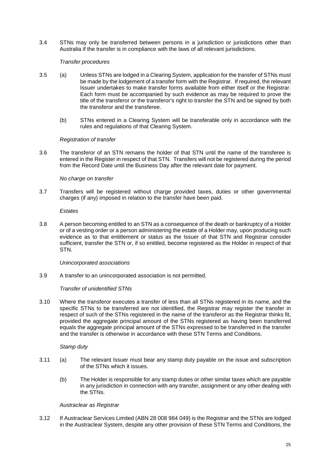3.4 STNs may only be transferred between persons in a jurisdiction or jurisdictions other than Australia if the transfer is in compliance with the laws of all relevant jurisdictions.

## *Transfer procedures*

- 3.5 (a) Unless STNs are lodged in a Clearing System, application for the transfer of STNs must be made by the lodgement of a transfer form with the Registrar. If required, the relevant Issuer undertakes to make transfer forms available from either itself or the Registrar. Each form must be accompanied by such evidence as may be required to prove the title of the transferor or the transferor's right to transfer the STN and be signed by both the transferor and the transferee.
	- (b) STNs entered in a Clearing System will be transferable only in accordance with the rules and regulations of that Clearing System.

#### *Registration of transfer*

3.6 The transferor of an STN remains the holder of that STN until the name of the transferee is entered in the Register in respect of that STN. Transfers will not be registered during the period from the Record Date until the Business Day after the relevant date for payment.

# *No charge on transfer*

3.7 Transfers will be registered without charge provided taxes, duties or other governmental charges (if any) imposed in relation to the transfer have been paid.

*Estates* 

3.8 A person becoming entitled to an STN as a consequence of the death or bankruptcy of a Holder or of a vesting order or a person administering the estate of a Holder may, upon producing such evidence as to that entitlement or status as the Issuer of that STN and Registrar consider sufficient, transfer the STN or, if so entitled, become registered as the Holder in respect of that STN.

#### *Unincorporated associations*

3.9 A transfer to an unincorporated association is not permitted.

#### *Transfer of unidentified STNs*

3.10 Where the transferor executes a transfer of less than all STNs registered in its name, and the specific STNs to be transferred are not identified, the Registrar may register the transfer in respect of such of the STNs registered in the name of the transferor as the Registrar thinks fit, provided the aggregate principal amount of the STNs registered as having been transferred equals the aggregate principal amount of the STNs expressed to be transferred in the transfer and the transfer is otherwise in accordance with these STN Terms and Conditions.

#### *Stamp duty*

- 3.11 (a) The relevant Issuer must bear any stamp duty payable on the issue and subscription of the STNs which it issues.
	- (b) The Holder is responsible for any stamp duties or other similar taxes which are payable in any jurisdiction in connection with any transfer, assignment or any other dealing with the STNs.

# *Austraclear as Registrar*

3.12 If Austraclear Services Limited (ABN 28 008 984 049) is the Registrar and the STNs are lodged in the Austraclear System, despite any other provision of these STN Terms and Conditions, the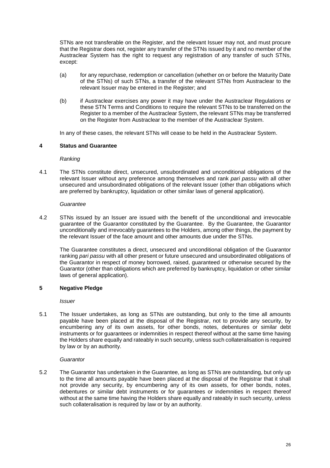STNs are not transferable on the Register, and the relevant Issuer may not, and must procure that the Registrar does not, register any transfer of the STNs issued by it and no member of the Austraclear System has the right to request any registration of any transfer of such STNs, except:

- (a) for any repurchase, redemption or cancellation (whether on or before the Maturity Date of the STNs) of such STNs, a transfer of the relevant STNs from Austraclear to the relevant Issuer may be entered in the Register; and
- (b) if Austraclear exercises any power it may have under the Austraclear Regulations or these STN Terms and Conditions to require the relevant STNs to be transferred on the Register to a member of the Austraclear System, the relevant STNs may be transferred on the Register from Austraclear to the member of the Austraclear System.

In any of these cases, the relevant STNs will cease to be held in the Austraclear System.

# **4 Status and Guarantee**

*Ranking* 

4.1 The STNs constitute direct, unsecured, unsubordinated and unconditional obligations of the relevant Issuer without any preference among themselves and rank *pari passu* with all other unsecured and unsubordinated obligations of the relevant Issuer (other than obligations which are preferred by bankruptcy, liquidation or other similar laws of general application).

## *Guarantee*

4.2 STNs issued by an Issuer are issued with the benefit of the unconditional and irrevocable guarantee of the Guarantor constituted by the Guarantee. By the Guarantee, the Guarantor unconditionally and irrevocably guarantees to the Holders, among other things, the payment by the relevant Issuer of the face amount and other amounts due under the STNs.

The Guarantee constitutes a direct, unsecured and unconditional obligation of the Guarantor ranking *pari passu* with all other present or future unsecured and unsubordinated obligations of the Guarantor in respect of money borrowed, raised, guaranteed or otherwise secured by the Guarantor (other than obligations which are preferred by bankruptcy, liquidation or other similar laws of general application).

# **5 Negative Pledge**

*Issuer* 

5.1 The Issuer undertakes, as long as STNs are outstanding, but only to the time all amounts payable have been placed at the disposal of the Registrar, not to provide any security, by encumbering any of its own assets, for other bonds, notes, debentures or similar debt instruments or for guarantees or indemnities in respect thereof without at the same time having the Holders share equally and rateably in such security, unless such collateralisation is required by law or by an authority.

#### *Guarantor*

5.2 The Guarantor has undertaken in the Guarantee, as long as STNs are outstanding, but only up to the time all amounts payable have been placed at the disposal of the Registrar that it shall not provide any security, by encumbering any of its own assets, for other bonds, notes, debentures or similar debt instruments or for guarantees or indemnities in respect thereof without at the same time having the Holders share equally and rateably in such security, unless such collateralisation is required by law or by an authority.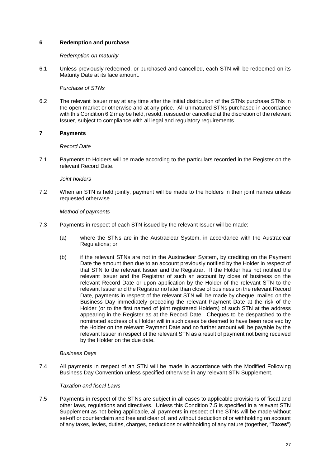# **6 Redemption and purchase**

### *Redemption on maturity*

6.1 Unless previously redeemed, or purchased and cancelled, each STN will be redeemed on its Maturity Date at its face amount.

## *Purchase of STNs*

6.2 The relevant Issuer may at any time after the initial distribution of the STNs purchase STNs in the open market or otherwise and at any price. All unmatured STNs purchased in accordance with this Condition 6.2 may be held, resold, reissued or cancelled at the discretion of the relevant Issuer, subject to compliance with all legal and regulatory requirements.

# **7 Payments**

## *Record Date*

7.1 Payments to Holders will be made according to the particulars recorded in the Register on the relevant Record Date.

## *Joint holders*

7.2 When an STN is held jointly, payment will be made to the holders in their joint names unless requested otherwise.

## *Method of payments*

- 7.3 Payments in respect of each STN issued by the relevant Issuer will be made:
	- (a) where the STNs are in the Austraclear System, in accordance with the Austraclear Regulations; or
	- (b) if the relevant STNs are not in the Austraclear System, by crediting on the Payment Date the amount then due to an account previously notified by the Holder in respect of that STN to the relevant Issuer and the Registrar. If the Holder has not notified the relevant Issuer and the Registrar of such an account by close of business on the relevant Record Date or upon application by the Holder of the relevant STN to the relevant Issuer and the Registrar no later than close of business on the relevant Record Date, payments in respect of the relevant STN will be made by cheque, mailed on the Business Day immediately preceding the relevant Payment Date at the risk of the Holder (or to the first named of joint registered Holders) of such STN at the address appearing in the Register as at the Record Date. Cheques to be despatched to the nominated address of a Holder will in such cases be deemed to have been received by the Holder on the relevant Payment Date and no further amount will be payable by the relevant Issuer in respect of the relevant STN as a result of payment not being received by the Holder on the due date.

#### *Business Days*

7.4 All payments in respect of an STN will be made in accordance with the Modified Following Business Day Convention unless specified otherwise in any relevant STN Supplement.

### *Taxation and fiscal Laws*

7.5 Payments in respect of the STNs are subject in all cases to applicable provisions of fiscal and other laws, regulations and directives. Unless this Condition 7.5 is specified in a relevant STN Supplement as not being applicable, all payments in respect of the STNs will be made without set-off or counterclaim and free and clear of, and without deduction of or withholding on account of any taxes, levies, duties, charges, deductions or withholding of any nature (together, "**Taxes**")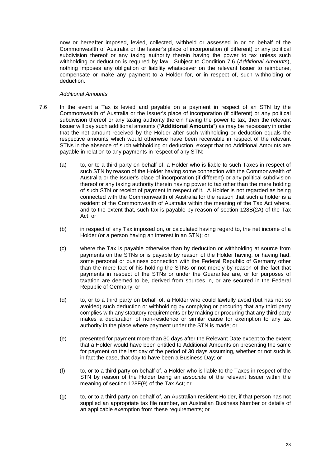now or hereafter imposed, levied, collected, withheld or assessed in or on behalf of the Commonwealth of Australia or the Issuer's place of incorporation (if different) or any political subdivision thereof or any taxing authority therein having the power to tax unless such withholding or deduction is required by law. Subject to Condition 7.6 (*Additional Amounts*), nothing imposes any obligation or liability whatsoever on the relevant Issuer to reimburse, compensate or make any payment to a Holder for, or in respect of, such withholding or deduction.

### *Additional Amounts*

- 7.6 In the event a Tax is levied and payable on a payment in respect of an STN by the Commonwealth of Australia or the Issuer's place of incorporation (if different) or any political subdivision thereof or any taxing authority therein having the power to tax, then the relevant Issuer will pay such additional amounts ("**Additional Amounts**") as may be necessary in order that the net amount received by the Holder after such withholding or deduction equals the respective amounts which would otherwise have been receivable in respect of the relevant STNs in the absence of such withholding or deduction, except that no Additional Amounts are payable in relation to any payments in respect of any STN:
	- (a) to, or to a third party on behalf of, a Holder who is liable to such Taxes in respect of such STN by reason of the Holder having some connection with the Commonwealth of Australia or the Issuer's place of incorporation (if different) or any political subdivision thereof or any taxing authority therein having power to tax other than the mere holding of such STN or receipt of payment in respect of it. A Holder is not regarded as being connected with the Commonwealth of Australia for the reason that such a holder is a resident of the Commonwealth of Australia within the meaning of the Tax Act where, and to the extent that, such tax is payable by reason of section 128B(2A) of the Tax Act; or
	- (b) in respect of any Tax imposed on, or calculated having regard to, the net income of a Holder (or a person having an interest in an STN); or
	- (c) where the Tax is payable otherwise than by deduction or withholding at source from payments on the STNs or is payable by reason of the Holder having, or having had, some personal or business connection with the Federal Republic of Germany other than the mere fact of his holding the STNs or not merely by reason of the fact that payments in respect of the STNs or under the Guarantee are, or for purposes of taxation are deemed to be, derived from sources in, or are secured in the Federal Republic of Germany; or
	- (d) to, or to a third party on behalf of, a Holder who could lawfully avoid (but has not so avoided) such deduction or withholding by complying or procuring that any third party complies with any statutory requirements or by making or procuring that any third party makes a declaration of non-residence or similar cause for exemption to any tax authority in the place where payment under the STN is made; or
	- (e) presented for payment more than 30 days after the Relevant Date except to the extent that a Holder would have been entitled to Additional Amounts on presenting the same for payment on the last day of the period of 30 days assuming, whether or not such is in fact the case, that day to have been a Business Day; or
	- (f) to, or to a third party on behalf of, a Holder who is liable to the Taxes in respect of the STN by reason of the Holder being an *associate* of the relevant Issuer within the meaning of section 128F(9) of the Tax Act; or
	- (g) to, or to a third party on behalf of, an Australian resident Holder, if that person has not supplied an appropriate tax file number, an Australian Business Number or details of an applicable exemption from these requirements; or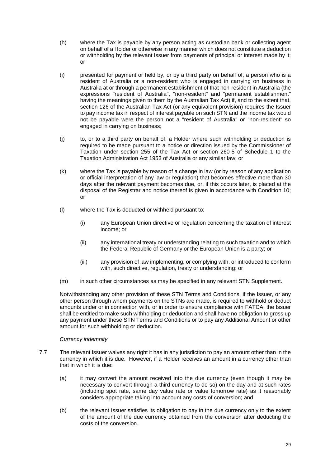- (h) where the Tax is payable by any person acting as custodian bank or collecting agent on behalf of a Holder or otherwise in any manner which does not constitute a deduction or withholding by the relevant Issuer from payments of principal or interest made by it; or
- (i) presented for payment or held by, or by a third party on behalf of, a person who is a resident of Australia or a non-resident who is engaged in carrying on business in Australia at or through a permanent establishment of that non-resident in Australia (the expressions "resident of Australia", "non-resident" and "permanent establishment" having the meanings given to them by the Australian Tax Act) if, and to the extent that, section 126 of the Australian Tax Act (or any equivalent provision) requires the Issuer to pay income tax in respect of interest payable on such STN and the income tax would not be payable were the person not a "resident of Australia" or "non-resident" so engaged in carrying on business;
- (j) to, or to a third party on behalf of, a Holder where such withholding or deduction is required to be made pursuant to a notice or direction issued by the Commissioner of Taxation under section 255 of the Tax Act or section 260-5 of Schedule 1 to the Taxation Administration Act 1953 of Australia or any similar law; or
- (k) where the Tax is payable by reason of a change in law (or by reason of any application or official interpretation of any law or regulation) that becomes effective more than 30 days after the relevant payment becomes due, or, if this occurs later, is placed at the disposal of the Registrar and notice thereof is given in accordance with Condition 10; or
- (l) where the Tax is deducted or withheld pursuant to:
	- (i) any European Union directive or regulation concerning the taxation of interest income; or
	- (ii) any international treaty or understanding relating to such taxation and to which the Federal Republic of Germany or the European Union is a party; or
	- (iii) any provision of law implementing, or complying with, or introduced to conform with, such directive, regulation, treaty or understanding; or
- (m) in such other circumstances as may be specified in any relevant STN Supplement.

Notwithstanding any other provision of these STN Terms and Conditions, if the Issuer, or any other person through whom payments on the STNs are made, is required to withhold or deduct amounts under or in connection with, or in order to ensure compliance with FATCA, the Issuer shall be entitled to make such withholding or deduction and shall have no obligation to gross up any payment under these STN Terms and Conditions or to pay any Additional Amount or other amount for such withholding or deduction.

# *Currency indemnity*

- 7.7 The relevant Issuer waives any right it has in any jurisdiction to pay an amount other than in the currency in which it is due. However, if a Holder receives an amount in a currency other than that in which it is due:
	- (a) it may convert the amount received into the due currency (even though it may be necessary to convert through a third currency to do so) on the day and at such rates (including spot rate, same day value rate or value tomorrow rate) as it reasonably considers appropriate taking into account any costs of conversion; and
	- (b) the relevant Issuer satisfies its obligation to pay in the due currency only to the extent of the amount of the due currency obtained from the conversion after deducting the costs of the conversion.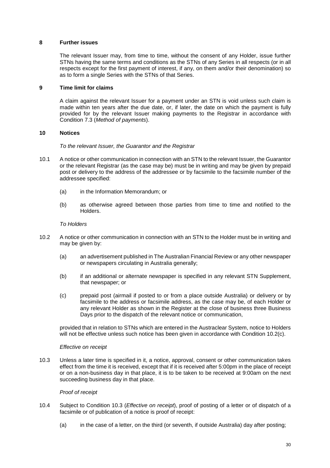## **8 Further issues**

The relevant Issuer may, from time to time, without the consent of any Holder, issue further STNs having the same terms and conditions as the STNs of any Series in all respects (or in all respects except for the first payment of interest, if any, on them and/or their denomination) so as to form a single Series with the STNs of that Series.

### **9 Time limit for claims**

A claim against the relevant Issuer for a payment under an STN is void unless such claim is made within ten years after the due date, or, if later, the date on which the payment is fully provided for by the relevant Issuer making payments to the Registrar in accordance with Condition 7.3 (*Method of payments*).

## **10 Notices**

*To the relevant Issuer, the Guarantor and the Registrar* 

- 10.1 A notice or other communication in connection with an STN to the relevant Issuer, the Guarantor or the relevant Registrar (as the case may be) must be in writing and may be given by prepaid post or delivery to the address of the addressee or by facsimile to the facsimile number of the addressee specified:
	- (a) in the Information Memorandum; or
	- (b) as otherwise agreed between those parties from time to time and notified to the Holders.

## *To Holders*

- 10.2 A notice or other communication in connection with an STN to the Holder must be in writing and may be given by:
	- (a) an advertisement published in The Australian Financial Review or any other newspaper or newspapers circulating in Australia generally;
	- (b) if an additional or alternate newspaper is specified in any relevant STN Supplement, that newspaper; or
	- (c) prepaid post (airmail if posted to or from a place outside Australia) or delivery or by facsimile to the address or facsimile address, as the case may be, of each Holder or any relevant Holder as shown in the Register at the close of business three Business Days prior to the dispatch of the relevant notice or communication,

provided that in relation to STNs which are entered in the Austraclear System, notice to Holders will not be effective unless such notice has been given in accordance with Condition 10.2(c).

#### *Effective on receipt*

10.3 Unless a later time is specified in it, a notice, approval, consent or other communication takes effect from the time it is received, except that if it is received after 5:00pm in the place of receipt or on a non-business day in that place, it is to be taken to be received at 9:00am on the next succeeding business day in that place.

#### *Proof of receipt*

- 10.4 Subject to Condition 10.3 (*Effective on receipt*), proof of posting of a letter or of dispatch of a facsimile or of publication of a notice is proof of receipt:
	- (a) in the case of a letter, on the third (or seventh, if outside Australia) day after posting;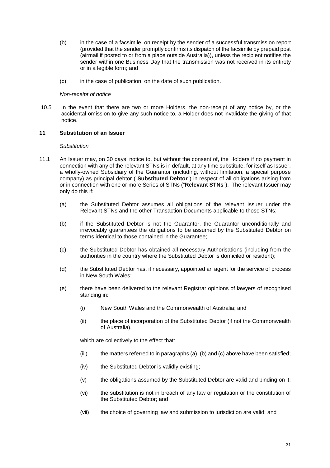- (b) in the case of a facsimile, on receipt by the sender of a successful transmission report (provided that the sender promptly confirms its dispatch of the facsimile by prepaid post (airmail if posted to or from a place outside Australia)), unless the recipient notifies the sender within one Business Day that the transmission was not received in its entirety or in a legible form; and
- (c) in the case of publication, on the date of such publication.

### *Non-receipt of notice*

10.5 In the event that there are two or more Holders, the non-receipt of any notice by, or the accidental omission to give any such notice to, a Holder does not invalidate the giving of that notice.

## **11 Substitution of an Issuer**

#### *Substitution*

- 11.1 An Issuer may, on 30 days' notice to, but without the consent of, the Holders if no payment in connection with any of the relevant STNs is in default, at any time substitute, for itself as Issuer, a wholly-owned Subsidiary of the Guarantor (including, without limitation, a special purpose company) as principal debtor ("**Substituted Debtor**") in respect of all obligations arising from or in connection with one or more Series of STNs ("**Relevant STNs**"). The relevant Issuer may only do this if:
	- (a) the Substituted Debtor assumes all obligations of the relevant Issuer under the Relevant STNs and the other Transaction Documents applicable to those STNs;
	- (b) if the Substituted Debtor is not the Guarantor, the Guarantor unconditionally and irrevocably guarantees the obligations to be assumed by the Substituted Debtor on terms identical to those contained in the Guarantee;
	- (c) the Substituted Debtor has obtained all necessary Authorisations (including from the authorities in the country where the Substituted Debtor is domiciled or resident);
	- (d) the Substituted Debtor has, if necessary, appointed an agent for the service of process in New South Wales;
	- (e) there have been delivered to the relevant Registrar opinions of lawyers of recognised standing in:
		- (i) New South Wales and the Commonwealth of Australia; and
		- (ii) the place of incorporation of the Substituted Debtor (if not the Commonwealth of Australia),

which are collectively to the effect that:

- (iii) the matters referred to in paragraphs (a), (b) and (c) above have been satisfied;
- (iv) the Substituted Debtor is validly existing;
- (v) the obligations assumed by the Substituted Debtor are valid and binding on it;
- (vi) the substitution is not in breach of any law or regulation or the constitution of the Substituted Debtor; and
- (vii) the choice of governing law and submission to jurisdiction are valid; and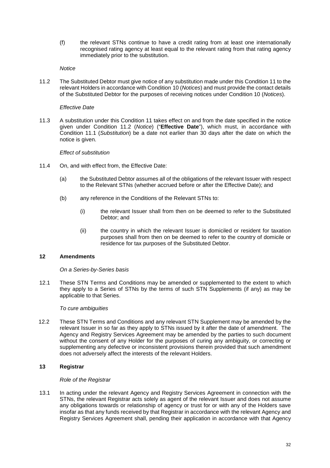(f) the relevant STNs continue to have a credit rating from at least one internationally recognised rating agency at least equal to the relevant rating from that rating agency immediately prior to the substitution.

### *Notice*

11.2 The Substituted Debtor must give notice of any substitution made under this Condition 11 to the relevant Holders in accordance with Condition 10 (*Notices*) and must provide the contact details of the Substituted Debtor for the purposes of receiving notices under Condition 10 (*Notices*).

### *Effective Date*

11.3 A substitution under this Condition 11 takes effect on and from the date specified in the notice given under Condition 11.2 (*Notice*) ("**Effective Date**"), which must, in accordance with Condition 11.1 (*Substitution*) be a date not earlier than 30 days after the date on which the notice is given.

## *Effect of substitution*

- 11.4 On, and with effect from, the Effective Date:
	- (a) the Substituted Debtor assumes all of the obligations of the relevant Issuer with respect to the Relevant STNs (whether accrued before or after the Effective Date); and
	- (b) any reference in the Conditions of the Relevant STNs to:
		- (i) the relevant Issuer shall from then on be deemed to refer to the Substituted Debtor; and
		- (ii) the country in which the relevant Issuer is domiciled or resident for taxation purposes shall from then on be deemed to refer to the country of domicile or residence for tax purposes of the Substituted Debtor.

# **12 Amendments**

#### *On a Series-by-Series basis*

12.1 These STN Terms and Conditions may be amended or supplemented to the extent to which they apply to a Series of STNs by the terms of such STN Supplements (if any) as may be applicable to that Series.

# *To cure ambiguities*

12.2 These STN Terms and Conditions and any relevant STN Supplement may be amended by the relevant Issuer in so far as they apply to STNs issued by it after the date of amendment. The Agency and Registry Services Agreement may be amended by the parties to such document without the consent of any Holder for the purposes of curing any ambiguity, or correcting or supplementing any defective or inconsistent provisions therein provided that such amendment does not adversely affect the interests of the relevant Holders.

# **13 Registrar**

#### *Role of the Registrar*

13.1 In acting under the relevant Agency and Registry Services Agreement in connection with the STNs, the relevant Registrar acts solely as agent of the relevant Issuer and does not assume any obligations towards or relationship of agency or trust for or with any of the Holders save insofar as that any funds received by that Registrar in accordance with the relevant Agency and Registry Services Agreement shall, pending their application in accordance with that Agency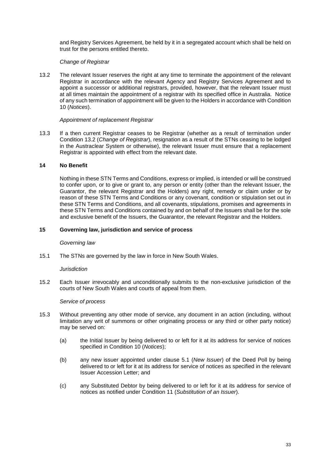and Registry Services Agreement, be held by it in a segregated account which shall be held on trust for the persons entitled thereto.

## *Change of Registrar*

13.2 The relevant Issuer reserves the right at any time to terminate the appointment of the relevant Registrar in accordance with the relevant Agency and Registry Services Agreement and to appoint a successor or additional registrars, provided, however, that the relevant Issuer must at all times maintain the appointment of a registrar with its specified office in Australia. Notice of any such termination of appointment will be given to the Holders in accordance with Condition 10 (*Notices*).

#### *Appointment of replacement Registrar*

13.3 If a then current Registrar ceases to be Registrar (whether as a result of termination under Condition 13.2 (*Change of Registrar*), resignation as a result of the STNs ceasing to be lodged in the Austraclear System or otherwise), the relevant Issuer must ensure that a replacement Registrar is appointed with effect from the relevant date.

### **14 No Benefit**

Nothing in these STN Terms and Conditions, express or implied, is intended or will be construed to confer upon, or to give or grant to, any person or entity (other than the relevant Issuer, the Guarantor, the relevant Registrar and the Holders) any right, remedy or claim under or by reason of these STN Terms and Conditions or any covenant, condition or stipulation set out in these STN Terms and Conditions, and all covenants, stipulations, promises and agreements in these STN Terms and Conditions contained by and on behalf of the Issuers shall be for the sole and exclusive benefit of the Issuers, the Guarantor, the relevant Registrar and the Holders.

#### **15 Governing law, jurisdiction and service of process**

#### *Governing law*

15.1 The STNs are governed by the law in force in New South Wales.

#### *Jurisdiction*

15.2 Each Issuer irrevocably and unconditionally submits to the non-exclusive jurisdiction of the courts of New South Wales and courts of appeal from them.

#### *Service of process*

- 15.3 Without preventing any other mode of service, any document in an action (including, without limitation any writ of summons or other originating process or any third or other party notice) may be served on:
	- (a) the Initial Issuer by being delivered to or left for it at its address for service of notices specified in Condition 10 (*Notices*);
	- (b) any new issuer appointed under clause 5.1 (*New Issuer*) of the Deed Poll by being delivered to or left for it at its address for service of notices as specified in the relevant Issuer Accession Letter; and
	- (c) any Substituted Debtor by being delivered to or left for it at its address for service of notices as notified under Condition 11 (*Substitution of an Issuer*).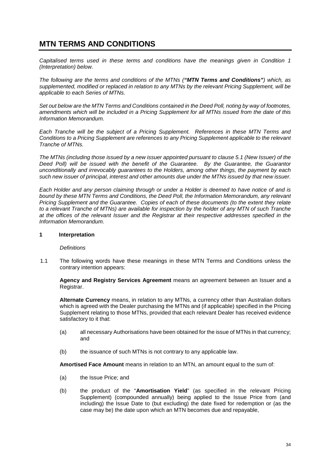# **MTN TERMS AND CONDITIONS**

*Capitalised terms used in these terms and conditions have the meanings given in Condition 1 (Interpretation) below.* 

*The following are the terms and conditions of the MTNs ("MTN Terms and Conditions") which, as supplemented, modified or replaced in relation to any MTNs by the relevant Pricing Supplement, will be applicable to each Series of MTNs.* 

*Set out below are the MTN Terms and Conditions contained in the Deed Poll, noting by way of footnotes, amendments which will be included in a Pricing Supplement for all MTNs issued from the date of this Information Memorandum.* 

*Each Tranche will be the subject of a Pricing Supplement. References in these MTN Terms and Conditions to a Pricing Supplement are references to any Pricing Supplement applicable to the relevant Tranche of MTNs.* 

*The MTNs (including those issued by a new issuer appointed pursuant to clause 5.1 (New Issuer) of the Deed Poll) will be issued with the benefit of the Guarantee. By the Guarantee, the Guarantor unconditionally and irrevocably guarantees to the Holders, among other things, the payment by each such new issuer of principal, interest and other amounts due under the MTNs issued by that new issuer.* 

*Each Holder and any person claiming through or under a Holder is deemed to have notice of and is bound by these MTN Terms and Conditions, the Deed Poll, the Information Memorandum, any relevant Pricing Supplement and the Guarantee. Copies of each of these documents (to the extent they relate to a relevant Tranche of MTNs) are available for inspection by the holder of any MTN of such Tranche at the offices of the relevant Issuer and the Registrar at their respective addresses specified in the Information Memorandum.* 

## **1 Interpretation**

#### *Definitions*

1.1 The following words have these meanings in these MTN Terms and Conditions unless the contrary intention appears:

**Agency and Registry Services Agreement** means an agreement between an Issuer and a Registrar.

**Alternate Currency** means, in relation to any MTNs, a currency other than Australian dollars which is agreed with the Dealer purchasing the MTNs and (if applicable) specified in the Pricing Supplement relating to those MTNs, provided that each relevant Dealer has received evidence satisfactory to it that:

- (a) all necessary Authorisations have been obtained for the issue of MTNs in that currency; and
- (b) the issuance of such MTNs is not contrary to any applicable law.

**Amortised Face Amount** means in relation to an MTN, an amount equal to the sum of:

- (a) the Issue Price; and
- (b) the product of the "**Amortisation Yield**" (as specified in the relevant Pricing Supplement) (compounded annually) being applied to the Issue Price from (and including) the Issue Date to (but excluding) the date fixed for redemption or (as the case may be) the date upon which an MTN becomes due and repayable,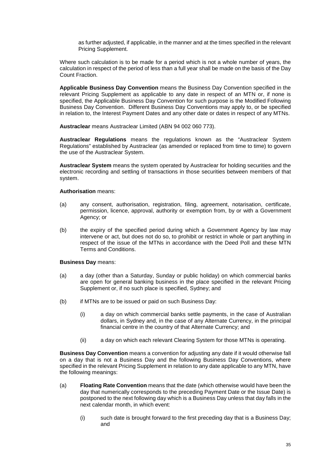as further adjusted, if applicable, in the manner and at the times specified in the relevant Pricing Supplement.

Where such calculation is to be made for a period which is not a whole number of years, the calculation in respect of the period of less than a full year shall be made on the basis of the Day Count Fraction.

**Applicable Business Day Convention** means the Business Day Convention specified in the relevant Pricing Supplement as applicable to any date in respect of an MTN or, if none is specified, the Applicable Business Day Convention for such purpose is the Modified Following Business Day Convention. Different Business Day Conventions may apply to, or be specified in relation to, the Interest Payment Dates and any other date or dates in respect of any MTNs.

**Austraclear** means Austraclear Limited (ABN 94 002 060 773).

**Austraclear Regulations** means the regulations known as the "Austraclear System Regulations" established by Austraclear (as amended or replaced from time to time) to govern the use of the Austraclear System.

**Austraclear System** means the system operated by Austraclear for holding securities and the electronic recording and settling of transactions in those securities between members of that system.

#### **Authorisation** means:

- (a) any consent, authorisation, registration, filing, agreement, notarisation, certificate, permission, licence, approval, authority or exemption from, by or with a Government Agency; or
- (b) the expiry of the specified period during which a Government Agency by law may intervene or act, but does not do so, to prohibit or restrict in whole or part anything in respect of the issue of the MTNs in accordance with the Deed Poll and these MTN Terms and Conditions.

#### **Business Day** means:

- (a) a day (other than a Saturday, Sunday or public holiday) on which commercial banks are open for general banking business in the place specified in the relevant Pricing Supplement or, if no such place is specified, Sydney; and
- (b) if MTNs are to be issued or paid on such Business Day:
	- (i) a day on which commercial banks settle payments, in the case of Australian dollars, in Sydney and, in the case of any Alternate Currency, in the principal financial centre in the country of that Alternate Currency; and
	- (ii) a day on which each relevant Clearing System for those MTNs is operating.

**Business Day Convention** means a convention for adjusting any date if it would otherwise fall on a day that is not a Business Day and the following Business Day Conventions, where specified in the relevant Pricing Supplement in relation to any date applicable to any MTN, have the following meanings:

- (a) **Floating Rate Convention** means that the date (which otherwise would have been the day that numerically corresponds to the preceding Payment Date or the Issue Date) is postponed to the next following day which is a Business Day unless that day falls in the next calendar month, in which event:
	- (i) such date is brought forward to the first preceding day that is a Business Day; and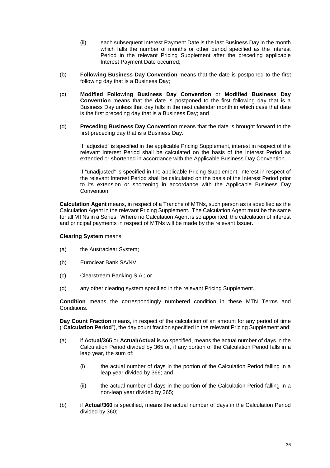- (ii) each subsequent Interest Payment Date is the last Business Day in the month which falls the number of months or other period specified as the Interest Period in the relevant Pricing Supplement after the preceding applicable Interest Payment Date occurred;
- (b) **Following Business Day Convention** means that the date is postponed to the first following day that is a Business Day;
- (c) **Modified Following Business Day Convention** or **Modified Business Day Convention** means that the date is postponed to the first following day that is a Business Day unless that day falls in the next calendar month in which case that date is the first preceding day that is a Business Day; and
- (d) **Preceding Business Day Convention** means that the date is brought forward to the first preceding day that is a Business Day.

If "adjusted" is specified in the applicable Pricing Supplement, interest in respect of the relevant Interest Period shall be calculated on the basis of the Interest Period as extended or shortened in accordance with the Applicable Business Day Convention.

If "unadjusted" is specified in the applicable Pricing Supplement, interest in respect of the relevant Interest Period shall be calculated on the basis of the Interest Period prior to its extension or shortening in accordance with the Applicable Business Day Convention.

**Calculation Agent** means, in respect of a Tranche of MTNs, such person as is specified as the Calculation Agent in the relevant Pricing Supplement. The Calculation Agent must be the same for all MTNs in a Series. Where no Calculation Agent is so appointed, the calculation of interest and principal payments in respect of MTNs will be made by the relevant Issuer.

## **Clearing System** means:

- (a) the Austraclear System;
- (b) Euroclear Bank SA/NV;
- (c) Clearstream Banking S.A.; or
- (d) any other clearing system specified in the relevant Pricing Supplement.

**Condition** means the correspondingly numbered condition in these MTN Terms and Conditions.

**Day Count Fraction** means, in respect of the calculation of an amount for any period of time ("**Calculation Period**"), the day count fraction specified in the relevant Pricing Supplement and:

- (a) if **Actual/365** or **Actual/Actual** is so specified, means the actual number of days in the Calculation Period divided by 365 or, if any portion of the Calculation Period falls in a leap year, the sum of:
	- (i) the actual number of days in the portion of the Calculation Period falling in a leap year divided by 366; and
	- (ii) the actual number of days in the portion of the Calculation Period falling in a non-leap year divided by 365;
- (b) if **Actual/360** is specified, means the actual number of days in the Calculation Period divided by 360;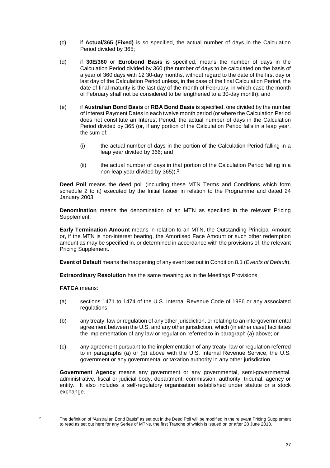- (c) if **Actual/365 (Fixed)** is so specified, the actual number of days in the Calculation Period divided by 365;
- (d) if **30E/360** or **Eurobond Basis** is specified, means the number of days in the Calculation Period divided by 360 (the number of days to be calculated on the basis of a year of 360 days with 12 30-day months, without regard to the date of the first day or last day of the Calculation Period unless, in the case of the final Calculation Period, the date of final maturity is the last day of the month of February, in which case the month of February shall not be considered to be lengthened to a 30-day month); and
- (e) if **Australian Bond Basis** or **RBA Bond Basis** is specified, one divided by the number of Interest Payment Dates in each twelve month period (or where the Calculation Period does not constitute an Interest Period, the actual number of days in the Calculation Period divided by 365 (or, if any portion of the Calculation Period falls in a leap year, the sum of:
	- (i) the actual number of days in the portion of the Calculation Period falling in a leap year divided by 366; and
	- (ii) the actual number of days in that portion of the Calculation Period falling in a non-leap year divided by 365)).2

**Deed Poll** means the deed poll (including these MTN Terms and Conditions which form schedule 2 to it) executed by the Initial Issuer in relation to the Programme and dated 24 January 2003.

**Denomination** means the denomination of an MTN as specified in the relevant Pricing Supplement.

**Early Termination Amount** means in relation to an MTN, the Outstanding Principal Amount or, if the MTN is non-interest bearing, the Amortised Face Amount or such other redemption amount as may be specified in, or determined in accordance with the provisions of, the relevant Pricing Supplement.

**Event of Default** means the happening of any event set out in Condition 8.1 (*Events of Default*).

**Extraordinary Resolution** has the same meaning as in the Meetings Provisions.

**FATCA** means:

- (a) sections 1471 to 1474 of the U.S. Internal Revenue Code of 1986 or any associated regulations:
- (b) any treaty, law or regulation of any other jurisdiction, or relating to an intergovernmental agreement between the U.S. and any other jurisdiction, which (in either case) facilitates the implementation of any law or regulation referred to in paragraph (a) above; or
- (c) any agreement pursuant to the implementation of any treaty, law or regulation referred to in paragraphs (a) or (b) above with the U.S. Internal Revenue Service, the U.S. government or any governmental or taxation authority in any other jurisdiction.

**Government Agency** means any government or any governmental, semi-governmental, administrative, fiscal or judicial body, department, commission, authority, tribunal, agency or entity. It also includes a self-regulatory organisation established under statute or a stock exchange.

 $\overline{a}$ 2

The definition of "Australian Bond Basis" as set out in the Deed Poll will be modified in the relevant Pricing Supplement to read as set out here for any Series of MTNs, the first Tranche of which is issued on or after 28 June 2013.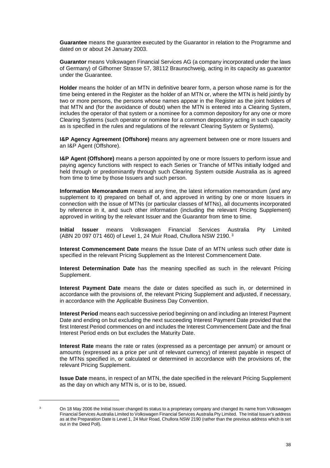**Guarantee** means the guarantee executed by the Guarantor in relation to the Programme and dated on or about 24 January 2003.

**Guarantor** means Volkswagen Financial Services AG (a company incorporated under the laws of Germany) of Gifhorner Strasse 57, 38112 Braunschweig, acting in its capacity as guarantor under the Guarantee.

**Holder** means the holder of an MTN in definitive bearer form, a person whose name is for the time being entered in the Register as the holder of an MTN or, where the MTN is held jointly by two or more persons, the persons whose names appear in the Register as the joint holders of that MTN and (for the avoidance of doubt) when the MTN is entered into a Clearing System, includes the operator of that system or a nominee for a common depository for any one or more Clearing Systems (such operator or nominee for a common depository acting in such capacity as is specified in the rules and regulations of the relevant Clearing System or Systems).

**I&P Agency Agreement (Offshore)** means any agreement between one or more Issuers and an I&P Agent (Offshore).

**I&P Agent (Offshore)** means a person appointed by one or more Issuers to perform issue and paying agency functions with respect to each Series or Tranche of MTNs initially lodged and held through or predominantly through such Clearing System outside Australia as is agreed from time to time by those Issuers and such person.

**Information Memorandum** means at any time, the latest information memorandum (and any supplement to it) prepared on behalf of, and approved in writing by one or more Issuers in connection with the issue of MTNs (or particular classes of MTNs), all documents incorporated by reference in it, and such other information (including the relevant Pricing Supplement) approved in writing by the relevant Issuer and the Guarantor from time to time.

**Initial Issuer** means Volkswagen Financial Services Australia Pty Limited (ABN 20 097 071 460) of Level 1, 24 Muir Road, Chullora NSW 2190. 3

**Interest Commencement Date** means the Issue Date of an MTN unless such other date is specified in the relevant Pricing Supplement as the Interest Commencement Date.

**Interest Determination Date** has the meaning specified as such in the relevant Pricing Supplement.

**Interest Payment Date** means the date or dates specified as such in, or determined in accordance with the provisions of, the relevant Pricing Supplement and adjusted, if necessary, in accordance with the Applicable Business Day Convention.

**Interest Period** means each successive period beginning on and including an Interest Payment Date and ending on but excluding the next succeeding Interest Payment Date provided that the first Interest Period commences on and includes the Interest Commencement Date and the final Interest Period ends on but excludes the Maturity Date.

**Interest Rate** means the rate or rates (expressed as a percentage per annum) or amount or amounts (expressed as a price per unit of relevant currency) of interest payable in respect of the MTNs specified in, or calculated or determined in accordance with the provisions of, the relevant Pricing Supplement.

**Issue Date** means, in respect of an MTN, the date specified in the relevant Pricing Supplement as the day on which any MTN is, or is to be, issued.

 $\overline{a}$  $\overline{3}$ 

On 18 May 2006 the Initial Issuer changed its status to a proprietary company and changed its name from Volkswagen Financial Services Australia Limited to Volkswagen Financial Services Australia Pty Limited. The Initial Issuer's address as at the Preparation Date is Level 1, 24 Muir Road, Chullora NSW 2190 (rather than the previous address which is set out in the Deed Poll).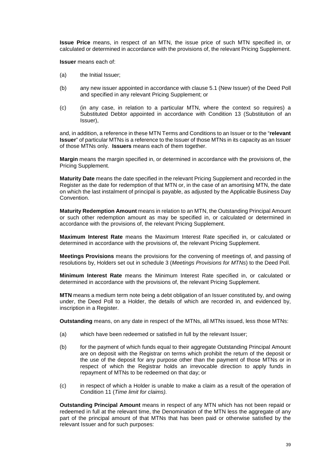**Issue Price** means, in respect of an MTN, the issue price of such MTN specified in, or calculated or determined in accordance with the provisions of, the relevant Pricing Supplement.

**Issuer** means each of:

- (a) the Initial Issuer;
- (b) any new issuer appointed in accordance with clause 5.1 (New Issuer) of the Deed Poll and specified in any relevant Pricing Supplement; or
- (c) (in any case, in relation to a particular MTN, where the context so requires) a Substituted Debtor appointed in accordance with Condition 13 (Substitution of an Issuer),

and, in addition, a reference in these MTN Terms and Conditions to an Issuer or to the "**relevant Issuer**" of particular MTNs is a reference to the Issuer of those MTNs in its capacity as an Issuer of those MTNs only. **Issuers** means each of them together.

**Margin** means the margin specified in, or determined in accordance with the provisions of, the Pricing Supplement.

**Maturity Date** means the date specified in the relevant Pricing Supplement and recorded in the Register as the date for redemption of that MTN or, in the case of an amortising MTN, the date on which the last instalment of principal is payable, as adjusted by the Applicable Business Day Convention.

**Maturity Redemption Amount** means in relation to an MTN, the Outstanding Principal Amount or such other redemption amount as may be specified in, or calculated or determined in accordance with the provisions of, the relevant Pricing Supplement.

**Maximum Interest Rate** means the Maximum Interest Rate specified in, or calculated or determined in accordance with the provisions of, the relevant Pricing Supplement.

**Meetings Provisions** means the provisions for the convening of meetings of, and passing of resolutions by, Holders set out in schedule 3 (*Meetings Provisions for MTNs*) to the Deed Poll.

**Minimum Interest Rate** means the Minimum Interest Rate specified in, or calculated or determined in accordance with the provisions of, the relevant Pricing Supplement.

**MTN** means a medium term note being a debt obligation of an Issuer constituted by, and owing under, the Deed Poll to a Holder, the details of which are recorded in, and evidenced by, inscription in a Register.

**Outstanding** means, on any date in respect of the MTNs, all MTNs issued, less those MTNs:

- (a) which have been redeemed or satisfied in full by the relevant Issuer;
- (b) for the payment of which funds equal to their aggregate Outstanding Principal Amount are on deposit with the Registrar on terms which prohibit the return of the deposit or the use of the deposit for any purpose other than the payment of those MTNs or in respect of which the Registrar holds an irrevocable direction to apply funds in repayment of MTNs to be redeemed on that day; or
- (c) in respect of which a Holder is unable to make a claim as a result of the operation of Condition 11 (*Time limit for claims).*

**Outstanding Principal Amount** means in respect of any MTN which has not been repaid or redeemed in full at the relevant time, the Denomination of the MTN less the aggregate of any part of the principal amount of that MTNs that has been paid or otherwise satisfied by the relevant Issuer and for such purposes: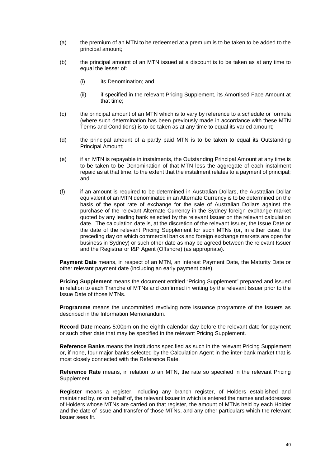- (a) the premium of an MTN to be redeemed at a premium is to be taken to be added to the principal amount;
- (b) the principal amount of an MTN issued at a discount is to be taken as at any time to equal the lesser of:
	- (i) its Denomination; and
	- (ii) if specified in the relevant Pricing Supplement, its Amortised Face Amount at that time;
- (c) the principal amount of an MTN which is to vary by reference to a schedule or formula (where such determination has been previously made in accordance with these MTN Terms and Conditions) is to be taken as at any time to equal its varied amount;
- (d) the principal amount of a partly paid MTN is to be taken to equal its Outstanding Principal Amount;
- (e) if an MTN is repayable in instalments, the Outstanding Principal Amount at any time is to be taken to be Denomination of that MTN less the aggregate of each instalment repaid as at that time, to the extent that the instalment relates to a payment of principal; and
- (f) if an amount is required to be determined in Australian Dollars, the Australian Dollar equivalent of an MTN denominated in an Alternate Currency is to be determined on the basis of the spot rate of exchange for the sale of Australian Dollars against the purchase of the relevant Alternate Currency in the Sydney foreign exchange market quoted by any leading bank selected by the relevant Issuer on the relevant calculation date. The calculation date is, at the discretion of the relevant Issuer, the Issue Date or the date of the relevant Pricing Supplement for such MTNs (or, in either case, the preceding day on which commercial banks and foreign exchange markets are open for business in Sydney) or such other date as may be agreed between the relevant Issuer and the Registrar or I&P Agent (Offshore) (as appropriate).

**Payment Date** means, in respect of an MTN, an Interest Payment Date, the Maturity Date or other relevant payment date (including an early payment date).

**Pricing Supplement** means the document entitled "Pricing Supplement" prepared and issued in relation to each Tranche of MTNs and confirmed in writing by the relevant Issuer prior to the Issue Date of those MTNs.

**Programme** means the uncommitted revolving note issuance programme of the Issuers as described in the Information Memorandum.

**Record Date** means 5:00pm on the eighth calendar day before the relevant date for payment or such other date that may be specified in the relevant Pricing Supplement.

**Reference Banks** means the institutions specified as such in the relevant Pricing Supplement or, if none, four major banks selected by the Calculation Agent in the inter-bank market that is most closely connected with the Reference Rate.

**Reference Rate** means, in relation to an MTN, the rate so specified in the relevant Pricing Supplement.

**Register** means a register, including any branch register, of Holders established and maintained by, or on behalf of, the relevant Issuer in which is entered the names and addresses of Holders whose MTNs are carried on that register, the amount of MTNs held by each Holder and the date of issue and transfer of those MTNs, and any other particulars which the relevant Issuer sees fit.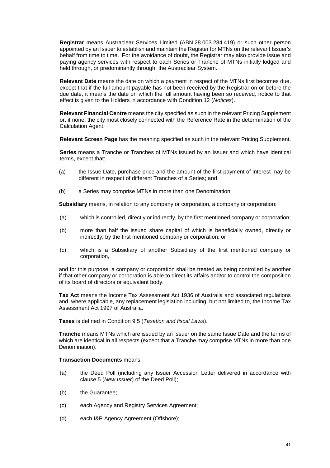**Registrar** means Austraclear Services Limited (ABN 28 003 284 419) or such other person appointed by an Issuer to establish and maintain the Register for MTNs on the relevant Issuer's behalf from time to time. For the avoidance of doubt, the Registrar may also provide issue and paying agency services with respect to each Series or Tranche of MTNs initially lodged and held through, or predominantly through, the Austraclear System.

**Relevant Date** means the date on which a payment in respect of the MTNs first becomes due, except that if the full amount payable has not been received by the Registrar on or before the due date, it means the date on which the full amount having been so received, notice to that effect is given to the Holders in accordance with Condition 12 (*Notices*).

**Relevant Financial Centre** means the city specified as such in the relevant Pricing Supplement or, if none, the city most closely connected with the Reference Rate in the determination of the Calculation Agent.

**Relevant Screen Page** has the meaning specified as such in the relevant Pricing Supplement.

**Series** means a Tranche or Tranches of MTNs issued by an Issuer and which have identical terms, except that:

- (a) the Issue Date, purchase price and the amount of the first payment of interest may be different in respect of different Tranches of a Series; and
- (b) a Series may comprise MTNs in more than one Denomination.

**Subsidiary** means, in relation to any company or corporation, a company or corporation:

- (a) which is controlled, directly or indirectly, by the first mentioned company or corporation;
- (b) more than half the issued share capital of which is beneficially owned, directly or indirectly, by the first mentioned company or corporation; or
- (c) which is a Subsidiary of another Subsidiary of the first mentioned company or corporation,

and for this purpose, a company or corporation shall be treated as being controlled by another if that other company or corporation is able to direct its affairs and/or to control the composition of its board of directors or equivalent body.

**Tax Act** means the Income Tax Assessment Act 1936 of Australia and associated regulations and, where applicable, any replacement legislation including, but not limited to, the Income Tax Assessment Act 1997 of Australia.

**Taxes** is defined in Condition 9.5 (*Taxation and fiscal Laws*).

**Tranche** means MTNs which are issued by an Issuer on the same Issue Date and the terms of which are identical in all respects (except that a Tranche may comprise MTNs in more than one Denomination).

## **Transaction Documents** means:

- (a) the Deed Poll (including any Issuer Accession Letter delivered in accordance with clause 5 (*New Issuer*) of the Deed Poll);
- (b) the Guarantee;
- (c) each Agency and Registry Services Agreement;
- (d) each I&P Agency Agreement (Offshore);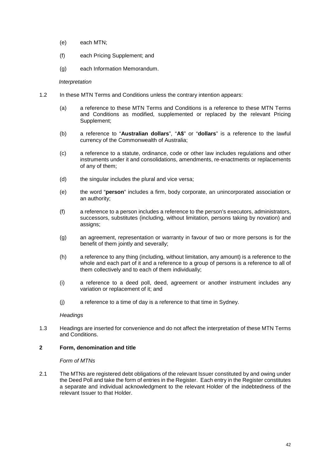- (e) each MTN;
- (f) each Pricing Supplement; and
- (g) each Information Memorandum.

#### *Interpretation*

- 1.2 In these MTN Terms and Conditions unless the contrary intention appears:
	- (a) a reference to these MTN Terms and Conditions is a reference to these MTN Terms and Conditions as modified, supplemented or replaced by the relevant Pricing Supplement;
	- (b) a reference to "**Australian dollars**", "**A\$**" or "**dollars**" is a reference to the lawful currency of the Commonwealth of Australia;
	- (c) a reference to a statute, ordinance, code or other law includes regulations and other instruments under it and consolidations, amendments, re-enactments or replacements of any of them;
	- (d) the singular includes the plural and vice versa;
	- (e) the word "**person**" includes a firm, body corporate, an unincorporated association or an authority;
	- (f) a reference to a person includes a reference to the person's executors, administrators, successors, substitutes (including, without limitation, persons taking by novation) and assigns;
	- (g) an agreement, representation or warranty in favour of two or more persons is for the benefit of them jointly and severally;
	- (h) a reference to any thing (including, without limitation, any amount) is a reference to the whole and each part of it and a reference to a group of persons is a reference to all of them collectively and to each of them individually;
	- (i) a reference to a deed poll, deed, agreement or another instrument includes any variation or replacement of it; and
	- (j) a reference to a time of day is a reference to that time in Sydney.

## *Headings*

1.3 Headings are inserted for convenience and do not affect the interpretation of these MTN Terms and Conditions.

## **2 Form, denomination and title**

## *Form of MTNs*

2.1 The MTNs are registered debt obligations of the relevant Issuer constituted by and owing under the Deed Poll and take the form of entries in the Register. Each entry in the Register constitutes a separate and individual acknowledgment to the relevant Holder of the indebtedness of the relevant Issuer to that Holder.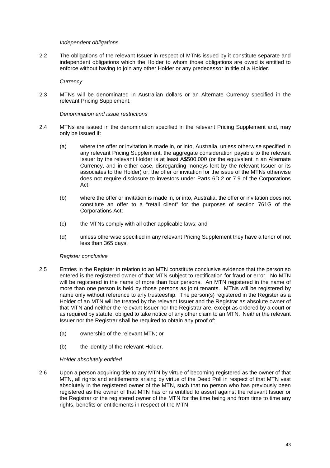## *Independent obligations*

2.2 The obligations of the relevant Issuer in respect of MTNs issued by it constitute separate and independent obligations which the Holder to whom those obligations are owed is entitled to enforce without having to join any other Holder or any predecessor in title of a Holder.

# *Currency*

2.3 MTNs will be denominated in Australian dollars or an Alternate Currency specified in the relevant Pricing Supplement.

## *Denomination and issue restrictions*

- 2.4 MTNs are issued in the denomination specified in the relevant Pricing Supplement and, may only be issued if:
	- (a) where the offer or invitation is made in, or into, Australia, unless otherwise specified in any relevant Pricing Supplement, the aggregate consideration payable to the relevant Issuer by the relevant Holder is at least A\$500,000 (or the equivalent in an Alternate Currency, and in either case, disregarding moneys lent by the relevant Issuer or its associates to the Holder) or, the offer or invitation for the issue of the MTNs otherwise does not require disclosure to investors under Parts 6D.2 or 7.9 of the Corporations Act;
	- (b) where the offer or invitation is made in, or into, Australia, the offer or invitation does not constitute an offer to a "retail client" for the purposes of section 761G of the Corporations Act;
	- (c) the MTNs comply with all other applicable laws; and
	- (d) unless otherwise specified in any relevant Pricing Supplement they have a tenor of not less than 365 days.

## *Register conclusive*

- 2.5 Entries in the Register in relation to an MTN constitute conclusive evidence that the person so entered is the registered owner of that MTN subject to rectification for fraud or error. No MTN will be registered in the name of more than four persons. An MTN registered in the name of more than one person is held by those persons as joint tenants. MTNs will be registered by name only without reference to any trusteeship. The person(s) registered in the Register as a Holder of an MTN will be treated by the relevant Issuer and the Registrar as absolute owner of that MTN and neither the relevant Issuer nor the Registrar are, except as ordered by a court or as required by statute, obliged to take notice of any other claim to an MTN. Neither the relevant Issuer nor the Registrar shall be required to obtain any proof of:
	- (a) ownership of the relevant MTN; or
	- (b) the identity of the relevant Holder.

## *Holder absolutely entitled*

2.6 Upon a person acquiring title to any MTN by virtue of becoming registered as the owner of that MTN, all rights and entitlements arising by virtue of the Deed Poll in respect of that MTN vest absolutely in the registered owner of the MTN, such that no person who has previously been registered as the owner of that MTN has or is entitled to assert against the relevant Issuer or the Registrar or the registered owner of the MTN for the time being and from time to time any rights, benefits or entitlements in respect of the MTN.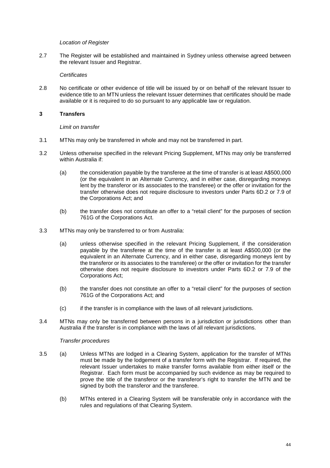## *Location of Register*

2.7 The Register will be established and maintained in Sydney unless otherwise agreed between the relevant Issuer and Registrar.

## *Certificates*

2.8 No certificate or other evidence of title will be issued by or on behalf of the relevant Issuer to evidence title to an MTN unless the relevant Issuer determines that certificates should be made available or it is required to do so pursuant to any applicable law or regulation.

# **3 Transfers**

## *Limit on transfer*

- 3.1 MTNs may only be transferred in whole and may not be transferred in part.
- 3.2 Unless otherwise specified in the relevant Pricing Supplement, MTNs may only be transferred within Australia if:
	- (a) the consideration payable by the transferee at the time of transfer is at least A\$500,000 (or the equivalent in an Alternate Currency, and in either case, disregarding moneys lent by the transferor or its associates to the transferee) or the offer or invitation for the transfer otherwise does not require disclosure to investors under Parts 6D.2 or 7.9 of the Corporations Act; and
	- (b) the transfer does not constitute an offer to a "retail client" for the purposes of section 761G of the Corporations Act.
- 3.3 MTNs may only be transferred to or from Australia:
	- (a) unless otherwise specified in the relevant Pricing Supplement, if the consideration payable by the transferee at the time of the transfer is at least A\$500,000 (or the equivalent in an Alternate Currency, and in either case, disregarding moneys lent by the transferor or its associates to the transferee) or the offer or invitation for the transfer otherwise does not require disclosure to investors under Parts 6D.2 or 7.9 of the Corporations Act;
	- (b) the transfer does not constitute an offer to a "retail client" for the purposes of section 761G of the Corporations Act; and
	- (c) if the transfer is in compliance with the laws of all relevant jurisdictions.
- 3.4 MTNs may only be transferred between persons in a jurisdiction or jurisdictions other than Australia if the transfer is in compliance with the laws of all relevant jurisdictions.

## *Transfer procedures*

- 3.5 (a) Unless MTNs are lodged in a Clearing System, application for the transfer of MTNs must be made by the lodgement of a transfer form with the Registrar. If required, the relevant Issuer undertakes to make transfer forms available from either itself or the Registrar. Each form must be accompanied by such evidence as may be required to prove the title of the transferor or the transferor's right to transfer the MTN and be signed by both the transferor and the transferee.
	- (b) MTNs entered in a Clearing System will be transferable only in accordance with the rules and regulations of that Clearing System.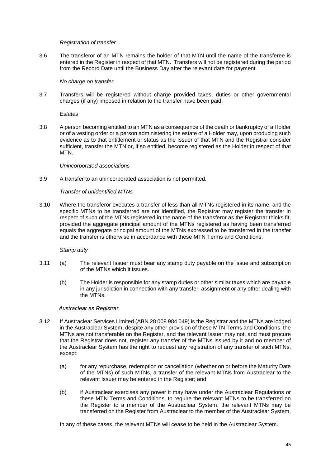## *Registration of transfer*

3.6 The transferor of an MTN remains the holder of that MTN until the name of the transferee is entered in the Register in respect of that MTN. Transfers will not be registered during the period from the Record Date until the Business Day after the relevant date for payment.

## *No charge on transfer*

3.7 Transfers will be registered without charge provided taxes, duties or other governmental charges (if any) imposed in relation to the transfer have been paid.

*Estates*

3.8 A person becoming entitled to an MTN as a consequence of the death or bankruptcy of a Holder or of a vesting order or a person administering the estate of a Holder may, upon producing such evidence as to that entitlement or status as the Issuer of that MTN and the Registrar consider sufficient, transfer the MTN or, if so entitled, become registered as the Holder in respect of that MTN.

## *Unincorporated associations*

3.9 A transfer to an unincorporated association is not permitted.

# *Transfer of unidentified MTNs*

3.10 Where the transferor executes a transfer of less than all MTNs registered in its name, and the specific MTNs to be transferred are not identified, the Registrar may register the transfer in respect of such of the MTNs registered in the name of the transferor as the Registrar thinks fit, provided the aggregate principal amount of the MTNs registered as having been transferred equals the aggregate principal amount of the MTNs expressed to be transferred in the transfer and the transfer is otherwise in accordance with these MTN Terms and Conditions.

## *Stamp duty*

- 3.11 (a) The relevant Issuer must bear any stamp duty payable on the issue and subscription of the MTNs which it issues.
	- (b) The Holder is responsible for any stamp duties or other similar taxes which are payable in any jurisdiction in connection with any transfer, assignment or any other dealing with the MTNs.

## *Austraclear as Registrar*

- 3.12 If Austraclear Services Limited (ABN 28 008 984 049) is the Registrar and the MTNs are lodged in the Austraclear System, despite any other provision of these MTN Terms and Conditions, the MTNs are not transferable on the Register, and the relevant Issuer may not, and must procure that the Registrar does not, register any transfer of the MTNs issued by it and no member of the Austraclear System has the right to request any registration of any transfer of such MTNs, except:
	- (a) for any repurchase, redemption or cancellation (whether on or before the Maturity Date of the MTNs) of such MTNs, a transfer of the relevant MTNs from Austraclear to the relevant Issuer may be entered in the Register; and
	- (b) if Austraclear exercises any power it may have under the Austraclear Regulations or these MTN Terms and Conditions, to require the relevant MTNs to be transferred on the Register to a member of the Austraclear System, the relevant MTNs may be transferred on the Register from Austraclear to the member of the Austraclear System.

In any of these cases, the relevant MTNs will cease to be held in the Austraclear System.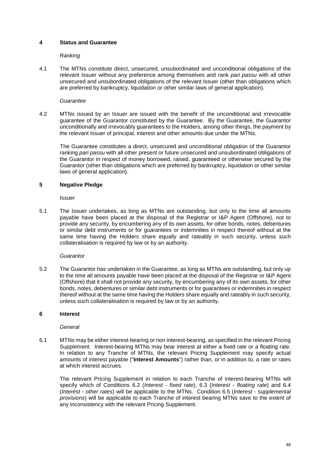# **4 Status and Guarantee**

## *Ranking*

4.1 The MTNs constitute direct, unsecured, unsubordinated and unconditional obligations of the relevant Issuer without any preference among themselves and rank *pari passu* with all other unsecured and unsubordinated obligations of the relevant Issuer (other than obligations which are preferred by bankruptcy, liquidation or other similar laws of general application).

## *Guarantee*

4.2 MTNs issued by an Issuer are issued with the benefit of the unconditional and irrevocable guarantee of the Guarantor constituted by the Guarantee. By the Guarantee, the Guarantor unconditionally and irrevocably guarantees to the Holders, among other things, the payment by the relevant Issuer of principal, interest and other amounts due under the MTNs.

The Guarantee constitutes a direct, unsecured and unconditional obligation of the Guarantor ranking *pari passu* with all other present or future unsecured and unsubordinated obligations of the Guarantor in respect of money borrowed, raised, guaranteed or otherwise secured by the Guarantor (other than obligations which are preferred by bankruptcy, liquidation or other similar laws of general application).

# **5 Negative Pledge**

*Issuer* 

5.1 The Issuer undertakes, as long as MTNs are outstanding, but only to the time all amounts payable have been placed at the disposal of the Registrar or I&P Agent (Offshore), not to provide any security, by encumbering any of its own assets, for other bonds, notes, debentures or similar debt instruments or for guarantees or indemnities in respect thereof without at the same time having the Holders share equally and rateably in such security, unless such collateralisation is required by law or by an authority.

## *Guarantor*

5.2 The Guarantor has undertaken in the Guarantee, as long as MTNs are outstanding, but only up to the time all amounts payable have been placed at the disposal of the Registrar or I&P Agent (Offshore) that it shall not provide any security, by encumbering any of its own assets, for other bonds, notes, debentures or similar debt instruments or for guarantees or indemnities in respect thereof without at the same time having the Holders share equally and rateably in such security, unless such collateralisation is required by law or by an authority.

## **6 Interest**

## *General*

6.1 MTNs may be either interest-bearing or non interest-bearing, as specified in the relevant Pricing Supplement. Interest-bearing MTNs may bear interest at either a fixed rate or a floating rate. In relation to any Tranche of MTNs, the relevant Pricing Supplement may specify actual amounts of interest payable ("**Interest Amounts**") rather than, or in addition to, a rate or rates at which interest accrues.

The relevant Pricing Supplement in relation to each Tranche of interest-bearing MTNs will specify which of Conditions 6.2 (*Interest - fixed rate*), 6.3 (*Interest - floating rate*) and 6.4 (*Interest - other rates*) will be applicable to the MTNs. Condition 6.5 (*Interest - supplemental provisions*) will be applicable to each Tranche of interest bearing MTNs save to the extent of any inconsistency with the relevant Pricing Supplement.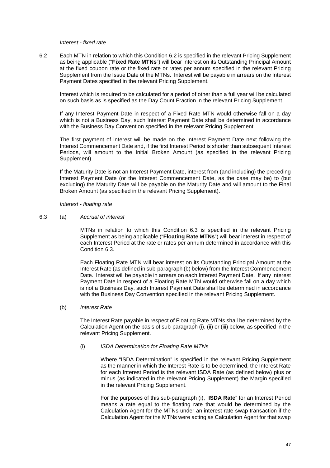#### *Interest - fixed rate*

6.2 Each MTN in relation to which this Condition 6.2 is specified in the relevant Pricing Supplement as being applicable ("**Fixed Rate MTNs**") will bear interest on its Outstanding Principal Amount at the fixed coupon rate or the fixed rate or rates per annum specified in the relevant Pricing Supplement from the Issue Date of the MTNs. Interest will be payable in arrears on the Interest Payment Dates specified in the relevant Pricing Supplement.

Interest which is required to be calculated for a period of other than a full year will be calculated on such basis as is specified as the Day Count Fraction in the relevant Pricing Supplement.

If any Interest Payment Date in respect of a Fixed Rate MTN would otherwise fall on a day which is not a Business Day, such Interest Payment Date shall be determined in accordance with the Business Day Convention specified in the relevant Pricing Supplement.

The first payment of interest will be made on the Interest Payment Date next following the Interest Commencement Date and, if the first Interest Period is shorter than subsequent Interest Periods, will amount to the Initial Broken Amount (as specified in the relevant Pricing Supplement).

If the Maturity Date is not an Interest Payment Date, interest from (and including) the preceding Interest Payment Date (or the Interest Commencement Date, as the case may be) to (but excluding) the Maturity Date will be payable on the Maturity Date and will amount to the Final Broken Amount (as specified in the relevant Pricing Supplement).

#### *Interest - floating rate*

## 6.3 (a) *Accrual of interest*

MTNs in relation to which this Condition 6.3 is specified in the relevant Pricing Supplement as being applicable ("**Floating Rate MTNs**") will bear interest in respect of each Interest Period at the rate or rates per annum determined in accordance with this Condition 6.3.

Each Floating Rate MTN will bear interest on its Outstanding Principal Amount at the Interest Rate (as defined in sub-paragraph (b) below) from the Interest Commencement Date. Interest will be payable in arrears on each Interest Payment Date. If any Interest Payment Date in respect of a Floating Rate MTN would otherwise fall on a day which is not a Business Day, such Interest Payment Date shall be determined in accordance with the Business Day Convention specified in the relevant Pricing Supplement.

## (b) *Interest Rate*

The Interest Rate payable in respect of Floating Rate MTNs shall be determined by the Calculation Agent on the basis of sub-paragraph (i), (ii) or (iii) below, as specified in the relevant Pricing Supplement.

## (i) *ISDA Determination for Floating Rate MTNs*

Where "ISDA Determination" is specified in the relevant Pricing Supplement as the manner in which the Interest Rate is to be determined, the Interest Rate for each Interest Period is the relevant ISDA Rate (as defined below) plus or minus (as indicated in the relevant Pricing Supplement) the Margin specified in the relevant Pricing Supplement.

For the purposes of this sub-paragraph (i), "**ISDA Rate**" for an Interest Period means a rate equal to the floating rate that would be determined by the Calculation Agent for the MTNs under an interest rate swap transaction if the Calculation Agent for the MTNs were acting as Calculation Agent for that swap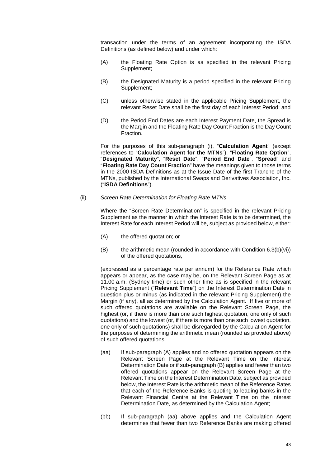transaction under the terms of an agreement incorporating the ISDA Definitions (as defined below) and under which:

- (A) the Floating Rate Option is as specified in the relevant Pricing Supplement;
- (B) the Designated Maturity is a period specified in the relevant Pricing Supplement;
- (C) unless otherwise stated in the applicable Pricing Supplement, the relevant Reset Date shall be the first day of each Interest Period; and
- (D) the Period End Dates are each Interest Payment Date, the Spread is the Margin and the Floating Rate Day Count Fraction is the Day Count Fraction.

For the purposes of this sub-paragraph (i), "**Calculation Agent**" (except references to "**Calculation Agent for the MTNs**"), "**Floating Rate Option**", "**Designated Maturity**", "**Reset Date**", "**Period End Date**", "**Spread**" and "**Floating Rate Day Count Fraction**" have the meanings given to those terms in the 2000 ISDA Definitions as at the Issue Date of the first Tranche of the MTNs, published by the International Swaps and Derivatives Association, Inc. ("**ISDA Definitions**").

## (ii) *Screen Rate Determination for Floating Rate MTNs*

Where the "Screen Rate Determination" is specified in the relevant Pricing Supplement as the manner in which the Interest Rate is to be determined, the Interest Rate for each Interest Period will be, subject as provided below, either:

- (A) the offered quotation; or
- (B) the arithmetic mean (rounded in accordance with Condition  $6.3(b)(vi)$ ) of the offered quotations,

(expressed as a percentage rate per annum) for the Reference Rate which appears or appear, as the case may be, on the Relevant Screen Page as at 11.00 a.m. (Sydney time) or such other time as is specified in the relevant Pricing Supplement ("**Relevant Time**") on the Interest Determination Date in question plus or minus (as indicated in the relevant Pricing Supplement) the Margin (if any), all as determined by the Calculation Agent. If five or more of such offered quotations are available on the Relevant Screen Page, the highest (or, if there is more than one such highest quotation, one only of such quotations) and the lowest (or, if there is more than one such lowest quotation, one only of such quotations) shall be disregarded by the Calculation Agent for the purposes of determining the arithmetic mean (rounded as provided above) of such offered quotations.

- (aa) If sub-paragraph (A) applies and no offered quotation appears on the Relevant Screen Page at the Relevant Time on the Interest Determination Date or if sub-paragraph (B) applies and fewer than two offered quotations appear on the Relevant Screen Page at the Relevant Time on the Interest Determination Date, subject as provided below, the Interest Rate is the arithmetic mean of the Reference Rates that each of the Reference Banks is quoting to leading banks in the Relevant Financial Centre at the Relevant Time on the Interest Determination Date, as determined by the Calculation Agent;
- (bb) If sub-paragraph (aa) above applies and the Calculation Agent determines that fewer than two Reference Banks are making offered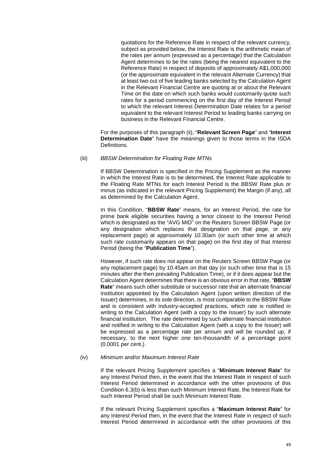quotations for the Reference Rate in respect of the relevant currency, subject as provided below, the Interest Rate is the arithmetic mean of the rates per annum (expressed as a percentage) that the Calculation Agent determines to be the rates (being the nearest equivalent to the Reference Rate) in respect of deposits of approximately A\$1,000,000 (or the approximate equivalent in the relevant Alternate Currency) that at least two out of five leading banks selected by the Calculation Agent in the Relevant Financial Centre are quoting at or about the Relevant Time on the date on which such banks would customarily quote such rates for a period commencing on the first day of the Interest Period to which the relevant Interest Determination Date relates for a period equivalent to the relevant Interest Period to leading banks carrying on business in the Relevant Financial Centre.

For the purposes of this paragraph (ii), "**Relevant Screen Page**" and "**Interest Determination Date**" have the meanings given to those terms in the ISDA Definitions.

#### (iii) *BBSW Determination for Floating Rate MTNs*

If BBSW Determination is specified in the Pricing Supplement as the manner in which the Interest Rate is to be determined, the Interest Rate applicable to the Floating Rate MTNs for each Interest Period is the BBSW Rate plus or minus (as indicated in the relevant Pricing Supplement) the Margin (if any), all as determined by the Calculation Agent.

In this Condition, "**BBSW Rate**" means, for an Interest Period, the rate for prime bank eligible securities having a tenor closest to the Interest Period which is designated as the "AVG MID" on the Reuters Screen BBSW Page (or any designation which replaces that designation on that page, or any replacement page) at approximately 10.30am (or such other time at which such rate customarily appears on that page) on the first day of that Interest Period (being the "**Publication Time**").

However, if such rate does not appear on the Reuters Screen BBSW Page (or any replacement page) by 10.45am on that day (or such other time that is 15 minutes after the then prevailing Publication Time), or if it does appear but the Calculation Agent determines that there is an obvious error in that rate, "**BBSW Rate**" means such other substitute or successor rate that an alternate financial institution appointed by the Calculation Agent (upon written direction of the Issuer) determines, in its sole direction, is most comparable to the BBSW Rate and is consistent with industry-accepted practices, which rate is notified in writing to the Calculation Agent (with a copy to the Issuer) by such alternate financial institution. The rate determined by such alternate financial institution and notified in writing to the Calculation Agent (with a copy to the Issuer) will be expressed as a percentage rate per annum and will be rounded up, if necessary, to the next higher one ten-thousandth of a percentage point (0.0001 per cent.).

#### (iv) *Minimum and/or Maximum Interest Rate*

If the relevant Pricing Supplement specifies a "**Minimum Interest Rate**" for any Interest Period then, in the event that the Interest Rate in respect of such Interest Period determined in accordance with the other provisions of this Condition 6.3(b) is less than such Minimum Interest Rate, the Interest Rate for such Interest Period shall be such Minimum Interest Rate.

If the relevant Pricing Supplement specifies a "**Maximum Interest Rate**" for any Interest Period then, in the event that the Interest Rate in respect of such Interest Period determined in accordance with the other provisions of this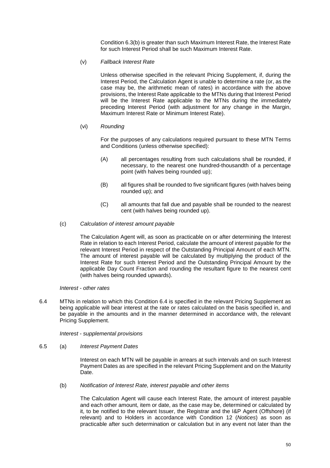Condition 6.3(b) is greater than such Maximum Interest Rate, the Interest Rate for such Interest Period shall be such Maximum Interest Rate.

(v) *Fallback Interest Rate* 

Unless otherwise specified in the relevant Pricing Supplement, if, during the Interest Period, the Calculation Agent is unable to determine a rate (or, as the case may be, the arithmetic mean of rates) in accordance with the above provisions, the Interest Rate applicable to the MTNs during that Interest Period will be the Interest Rate applicable to the MTNs during the immediately preceding Interest Period (with adjustment for any change in the Margin, Maximum Interest Rate or Minimum Interest Rate).

## (vi) *Rounding*

For the purposes of any calculations required pursuant to these MTN Terms and Conditions (unless otherwise specified):

- (A) all percentages resulting from such calculations shall be rounded, if necessary, to the nearest one hundred-thousandth of a percentage point (with halves being rounded up);
- (B) all figures shall be rounded to five significant figures (with halves being rounded up); and
- (C) all amounts that fall due and payable shall be rounded to the nearest cent (with halves being rounded up).
- (c) *Calculation of interest amount payable*

The Calculation Agent will, as soon as practicable on or after determining the Interest Rate in relation to each Interest Period, calculate the amount of interest payable for the relevant Interest Period in respect of the Outstanding Principal Amount of each MTN. The amount of interest payable will be calculated by multiplying the product of the Interest Rate for such Interest Period and the Outstanding Principal Amount by the applicable Day Count Fraction and rounding the resultant figure to the nearest cent (with halves being rounded upwards).

## *Interest - other rates*

6.4 MTNs in relation to which this Condition 6.4 is specified in the relevant Pricing Supplement as being applicable will bear interest at the rate or rates calculated on the basis specified in, and be payable in the amounts and in the manner determined in accordance with, the relevant Pricing Supplement.

*Interest - supplemental provisions*

6.5 (a) *Interest Payment Dates* 

Interest on each MTN will be payable in arrears at such intervals and on such Interest Payment Dates as are specified in the relevant Pricing Supplement and on the Maturity Date.

(b) *Notification of Interest Rate, interest payable and other items* 

The Calculation Agent will cause each Interest Rate, the amount of interest payable and each other amount, item or date, as the case may be, determined or calculated by it, to be notified to the relevant Issuer, the Registrar and the I&P Agent (Offshore) (if relevant) and to Holders in accordance with Condition 12 (*Notices*) as soon as practicable after such determination or calculation but in any event not later than the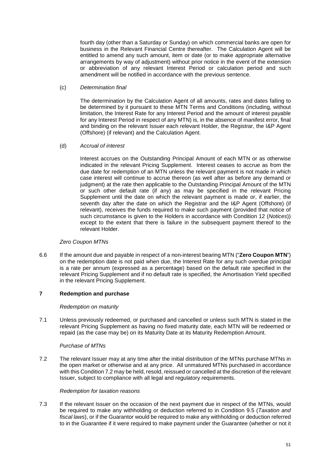fourth day (other than a Saturday or Sunday) on which commercial banks are open for business in the Relevant Financial Centre thereafter. The Calculation Agent will be entitled to amend any such amount, item or date (or to make appropriate alternative arrangements by way of adjustment) without prior notice in the event of the extension or abbreviation of any relevant Interest Period or calculation period and such amendment will be notified in accordance with the previous sentence.

## (c) *Determination final*

The determination by the Calculation Agent of all amounts, rates and dates falling to be determined by it pursuant to these MTN Terms and Conditions (including, without limitation, the Interest Rate for any Interest Period and the amount of interest payable for any Interest Period in respect of any MTN) is, in the absence of manifest error, final and binding on the relevant Issuer each relevant Holder, the Registrar, the I&P Agent (Offshore) (if relevant) and the Calculation Agent.

## (d) *Accrual of interest*

Interest accrues on the Outstanding Principal Amount of each MTN or as otherwise indicated in the relevant Pricing Supplement. Interest ceases to accrue as from the due date for redemption of an MTN unless the relevant payment is not made in which case interest will continue to accrue thereon (as well after as before any demand or judgment) at the rate then applicable to the Outstanding Principal Amount of the MTN or such other default rate (if any) as may be specified in the relevant Pricing Supplement until the date on which the relevant payment is made or, if earlier, the seventh day after the date on which the Registrar and the I&P Agent (Offshore) (if relevant), receives the funds required to make such payment (provided that notice of such circumstance is given to the Holders in accordance with Condition 12 (*Notices*)) except to the extent that there is failure in the subsequent payment thereof to the relevant Holder.

# *Zero Coupon MTNs*

6.6 If the amount due and payable in respect of a non-interest bearing MTN ("**Zero Coupon MTN**") on the redemption date is not paid when due, the Interest Rate for any such overdue principal is a rate per annum (expressed as a percentage) based on the default rate specified in the relevant Pricing Supplement and if no default rate is specified, the Amortisation Yield specified in the relevant Pricing Supplement.

# **7 Redemption and purchase**

## *Redemption on maturity*

7.1 Unless previously redeemed, or purchased and cancelled or unless such MTN is stated in the relevant Pricing Supplement as having no fixed maturity date, each MTN will be redeemed or repaid (as the case may be) on its Maturity Date at its Maturity Redemption Amount.

## *Purchase of MTNs*

7.2 The relevant Issuer may at any time after the initial distribution of the MTNs purchase MTNs in the open market or otherwise and at any price. All unmatured MTNs purchased in accordance with this Condition 7.2 may be held, resold, reissued or cancelled at the discretion of the relevant Issuer, subject to compliance with all legal and regulatory requirements.

## *Redemption for taxation reasons*

7.3 If the relevant Issuer on the occasion of the next payment due in respect of the MTNs, would be required to make any withholding or deduction referred to in Condition 9.5 (*Taxation and fiscal laws*), or if the Guarantor would be required to make any withholding or deduction referred to in the Guarantee if it were required to make payment under the Guarantee (whether or not it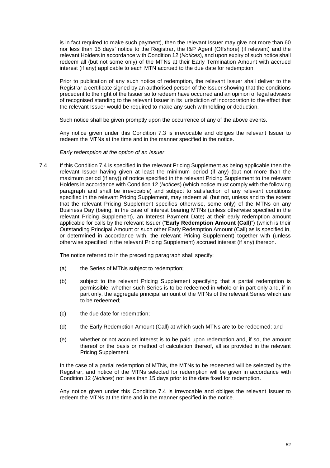is in fact required to make such payment), then the relevant Issuer may give not more than 60 nor less than 15 days' notice to the Registrar, the I&P Agent (Offshore) (if relevant) and the relevant Holders in accordance with Condition 12 (*Notices*), and upon expiry of such notice shall redeem all (but not some only) of the MTNs at their Early Termination Amount with accrued interest (if any) applicable to each MTN accrued to the due date for redemption.

Prior to publication of any such notice of redemption, the relevant Issuer shall deliver to the Registrar a certificate signed by an authorised person of the Issuer showing that the conditions precedent to the right of the Issuer so to redeem have occurred and an opinion of legal advisers of recognised standing to the relevant Issuer in its jurisdiction of incorporation to the effect that the relevant Issuer would be required to make any such withholding or deduction.

Such notice shall be given promptly upon the occurrence of any of the above events.

Any notice given under this Condition 7.3 is irrevocable and obliges the relevant Issuer to redeem the MTNs at the time and in the manner specified in the notice.

## *Early redemption at the option of an Issuer*

7.4 If this Condition 7.4 is specified in the relevant Pricing Supplement as being applicable then the relevant Issuer having given at least the minimum period (if any) (but not more than the maximum period (if any)) of notice specified in the relevant Pricing Supplement to the relevant Holders in accordance with Condition 12 (*Notices*) (which notice must comply with the following paragraph and shall be irrevocable) and subject to satisfaction of any relevant conditions specified in the relevant Pricing Supplement, may redeem all (but not, unless and to the extent that the relevant Pricing Supplement specifies otherwise, some only) of the MTNs on any Business Day (being, in the case of interest bearing MTNs (unless otherwise specified in the relevant Pricing Supplement), an Interest Payment Date) at their early redemption amount applicable for calls by the relevant Issuer ("**Early Redemption Amount (Call)**") (which is their Outstanding Principal Amount or such other Early Redemption Amount (Call) as is specified in, or determined in accordance with, the relevant Pricing Supplement) together with (unless otherwise specified in the relevant Pricing Supplement) accrued interest (if any) thereon.

The notice referred to in the preceding paragraph shall specify:

- (a) the Series of MTNs subject to redemption;
- (b) subject to the relevant Pricing Supplement specifying that a partial redemption is permissible, whether such Series is to be redeemed in whole or in part only and, if in part only, the aggregate principal amount of the MTNs of the relevant Series which are to be redeemed;
- (c) the due date for redemption;
- (d) the Early Redemption Amount (Call) at which such MTNs are to be redeemed; and
- (e) whether or not accrued interest is to be paid upon redemption and, if so, the amount thereof or the basis or method of calculation thereof, all as provided in the relevant Pricing Supplement.

In the case of a partial redemption of MTNs, the MTNs to be redeemed will be selected by the Registrar, and notice of the MTNs selected for redemption will be given in accordance with Condition 12 (*Notices*) not less than 15 days prior to the date fixed for redemption.

Any notice given under this Condition 7.4 is irrevocable and obliges the relevant Issuer to redeem the MTNs at the time and in the manner specified in the notice.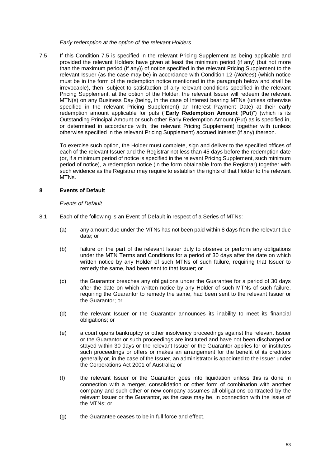## *Early redemption at the option of the relevant Holders*

7.5 If this Condition 7.5 is specified in the relevant Pricing Supplement as being applicable and provided the relevant Holders have given at least the minimum period (if any) (but not more than the maximum period (if any)) of notice specified in the relevant Pricing Supplement to the relevant Issuer (as the case may be) in accordance with Condition 12 (*Notices*) (which notice must be in the form of the redemption notice mentioned in the paragraph below and shall be irrevocable), then, subject to satisfaction of any relevant conditions specified in the relevant Pricing Supplement, at the option of the Holder, the relevant Issuer will redeem the relevant MTN(s) on any Business Day (being, in the case of interest bearing MTNs (unless otherwise specified in the relevant Pricing Supplement) an Interest Payment Date) at their early redemption amount applicable for puts ("**Early Redemption Amount** (**Put**)") (which is its Outstanding Principal Amount or such other Early Redemption Amount (Put) as is specified in, or determined in accordance with, the relevant Pricing Supplement) together with (unless otherwise specified in the relevant Pricing Supplement) accrued interest (if any) thereon.

To exercise such option, the Holder must complete, sign and deliver to the specified offices of each of the relevant Issuer and the Registrar not less than 45 days before the redemption date (or, if a minimum period of notice is specified in the relevant Pricing Supplement, such minimum period of notice), a redemption notice (in the form obtainable from the Registrar) together with such evidence as the Registrar may require to establish the rights of that Holder to the relevant MTNs.

# **8 Events of Default**

## *Events of Default*

- 8.1 Each of the following is an Event of Default in respect of a Series of MTNs:
	- (a) any amount due under the MTNs has not been paid within 8 days from the relevant due date; or
	- (b) failure on the part of the relevant Issuer duly to observe or perform any obligations under the MTN Terms and Conditions for a period of 30 days after the date on which written notice by any Holder of such MTNs of such failure, requiring that Issuer to remedy the same, had been sent to that Issuer; or
	- (c) the Guarantor breaches any obligations under the Guarantee for a period of 30 days after the date on which written notice by any Holder of such MTNs of such failure, requiring the Guarantor to remedy the same, had been sent to the relevant Issuer or the Guarantor; or
	- (d) the relevant Issuer or the Guarantor announces its inability to meet its financial obligations; or
	- (e) a court opens bankruptcy or other insolvency proceedings against the relevant Issuer or the Guarantor or such proceedings are instituted and have not been discharged or stayed within 30 days or the relevant Issuer or the Guarantor applies for or institutes such proceedings or offers or makes an arrangement for the benefit of its creditors generally or, in the case of the Issuer, an administrator is appointed to the Issuer under the Corporations Act 2001 of Australia; or
	- (f) the relevant Issuer or the Guarantor goes into liquidation unless this is done in connection with a merger, consolidation or other form of combination with another company and such other or new company assumes all obligations contracted by the relevant Issuer or the Guarantor, as the case may be, in connection with the issue of the MTNs; or
	- (g) the Guarantee ceases to be in full force and effect.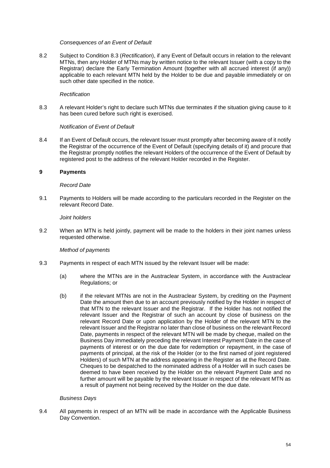## *Consequences of an Event of Default*

8.2 Subject to Condition 8.3 (*Rectification*), if any Event of Default occurs in relation to the relevant MTNs, then any Holder of MTNs may by written notice to the relevant Issuer (with a copy to the Registrar) declare the Early Termination Amount (together with all accrued interest (if any)) applicable to each relevant MTN held by the Holder to be due and payable immediately or on such other date specified in the notice.

## *Rectification*

8.3 A relevant Holder's right to declare such MTNs due terminates if the situation giving cause to it has been cured before such right is exercised.

#### *Notification of Event of Default*

8.4 If an Event of Default occurs, the relevant Issuer must promptly after becoming aware of it notify the Registrar of the occurrence of the Event of Default (specifying details of it) and procure that the Registrar promptly notifies the relevant Holders of the occurrence of the Event of Default by registered post to the address of the relevant Holder recorded in the Register.

#### **9 Payments**

#### *Record Date*

9.1 Payments to Holders will be made according to the particulars recorded in the Register on the relevant Record Date.

## *Joint holders*

9.2 When an MTN is held jointly, payment will be made to the holders in their joint names unless requested otherwise.

## *Method of payments*

- 9.3 Payments in respect of each MTN issued by the relevant Issuer will be made:
	- (a) where the MTNs are in the Austraclear System, in accordance with the Austraclear Regulations; or
	- (b) if the relevant MTNs are not in the Austraclear System, by crediting on the Payment Date the amount then due to an account previously notified by the Holder in respect of that MTN to the relevant Issuer and the Registrar. If the Holder has not notified the relevant Issuer and the Registrar of such an account by close of business on the relevant Record Date or upon application by the Holder of the relevant MTN to the relevant Issuer and the Registrar no later than close of business on the relevant Record Date, payments in respect of the relevant MTN will be made by cheque, mailed on the Business Day immediately preceding the relevant Interest Payment Date in the case of payments of interest or on the due date for redemption or repayment, in the case of payments of principal, at the risk of the Holder (or to the first named of joint registered Holders) of such MTN at the address appearing in the Register as at the Record Date. Cheques to be despatched to the nominated address of a Holder will in such cases be deemed to have been received by the Holder on the relevant Payment Date and no further amount will be payable by the relevant Issuer in respect of the relevant MTN as a result of payment not being received by the Holder on the due date.

## *Business Days*

9.4 All payments in respect of an MTN will be made in accordance with the Applicable Business Day Convention.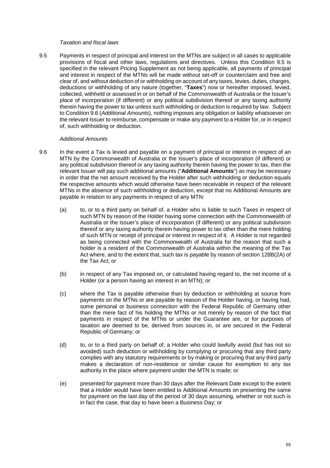## *Taxation and fiscal laws*

9.5 Payments in respect of principal and interest on the MTNs are subject in all cases to applicable provisions of fiscal and other laws, regulations and directives. Unless this Condition 9.5 is specified in the relevant Pricing Supplement as not being applicable, all payments of principal and interest in respect of the MTNs will be made without set-off or counterclaim and free and clear of, and without deduction of or withholding on account of any taxes, levies, duties, charges, deductions or withholding of any nature (together, "**Taxes**") now or hereafter imposed, levied, collected, withheld or assessed in or on behalf of the Commonwealth of Australia or the Issuer's place of incorporation (if different) or any political subdivision thereof or any taxing authority therein having the power to tax unless such withholding or deduction is required by law. Subject to Condition 9.6 (*Additional Amounts*), nothing imposes any obligation or liability whatsoever on the relevant Issuer to reimburse, compensate or make any payment to a Holder for, or in respect of, such withholding or deduction.

#### *Additional Amounts*

- 9.6 In the event a Tax is levied and payable on a payment of principal or interest in respect of an MTN by the Commonwealth of Australia or the Issuer's place of incorporation (if different) or any political subdivision thereof or any taxing authority therein having the power to tax, then the relevant Issuer will pay such additional amounts ("**Additional Amounts**") as may be necessary in order that the net amount received by the Holder after such withholding or deduction equals the respective amounts which would otherwise have been receivable in respect of the relevant MTNs in the absence of such withholding or deduction, except that no Additional Amounts are payable in relation to any payments in respect of any MTN:
	- (a) to, or to a third party on behalf of, a Holder who is liable to such Taxes in respect of such MTN by reason of the Holder having some connection with the Commonwealth of Australia or the Issuer's place of incorporation (if different) or any political subdivision thereof or any taxing authority therein having power to tax other than the mere holding of such MTN or receipt of principal or interest in respect of it. A Holder is not regarded as being connected with the Commonwealth of Australia for the reason that such a holder is a resident of the Commonwealth of Australia within the meaning of the Tax Act where, and to the extent that, such tax is payable by reason of section 128B(2A) of the Tax Act; or
	- (b) in respect of any Tax imposed on, or calculated having regard to, the net income of a Holder (or a person having an interest in an MTN); or
	- (c) where the Tax is payable otherwise than by deduction or withholding at source from payments on the MTNs or are payable by reason of the Holder having, or having had, some personal or business connection with the Federal Republic of Germany other than the mere fact of his holding the MTNs or not merely by reason of the fact that payments in respect of the MTNs or under the Guarantee are, or for purposes of taxation are deemed to be, derived from sources in, or are secured in the Federal Republic of Germany; or
	- (d) to, or to a third party on behalf of, a Holder who could lawfully avoid (but has not so avoided) such deduction or withholding by complying or procuring that any third party complies with any statutory requirements or by making or procuring that any third party makes a declaration of non-residence or similar cause for exemption to any tax authority in the place where payment under the MTN is made; or
	- (e) presented for payment more than 30 days after the Relevant Date except to the extent that a Holder would have been entitled to Additional Amounts on presenting the same for payment on the last day of the period of 30 days assuming, whether or not such is in fact the case, that day to have been a Business Day; or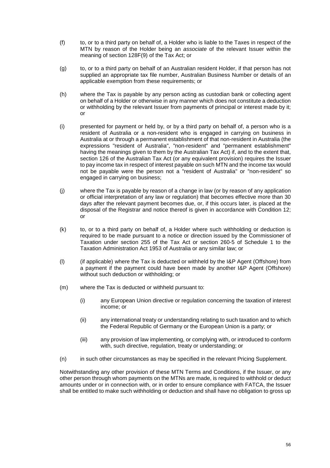- $($ f $)$  to, or to a third party on behalf of, a Holder who is liable to the Taxes in respect of the MTN by reason of the Holder being an *associate* of the relevant Issuer within the meaning of section 128F(9) of the Tax Act; or
- (g) to, or to a third party on behalf of an Australian resident Holder, if that person has not supplied an appropriate tax file number, Australian Business Number or details of an applicable exemption from these requirements; or
- (h) where the Tax is payable by any person acting as custodian bank or collecting agent on behalf of a Holder or otherwise in any manner which does not constitute a deduction or withholding by the relevant Issuer from payments of principal or interest made by it; or
- (i) presented for payment or held by, or by a third party on behalf of, a person who is a resident of Australia or a non-resident who is engaged in carrying on business in Australia at or through a permanent establishment of that non-resident in Australia (the expressions "resident of Australia", "non-resident" and "permanent establishment" having the meanings given to them by the Australian Tax Act) if, and to the extent that, section 126 of the Australian Tax Act (or any equivalent provision) requires the Issuer to pay income tax in respect of interest payable on such MTN and the income tax would not be payable were the person not a "resident of Australia" or "non-resident" so engaged in carrying on business;
- (j) where the Tax is payable by reason of a change in law (or by reason of any application or official interpretation of any law or regulation) that becomes effective more than 30 days after the relevant payment becomes due, or, if this occurs later, is placed at the disposal of the Registrar and notice thereof is given in accordance with Condition 12; or
- (k) to, or to a third party on behalf of, a Holder where such withholding or deduction is required to be made pursuant to a notice or direction issued by the Commissioner of Taxation under section 255 of the Tax Act or section 260-5 of Schedule 1 to the Taxation Administration Act 1953 of Australia or any similar law; or
- (l) (if applicable) where the Tax is deducted or withheld by the I&P Agent (Offshore) from a payment if the payment could have been made by another I&P Agent (Offshore) without such deduction or withholding; or
- (m) where the Tax is deducted or withheld pursuant to:
	- (i) any European Union directive or regulation concerning the taxation of interest income; or
	- (ii) any international treaty or understanding relating to such taxation and to which the Federal Republic of Germany or the European Union is a party; or
	- (iii) any provision of law implementing, or complying with, or introduced to conform with, such directive, regulation, treaty or understanding; or
- (n) in such other circumstances as may be specified in the relevant Pricing Supplement.

Notwithstanding any other provision of these MTN Terms and Conditions, if the Issuer, or any other person through whom payments on the MTNs are made, is required to withhold or deduct amounts under or in connection with, or in order to ensure compliance with FATCA, the Issuer shall be entitled to make such withholding or deduction and shall have no obligation to gross up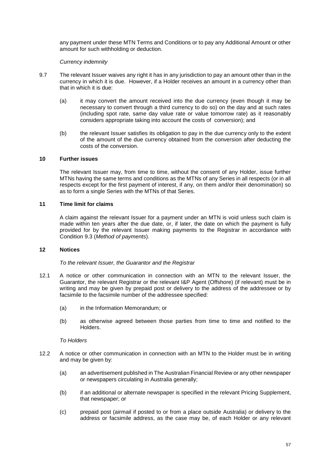any payment under these MTN Terms and Conditions or to pay any Additional Amount or other amount for such withholding or deduction.

## *Currency indemnity*

- 9.7 The relevant Issuer waives any right it has in any jurisdiction to pay an amount other than in the currency in which it is due. However, if a Holder receives an amount in a currency other than that in which it is due:
	- (a) it may convert the amount received into the due currency (even though it may be necessary to convert through a third currency to do so) on the day and at such rates (including spot rate, same day value rate or value tomorrow rate) as it reasonably considers appropriate taking into account the costs of conversion); and
	- (b) the relevant Issuer satisfies its obligation to pay in the due currency only to the extent of the amount of the due currency obtained from the conversion after deducting the costs of the conversion.

## **10 Further issues**

The relevant Issuer may, from time to time, without the consent of any Holder, issue further MTNs having the same terms and conditions as the MTNs of any Series in all respects (or in all respects except for the first payment of interest, if any, on them and/or their denomination) so as to form a single Series with the MTNs of that Series.

## **11 Time limit for claims**

A claim against the relevant Issuer for a payment under an MTN is void unless such claim is made within ten years after the due date, or, if later, the date on which the payment is fully provided for by the relevant Issuer making payments to the Registrar in accordance with Condition 9.3 (*Method of payments*).

## **12 Notices**

## *To the relevant Issuer, the Guarantor and the Registrar*

- 12.1 A notice or other communication in connection with an MTN to the relevant Issuer, the Guarantor, the relevant Registrar or the relevant I&P Agent (Offshore) (if relevant) must be in writing and may be given by prepaid post or delivery to the address of the addressee or by facsimile to the facsimile number of the addressee specified:
	- (a) in the Information Memorandum; or
	- (b) as otherwise agreed between those parties from time to time and notified to the Holders.

# *To Holders*

- 12.2 A notice or other communication in connection with an MTN to the Holder must be in writing and may be given by:
	- (a) an advertisement published in The Australian Financial Review or any other newspaper or newspapers circulating in Australia generally;
	- (b) if an additional or alternate newspaper is specified in the relevant Pricing Supplement, that newspaper; or
	- (c) prepaid post (airmail if posted to or from a place outside Australia) or delivery to the address or facsimile address, as the case may be, of each Holder or any relevant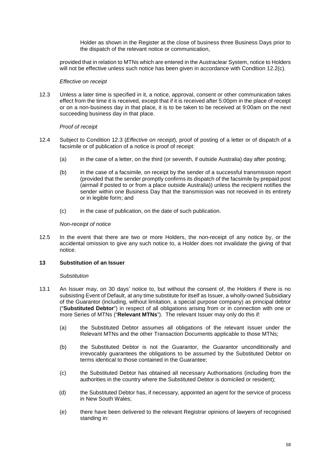Holder as shown in the Register at the close of business three Business Days prior to the dispatch of the relevant notice or communication,

provided that in relation to MTNs which are entered in the Austraclear System, notice to Holders will not be effective unless such notice has been given in accordance with Condition 12.2(c).

#### *Effective on receipt*

12.3 Unless a later time is specified in it, a notice, approval, consent or other communication takes effect from the time it is received, except that if it is received after 5:00pm in the place of receipt or on a non-business day in that place, it is to be taken to be received at 9:00am on the next succeeding business day in that place.

## *Proof of receipt*

- 12.4 Subject to Condition 12.3 (*Effective on receipt*), proof of posting of a letter or of dispatch of a facsimile or of publication of a notice is proof of receipt:
	- (a) in the case of a letter, on the third (or seventh, if outside Australia) day after posting;
	- (b) in the case of a facsimile, on receipt by the sender of a successful transmission report (provided that the sender promptly confirms its dispatch of the facsimile by prepaid post (airmail if posted to or from a place outside Australia)) unless the recipient notifies the sender within one Business Day that the transmission was not received in its entirety or in legible form; and
	- (c) in the case of publication, on the date of such publication.

#### *Non-receipt of notice*

12.5 In the event that there are two or more Holders, the non-receipt of any notice by, or the accidental omission to give any such notice to, a Holder does not invalidate the giving of that notice.

## **13 Substitution of an Issuer**

#### *Substitution*

- 13.1 An Issuer may, on 30 days' notice to, but without the consent of, the Holders if there is no subsisting Event of Default, at any time substitute for itself as Issuer, a wholly-owned Subsidiary of the Guarantor (including, without limitation, a special purpose company) as principal debtor ("**Substituted Debtor**") in respect of all obligations arising from or in connection with one or more Series of MTNs ("**Relevant MTNs**"). The relevant Issuer may only do this if:
	- (a) the Substituted Debtor assumes all obligations of the relevant Issuer under the Relevant MTNs and the other Transaction Documents applicable to those MTNs;
	- (b) the Substituted Debtor is not the Guarantor, the Guarantor unconditionally and irrevocably guarantees the obligations to be assumed by the Substituted Debtor on terms identical to those contained in the Guarantee;
	- (c) the Substituted Debtor has obtained all necessary Authorisations (including from the authorities in the country where the Substituted Debtor is domiciled or resident);
	- (d) the Substituted Debtor has, if necessary, appointed an agent for the service of process in New South Wales;
	- (e) there have been delivered to the relevant Registrar opinions of lawyers of recognised standing in: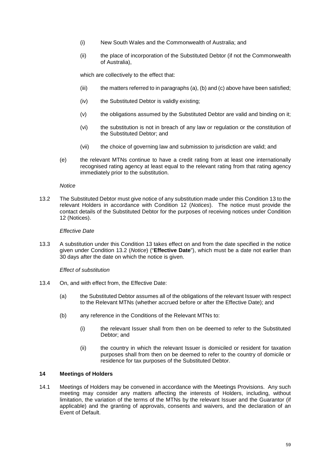- (i) New South Wales and the Commonwealth of Australia; and
- (ii) the place of incorporation of the Substituted Debtor (if not the Commonwealth of Australia),

which are collectively to the effect that:

- (iii) the matters referred to in paragraphs (a), (b) and (c) above have been satisfied;
- (iv) the Substituted Debtor is validly existing;
- (v) the obligations assumed by the Substituted Debtor are valid and binding on it;
- (vi) the substitution is not in breach of any law or regulation or the constitution of the Substituted Debtor; and
- (vii) the choice of governing law and submission to jurisdiction are valid; and
- (e) the relevant MTNs continue to have a credit rating from at least one internationally recognised rating agency at least equal to the relevant rating from that rating agency immediately prior to the substitution.

## *Notice*

13.2 The Substituted Debtor must give notice of any substitution made under this Condition 13 to the relevant Holders in accordance with Condition 12 (*Notices*). The notice must provide the contact details of the Substituted Debtor for the purposes of receiving notices under Condition 12 (Notices).

## *Effective Date*

13.3 A substitution under this Condition 13 takes effect on and from the date specified in the notice given under Condition 13.2 (*Notice*) ("**Effective Date**"), which must be a date not earlier than 30 days after the date on which the notice is given.

## *Effect of substitution*

- 13.4 On, and with effect from, the Effective Date:
	- (a) the Substituted Debtor assumes all of the obligations of the relevant Issuer with respect to the Relevant MTNs (whether accrued before or after the Effective Date); and
	- (b) any reference in the Conditions of the Relevant MTNs to:
		- (i) the relevant Issuer shall from then on be deemed to refer to the Substituted Debtor; and
		- (ii) the country in which the relevant Issuer is domiciled or resident for taxation purposes shall from then on be deemed to refer to the country of domicile or residence for tax purposes of the Substituted Debtor.

# **14 Meetings of Holders**

14.1 Meetings of Holders may be convened in accordance with the Meetings Provisions. Any such meeting may consider any matters affecting the interests of Holders, including, without limitation, the variation of the terms of the MTNs by the relevant Issuer and the Guarantor (if applicable) and the granting of approvals, consents and waivers, and the declaration of an Event of Default.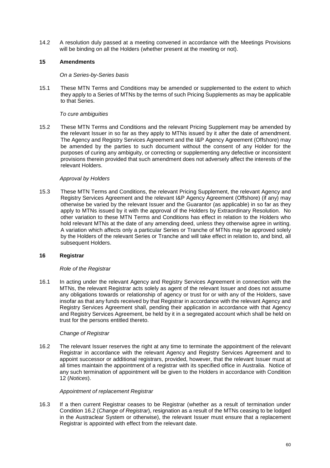14.2 A resolution duly passed at a meeting convened in accordance with the Meetings Provisions will be binding on all the Holders (whether present at the meeting or not).

# **15 Amendments**

#### *On a Series-by-Series basis*

15.1 These MTN Terms and Conditions may be amended or supplemented to the extent to which they apply to a Series of MTNs by the terms of such Pricing Supplements as may be applicable to that Series.

## *To cure ambiguities*

15.2 These MTN Terms and Conditions and the relevant Pricing Supplement may be amended by the relevant Issuer in so far as they apply to MTNs issued by it after the date of amendment. The Agency and Registry Services Agreement and the I&P Agency Agreement (Offshore) may be amended by the parties to such document without the consent of any Holder for the purposes of curing any ambiguity, or correcting or supplementing any defective or inconsistent provisions therein provided that such amendment does not adversely affect the interests of the relevant Holders.

## *Approval by Holders*

15.3 These MTN Terms and Conditions, the relevant Pricing Supplement, the relevant Agency and Registry Services Agreement and the relevant I&P Agency Agreement (Offshore) (if any) may otherwise be varied by the relevant Issuer and the Guarantor (as applicable) in so far as they apply to MTNs issued by it with the approval of the Holders by Extraordinary Resolution. No other variation to these MTN Terms and Conditions has effect in relation to the Holders who hold relevant MTNs at the date of any amending deed, unless they otherwise agree in writing. A variation which affects only a particular Series or Tranche of MTNs may be approved solely by the Holders of the relevant Series or Tranche and will take effect in relation to, and bind, all subsequent Holders.

## **16 Registrar**

## *Role of the Registrar*

16.1 In acting under the relevant Agency and Registry Services Agreement in connection with the MTNs, the relevant Registrar acts solely as agent of the relevant Issuer and does not assume any obligations towards or relationship of agency or trust for or with any of the Holders, save insofar as that any funds received by that Registrar in accordance with the relevant Agency and Registry Services Agreement shall, pending their application in accordance with that Agency and Registry Services Agreement, be held by it in a segregated account which shall be held on trust for the persons entitled thereto.

## *Change of Registrar*

16.2 The relevant Issuer reserves the right at any time to terminate the appointment of the relevant Registrar in accordance with the relevant Agency and Registry Services Agreement and to appoint successor or additional registrars, provided, however, that the relevant Issuer must at all times maintain the appointment of a registrar with its specified office in Australia. Notice of any such termination of appointment will be given to the Holders in accordance with Condition 12 (*Notices*).

## *Appointment of replacement Registrar*

16.3 If a then current Registrar ceases to be Registrar (whether as a result of termination under Condition 16.2 (*Change of Registrar*), resignation as a result of the MTNs ceasing to be lodged in the Austraclear System or otherwise), the relevant Issuer must ensure that a replacement Registrar is appointed with effect from the relevant date.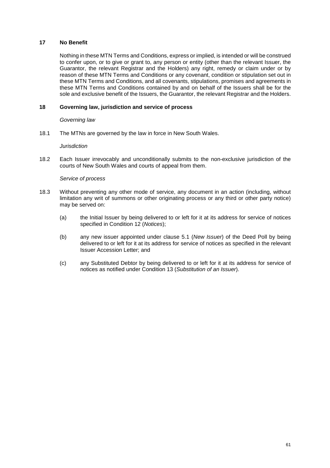## **17 No Benefit**

Nothing in these MTN Terms and Conditions, express or implied, is intended or will be construed to confer upon, or to give or grant to, any person or entity (other than the relevant Issuer, the Guarantor, the relevant Registrar and the Holders) any right, remedy or claim under or by reason of these MTN Terms and Conditions or any covenant, condition or stipulation set out in these MTN Terms and Conditions, and all covenants, stipulations, promises and agreements in these MTN Terms and Conditions contained by and on behalf of the Issuers shall be for the sole and exclusive benefit of the Issuers, the Guarantor, the relevant Registrar and the Holders.

# **18 Governing law, jurisdiction and service of process**

## *Governing law*

18.1 The MTNs are governed by the law in force in New South Wales.

## *Jurisdiction*

18.2 Each Issuer irrevocably and unconditionally submits to the non-exclusive jurisdiction of the courts of New South Wales and courts of appeal from them.

## *Service of process*

- 18.3 Without preventing any other mode of service, any document in an action (including, without limitation any writ of summons or other originating process or any third or other party notice) may be served on:
	- (a) the Initial Issuer by being delivered to or left for it at its address for service of notices specified in Condition 12 (*Notices*);
	- (b) any new issuer appointed under clause 5.1 (*New Issuer*) of the Deed Poll by being delivered to or left for it at its address for service of notices as specified in the relevant Issuer Accession Letter; and
	- (c) any Substituted Debtor by being delivered to or left for it at its address for service of notices as notified under Condition 13 (*Substitution of an Issuer*).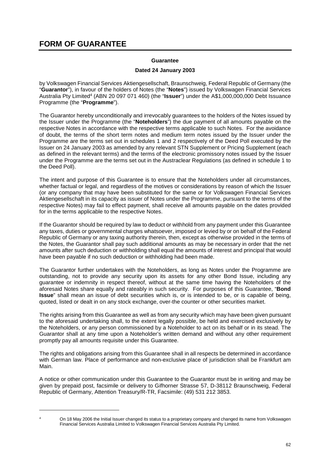# **FORM OF GUARANTEE**

# **Guarantee**

## **Dated 24 January 2003**

by Volkswagen Financial Services Aktiengesellschaft, Braunschweig, Federal Republic of Germany (the "**Guarantor**"), in favour of the holders of Notes (the "**Notes**") issued by Volkswagen Financial Services Australia Pty Limited4 (ABN 20 097 071 460) (the "**Issuer**") under the A\$1,000,000,000 Debt Issuance Programme (the "**Programme**").

The Guarantor hereby unconditionally and irrevocably guarantees to the holders of the Notes issued by the Issuer under the Programme (the "**Noteholders**") the due payment of all amounts payable on the respective Notes in accordance with the respective terms applicable to such Notes. For the avoidance of doubt, the terms of the short term notes and medium term notes issued by the Issuer under the Programme are the terms set out in schedules 1 and 2 respectively of the Deed Poll executed by the Issuer on 24 January 2003 as amended by any relevant STN Supplement or Pricing Supplement (each as defined in the relevant terms) and the terms of the electronic promissory notes issued by the Issuer under the Programme are the terms set out in the Austraclear Regulations (as defined in schedule 1 to the Deed Poll).

The intent and purpose of this Guarantee is to ensure that the Noteholders under all circumstances, whether factual or legal, and regardless of the motives or considerations by reason of which the Issuer (or any company that may have been substituted for the same or for Volkswagen Financial Services Aktiengesellschaft in its capacity as issuer of Notes under the Programme, pursuant to the terms of the respective Notes) may fail to effect payment, shall receive all amounts payable on the dates provided for in the terms applicable to the respective Notes.

If the Guarantor should be required by law to deduct or withhold from any payment under this Guarantee any taxes, duties or governmental charges whatsoever, imposed or levied by or on behalf of the Federal Republic of Germany or any taxing authority therein, then, except as otherwise provided in the terms of the Notes, the Guarantor shall pay such additional amounts as may be necessary in order that the net amounts after such deduction or withholding shall equal the amounts of interest and principal that would have been payable if no such deduction or withholding had been made.

The Guarantor further undertakes with the Noteholders, as long as Notes under the Programme are outstanding, not to provide any security upon its assets for any other Bond Issue, including any guarantee or indemnity in respect thereof, without at the same time having the Noteholders of the aforesaid Notes share equally and rateably in such security. For purposes of this Guarantee, "**Bond Issue**" shall mean an issue of debt securities which is, or is intended to be, or is capable of being, quoted, listed or dealt in on any stock exchange, over-the counter or other securities market.

The rights arising from this Guarantee as well as from any security which may have been given pursuant to the aforesaid undertaking shall, to the extent legally possible, be held and exercised exclusively by the Noteholders, or any person commissioned by a Noteholder to act on its behalf or in its stead. The Guarantor shall at any time upon a Noteholder's written demand and without any other requirement promptly pay all amounts requisite under this Guarantee.

The rights and obligations arising from this Guarantee shall in all respects be determined in accordance with German law. Place of performance and non-exclusive place of jurisdiction shall be Frankfurt am Main.

A notice or other communication under this Guarantee to the Guarantor must be in writing and may be given by prepaid post, facsimile or delivery to Gifhorner Strasse 57, D-38112 Braunschweig, Federal Republic of Germany, Attention Treasury/R-TR, Facsimile: (49) 531 212 3853.

 $\overline{a}$ 4

On 18 May 2006 the Initial Issuer changed its status to a proprietary company and changed its name from Volkswagen Financial Services Australia Limited to Volkswagen Financial Services Australia Pty Limited.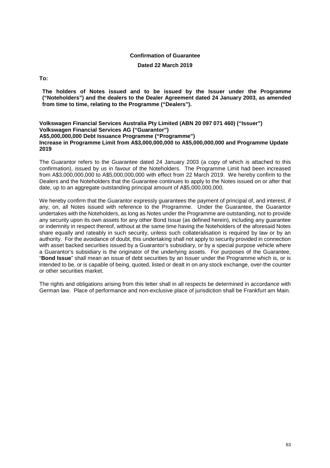# **Confirmation of Guarantee**

#### **Dated 22 March 2019**

**To:** 

**The holders of Notes issued and to be issued by the Issuer under the Programme ("Noteholders") and the dealers to the Dealer Agreement dated 24 January 2003, as amended from time to time, relating to the Programme ("Dealers").** 

#### **Volkswagen Financial Services Australia Pty Limited (ABN 20 097 071 460) ("Issuer") Volkswagen Financial Services AG ("Guarantor") A\$5,000,000,000 Debt Issuance Programme ("Programme") Increase in Programme Limit from A\$3,000,000,000 to A\$5,000,000,000 and Programme Update 2019**

The Guarantor refers to the Guarantee dated 24 January 2003 (a copy of which is attached to this confirmation), issued by us in favour of the Noteholders. The Programme Limit had been increased from A\$3,000,000,000 to A\$5,000,000,000 with effect from 22 March 2019. We hereby confirm to the Dealers and the Noteholders that the Guarantee continues to apply to the Notes issued on or after that date, up to an aggregate outstanding principal amount of A\$5,000,000,000.

We hereby confirm that the Guarantor expressly guarantees the payment of principal of, and interest, if any, on, all Notes issued with reference to the Programme. Under the Guarantee, the Guarantor undertakes with the Noteholders, as long as Notes under the Programme are outstanding, not to provide any security upon its own assets for any other Bond Issue (as defined herein), including any guarantee or indemnity in respect thereof, without at the same time having the Noteholders of the aforesaid Notes share equally and rateably in such security, unless such collateralisation is required by law or by an authority. For the avoidance of doubt, this undertaking shall not apply to security provided in connection with asset backed securities issued by a Guarantor's subsidiary, or by a special purpose vehicle where a Guarantor's subsidiary is the originator of the underlying assets. For purposes of the Guarantee, "**Bond Issue**" shall mean an issue of debt securities by an Issuer under the Programme which is, or is intended to be, or is capable of being, quoted, listed or dealt in on any stock exchange, over-the counter or other securities market.

The rights and obligations arising from this letter shall in all respects be determined in accordance with German law. Place of performance and non-exclusive place of jurisdiction shall be Frankfurt am Main.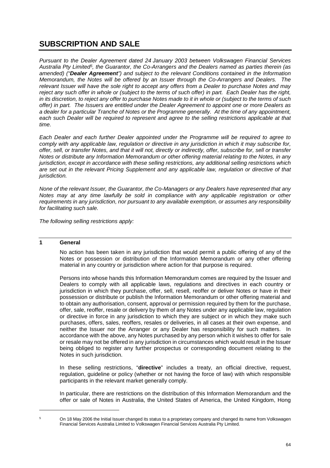# **SUBSCRIPTION AND SALE**

*Pursuant to the Dealer Agreement dated 24 January 2003 between Volkswagen Financial Services Australia Pty Limited5, the Guarantor, the Co-Arrangers and the Dealers named as parties therein (as amended) ("Dealer Agreement") and subject to the relevant Conditions contained in the Information Memorandum, the Notes will be offered by an Issuer through the Co-Arrangers and Dealers. The relevant Issuer will have the sole right to accept any offers from a Dealer to purchase Notes and may reject any such offer in whole or (subject to the terms of such offer) in part. Each Dealer has the right, in its discretion, to reject any offer to purchase Notes made to it in whole or (subject to the terms of such offer) in part. The Issuers are entitled under the Dealer Agreement to appoint one or more Dealers as a dealer for a particular Tranche of Notes or the Programme generally. At the time of any appointment, each such Dealer will be required to represent and agree to the selling restrictions applicable at that time.* 

*Each Dealer and each further Dealer appointed under the Programme will be required to agree to comply with any applicable law, regulation or directive in any jurisdiction in which it may subscribe for, offer, sell, or transfer Notes, and that it will not, directly or indirectly, offer, subscribe for, sell or transfer Notes or distribute any Information Memorandum or other offering material relating to the Notes, in any jurisdiction, except in accordance with these selling restrictions, any additional selling restrictions which are set out in the relevant Pricing Supplement and any applicable law, regulation or directive of that jurisdiction.* 

*None of the relevant Issuer, the Guarantor, the Co-Managers or any Dealers have represented that any Notes may at any time lawfully be sold in compliance with any applicable registration or other requirements in any jurisdiction, nor pursuant to any available exemption, or assumes any responsibility for facilitating such sale.* 

*The following selling restrictions apply:* 

# **1 General**

No action has been taken in any jurisdiction that would permit a public offering of any of the Notes or possession or distribution of the Information Memorandum or any other offering material in any country or jurisdiction where action for that purpose is required.

Persons into whose hands this Information Memorandum comes are required by the Issuer and Dealers to comply with all applicable laws, regulations and directives in each country or jurisdiction in which they purchase, offer, sell, resell, reoffer or deliver Notes or have in their possession or distribute or publish the Information Memorandum or other offering material and to obtain any authorisation, consent, approval or permission required by them for the purchase, offer, sale, reoffer, resale or delivery by them of any Notes under any applicable law, regulation or directive in force in any jurisdiction to which they are subject or in which they make such purchases, offers, sales, reoffers, resales or deliveries, in all cases at their own expense, and neither the Issuer nor the Arranger or any Dealer has responsibility for such matters. In accordance with the above, any Notes purchased by any person which it wishes to offer for sale or resale may not be offered in any jurisdiction in circumstances which would result in the Issuer being obliged to register any further prospectus or corresponding document relating to the Notes in such jurisdiction.

In these selling restrictions, "**directive**" includes a treaty, an official directive, request, regulation, guideline or policy (whether or not having the force of law) with which responsible participants in the relevant market generally comply.

In particular, there are restrictions on the distribution of this Information Memorandum and the offer or sale of Notes in Australia, the United States of America, the United Kingdom, Hong

 $\overline{a}$ 5

On 18 May 2006 the Initial Issuer changed its status to a proprietary company and changed its name from Volkswagen Financial Services Australia Limited to Volkswagen Financial Services Australia Pty Limited.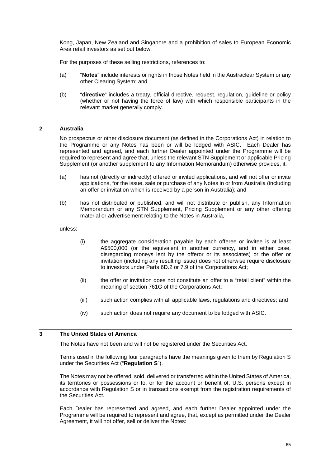Kong, Japan, New Zealand and Singapore and a prohibition of sales to European Economic Area retail investors as set out below.

For the purposes of these selling restrictions, references to:

- (a) "**Notes**" include interests or rights in those Notes held in the Austraclear System or any other Clearing System; and
- (b) "**directive**" includes a treaty, official directive, request, regulation, guideline or policy (whether or not having the force of law) with which responsible participants in the relevant market generally comply.

# **2 Australia**

No prospectus or other disclosure document (as defined in the Corporations Act) in relation to the Programme or any Notes has been or will be lodged with ASIC. Each Dealer has represented and agreed, and each further Dealer appointed under the Programme will be required to represent and agree that, unless the relevant STN Supplement or applicable Pricing Supplement (or another supplement to any Information Memorandum) otherwise provides, it:

- (a) has not (directly or indirectly) offered or invited applications, and will not offer or invite applications, for the issue, sale or purchase of any Notes in or from Australia (including an offer or invitation which is received by a person in Australia); and
- (b) has not distributed or published, and will not distribute or publish, any Information Memorandum or any STN Supplement, Pricing Supplement or any other offering material or advertisement relating to the Notes in Australia,

unless:

- (i) the aggregate consideration payable by each offeree or invitee is at least A\$500,000 (or the equivalent in another currency, and in either case, disregarding moneys lent by the offeror or its associates) or the offer or invitation (including any resulting issue) does not otherwise require disclosure to investors under Parts 6D.2 or 7.9 of the Corporations Act;
- (ii) the offer or invitation does not constitute an offer to a "retail client" within the meaning of section 761G of the Corporations Act;
- (iii) such action complies with all applicable laws, regulations and directives; and
- (iv) such action does not require any document to be lodged with ASIC.

# **3 The United States of America**

The Notes have not been and will not be registered under the Securities Act.

Terms used in the following four paragraphs have the meanings given to them by Regulation S under the Securities Act ("**Regulation S**").

The Notes may not be offered, sold, delivered or transferred within the United States of America, its territories or possessions or to, or for the account or benefit of, U.S. persons except in accordance with Regulation S or in transactions exempt from the registration requirements of the Securities Act.

Each Dealer has represented and agreed, and each further Dealer appointed under the Programme will be required to represent and agree, that, except as permitted under the Dealer Agreement, it will not offer, sell or deliver the Notes: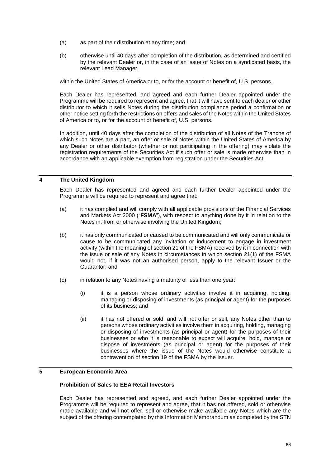- (a) as part of their distribution at any time; and
- (b) otherwise until 40 days after completion of the distribution, as determined and certified by the relevant Dealer or, in the case of an issue of Notes on a syndicated basis, the relevant Lead Manager,

within the United States of America or to, or for the account or benefit of, U.S. persons.

Each Dealer has represented, and agreed and each further Dealer appointed under the Programme will be required to represent and agree, that it will have sent to each dealer or other distributor to which it sells Notes during the distribution compliance period a confirmation or other notice setting forth the restrictions on offers and sales of the Notes within the United States of America or to, or for the account or benefit of, U.S. persons.

In addition, until 40 days after the completion of the distribution of all Notes of the Tranche of which such Notes are a part, an offer or sale of Notes within the United States of America by any Dealer or other distributor (whether or not participating in the offering) may violate the registration requirements of the Securities Act if such offer or sale is made otherwise than in accordance with an applicable exemption from registration under the Securities Act.

# **4 The United Kingdom**

Each Dealer has represented and agreed and each further Dealer appointed under the Programme will be required to represent and agree that:

- (a) it has complied and will comply with all applicable provisions of the Financial Services and Markets Act 2000 ("**FSMA**"), with respect to anything done by it in relation to the Notes in, from or otherwise involving the United Kingdom;
- (b) it has only communicated or caused to be communicated and will only communicate or cause to be communicated any invitation or inducement to engage in investment activity (within the meaning of section 21 of the FSMA) received by it in connection with the issue or sale of any Notes in circumstances in which section 21(1) of the FSMA would not, if it was not an authorised person, apply to the relevant Issuer or the Guarantor; and
- (c) in relation to any Notes having a maturity of less than one year:
	- (i) it is a person whose ordinary activities involve it in acquiring, holding, managing or disposing of investments (as principal or agent) for the purposes of its business; and
	- (ii) it has not offered or sold, and will not offer or sell, any Notes other than to persons whose ordinary activities involve them in acquiring, holding, managing or disposing of investments (as principal or agent) for the purposes of their businesses or who it is reasonable to expect will acquire, hold, manage or dispose of investments (as principal or agent) for the purposes of their businesses where the issue of the Notes would otherwise constitute a contravention of section 19 of the FSMA by the Issuer.

## **5 European Economic Area**

## **Prohibition of Sales to EEA Retail Investors**

Each Dealer has represented and agreed, and each further Dealer appointed under the Programme will be required to represent and agree, that it has not offered, sold or otherwise made available and will not offer, sell or otherwise make available any Notes which are the subject of the offering contemplated by this Information Memorandum as completed by the STN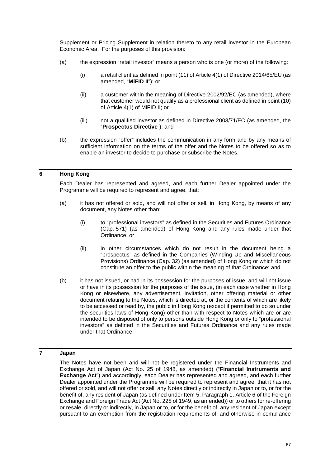Supplement or Pricing Supplement in relation thereto to any retail investor in the European Economic Area. For the purposes of this provision:

- (a) the expression "retail investor" means a person who is one (or more) of the following:
	- (i) a retail client as defined in point (11) of Article 4(1) of Directive 2014/65/EU (as amended, "**MiFID II**"); or
	- (ii) a customer within the meaning of Directive 2002/92/EC (as amended), where that customer would not qualify as a professional client as defined in point (10) of Article 4(1) of MiFID II; or
	- (iii) not a qualified investor as defined in Directive 2003/71/EC (as amended, the "**Prospectus Directive**"); and
- (b) the expression "offer" includes the communication in any form and by any means of sufficient information on the terms of the offer and the Notes to be offered so as to enable an investor to decide to purchase or subscribe the Notes.

# **6 Hong Kong**

Each Dealer has represented and agreed, and each further Dealer appointed under the Programme will be required to represent and agree, that:

- (a) it has not offered or sold, and will not offer or sell, in Hong Kong, by means of any document, any Notes other than:
	- (i) to "professional investors" as defined in the Securities and Futures Ordinance (Cap. 571) (as amended) of Hong Kong and any rules made under that Ordinance; or
	- (ii) in other circumstances which do not result in the document being a "prospectus" as defined in the Companies (Winding Up and Miscellaneous Provisions) Ordinance (Cap. 32) (as amended) of Hong Kong or which do not constitute an offer to the public within the meaning of that Ordinance; and
- (b) it has not issued, or had in its possession for the purposes of issue, and will not issue or have in its possession for the purposes of the issue, (in each case whether in Hong Kong or elsewhere, any advertisement, invitation, other offering material or other document relating to the Notes, which is directed at, or the contents of which are likely to be accessed or read by, the public in Hong Kong (except if permitted to do so under the securities laws of Hong Kong) other than with respect to Notes which are or are intended to be disposed of only to persons outside Hong Kong or only to "professional investors" as defined in the Securities and Futures Ordinance and any rules made under that Ordinance.

# **7 Japan**

The Notes have not been and will not be registered under the Financial Instruments and Exchange Act of Japan (Act No. 25 of 1948, as amended) ("**Financial Instruments and Exchange Act**") and accordingly, each Dealer has represented and agreed, and each further Dealer appointed under the Programme will be required to represent and agree, that it has not offered or sold, and will not offer or sell, any Notes directly or indirectly in Japan or to, or for the benefit of, any resident of Japan (as defined under Item 5, Paragraph 1, Article 6 of the Foreign Exchange and Foreign Trade Act (Act No. 228 of 1949, as amended)) or to others for re-offering or resale, directly or indirectly, in Japan or to, or for the benefit of, any resident of Japan except pursuant to an exemption from the registration requirements of, and otherwise in compliance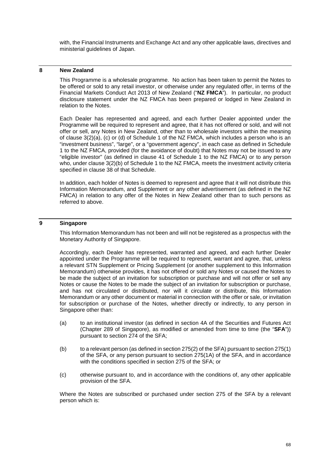with, the Financial Instruments and Exchange Act and any other applicable laws, directives and ministerial guidelines of Japan.

## **8 New Zealand**

This Programme is a wholesale programme. No action has been taken to permit the Notes to be offered or sold to any retail investor, or otherwise under any regulated offer, in terms of the Financial Markets Conduct Act 2013 of New Zealand ("**NZ FMCA**"). In particular, no product disclosure statement under the NZ FMCA has been prepared or lodged in New Zealand in relation to the Notes.

Each Dealer has represented and agreed, and each further Dealer appointed under the Programme will be required to represent and agree, that it has not offered or sold, and will not offer or sell, any Notes in New Zealand, other than to wholesale investors within the meaning of clause 3(2)(a), (c) or (d) of Schedule 1 of the NZ FMCA, which includes a person who is an "investment business", "large", or a "government agency", in each case as defined in Schedule 1 to the NZ FMCA, provided (for the avoidance of doubt) that Notes may not be issued to any "eligible investor" (as defined in clause 41 of Schedule 1 to the NZ FMCA) or to any person who, under clause 3(2)(b) of Schedule 1 to the NZ FMCA, meets the investment activity criteria specified in clause 38 of that Schedule.

In addition, each holder of Notes is deemed to represent and agree that it will not distribute this Information Memorandum, and Supplement or any other advertisement (as defined in the NZ FMCA) in relation to any offer of the Notes in New Zealand other than to such persons as referred to above.

# **9 Singapore**

This Information Memorandum has not been and will not be registered as a prospectus with the Monetary Authority of Singapore.

Accordingly, each Dealer has represented, warranted and agreed, and each further Dealer appointed under the Programme will be required to represent, warrant and agree, that, unless a relevant STN Supplement or Pricing Supplement (or another supplement to this Information Memorandum) otherwise provides, it has not offered or sold any Notes or caused the Notes to be made the subject of an invitation for subscription or purchase and will not offer or sell any Notes or cause the Notes to be made the subject of an invitation for subscription or purchase, and has not circulated or distributed, nor will it circulate or distribute, this Information Memorandum or any other document or material in connection with the offer or sale, or invitation for subscription or purchase of the Notes, whether directly or indirectly, to any person in Singapore other than:

- (a) to an institutional investor (as defined in section 4A of the Securities and Futures Act (Chapter 289 of Singapore), as modified or amended from time to time (the "**SFA**")) pursuant to section 274 of the SFA;
- (b) to a relevant person (as defined in section 275(2) of the SFA) pursuant to section 275(1) of the SFA, or any person pursuant to section 275(1A) of the SFA, and in accordance with the conditions specified in section 275 of the SFA; or
- (c) otherwise pursuant to, and in accordance with the conditions of, any other applicable provision of the SFA.

Where the Notes are subscribed or purchased under section 275 of the SFA by a relevant person which is: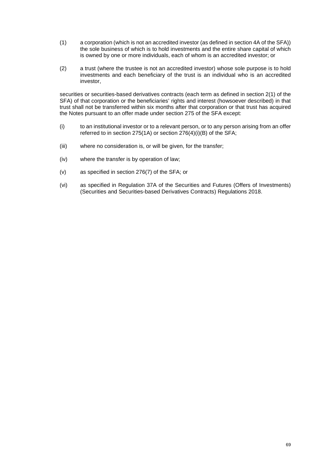- (1) a corporation (which is not an accredited investor (as defined in section 4A of the SFA)) the sole business of which is to hold investments and the entire share capital of which is owned by one or more individuals, each of whom is an accredited investor; or
- (2) a trust (where the trustee is not an accredited investor) whose sole purpose is to hold investments and each beneficiary of the trust is an individual who is an accredited investor,

securities or securities-based derivatives contracts (each term as defined in section 2(1) of the SFA) of that corporation or the beneficiaries' rights and interest (howsoever described) in that trust shall not be transferred within six months after that corporation or that trust has acquired the Notes pursuant to an offer made under section 275 of the SFA except:

- (i) to an institutional investor or to a relevant person, or to any person arising from an offer referred to in section 275(1A) or section 276(4)(i)(B) of the SFA;
- (iii) where no consideration is, or will be given, for the transfer;
- (iv) where the transfer is by operation of law;
- (v) as specified in section 276(7) of the SFA; or
- (vi) as specified in Regulation 37A of the Securities and Futures (Offers of Investments) (Securities and Securities-based Derivatives Contracts) Regulations 2018.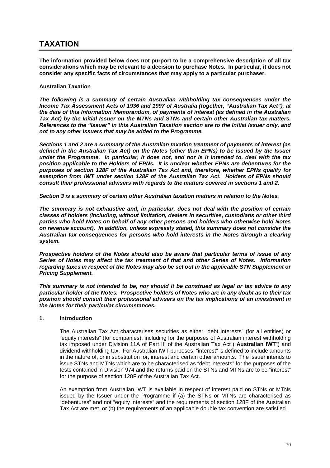# **TAXATION**

**The information provided below does not purport to be a comprehensive description of all tax considerations which may be relevant to a decision to purchase Notes. In particular, it does not consider any specific facts of circumstances that may apply to a particular purchaser.** 

# **Australian Taxation**

*The following is a summary of certain Australian withholding tax consequences under the Income Tax Assessment Acts of 1936 and 1997 of Australia (together, "Australian Tax Act"), at the date of this Information Memorandum, of payments of interest (as defined in the Australian Tax Act) by the Initial Issuer on the MTNs and STNs and certain other Australian tax matters. References to the "Issuer" in this Australian Taxation section are to the Initial Issuer only, and not to any other Issuers that may be added to the Programme.* 

*Sections 1 and 2 are a summary of the Australian taxation treatment of payments of interest (as defined in the Australian Tax Act) on the Notes (other than EPNs) to be issued by the Issuer under the Programme. In particular, it does not, and nor is it intended to, deal with the tax position applicable to the Holders of EPNs. It is unclear whether EPNs are debentures for the purposes of section 128F of the Australian Tax Act and, therefore, whether EPNs qualify for exemption from IWT under section 128F of the Australian Tax Act. Holders of EPNs should consult their professional advisers with regards to the matters covered in sections 1 and 2.* 

*Section 3 is a summary of certain other Australian taxation matters in relation to the Notes.* 

*The summary is not exhaustive and, in particular, does not deal with the position of certain classes of holders (including, without limitation, dealers in securities, custodians or other third parties who hold Notes on behalf of any other persons and holders who otherwise hold Notes on revenue account). In addition, unless expressly stated, this summary does not consider the Australian tax consequences for persons who hold interests in the Notes through a clearing system.* 

*Prospective holders of the Notes should also be aware that particular terms of issue of any Series of Notes may affect the tax treatment of that and other Series of Notes. Information regarding taxes in respect of the Notes may also be set out in the applicable STN Supplement or Pricing Supplement.* 

*This summary is not intended to be, nor should it be construed as legal or tax advice to any particular holder of the Notes. Prospective holders of Notes who are in any doubt as to their tax position should consult their professional advisers on the tax implications of an investment in the Notes for their particular circumstances.* 

## **1. Introduction**

The Australian Tax Act characterises securities as either "debt interests" (for all entities) or "equity interests" (for companies), including for the purposes of Australian interest withholding tax imposed under Division 11A of Part III of the Australian Tax Act ("**Australian IWT**") and dividend withholding tax. For Australian IWT purposes, "interest" is defined to include amounts in the nature of, or in substitution for, interest and certain other amounts. The Issuer intends to issue STNs and MTNs which are to be characterised as "debt interests" for the purposes of the tests contained in Division 974 and the returns paid on the STNs and MTNs are to be "interest" for the purpose of section 128F of the Australian Tax Act.

An exemption from Australian IWT is available in respect of interest paid on STNs or MTNs issued by the Issuer under the Programme if (a) the STNs or MTNs are characterised as "debentures" and not "equity interests" and the requirements of section 128F of the Australian Tax Act are met, or (b) the requirements of an applicable double tax convention are satisfied.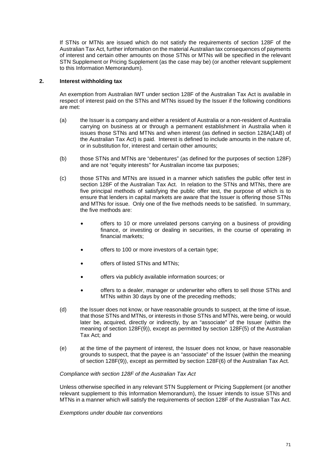If STNs or MTNs are issued which do not satisfy the requirements of section 128F of the Australian Tax Act, further information on the material Australian tax consequences of payments of interest and certain other amounts on those STNs or MTNs will be specified in the relevant STN Supplement or Pricing Supplement (as the case may be) (or another relevant supplement to this Information Memorandum).

## **2. Interest withholding tax**

An exemption from Australian IWT under section 128F of the Australian Tax Act is available in respect of interest paid on the STNs and MTNs issued by the Issuer if the following conditions are met:

- (a) the Issuer is a company and either a resident of Australia or a non-resident of Australia carrying on business at or through a permanent establishment in Australia when it issues those STNs and MTNs and when interest (as defined in section 128A(1AB) of the Australian Tax Act) is paid. Interest is defined to include amounts in the nature of, or in substitution for, interest and certain other amounts;
- (b) those STNs and MTNs are "debentures" (as defined for the purposes of section 128F) and are not "equity interests" for Australian income tax purposes;
- (c) those STNs and MTNs are issued in a manner which satisfies the public offer test in section 128F of the Australian Tax Act. In relation to the STNs and MTNs, there are five principal methods of satisfying the public offer test, the purpose of which is to ensure that lenders in capital markets are aware that the Issuer is offering those STNs and MTNs for issue. Only one of the five methods needs to be satisfied. In summary, the five methods are:
	- offers to 10 or more unrelated persons carrying on a business of providing finance, or investing or dealing in securities, in the course of operating in financial markets;
	- offers to 100 or more investors of a certain type;
	- offers of listed STNs and MTNs;
	- offers via publicly available information sources; or
	- offers to a dealer, manager or underwriter who offers to sell those STNs and MTNs within 30 days by one of the preceding methods;
- (d) the Issuer does not know, or have reasonable grounds to suspect, at the time of issue, that those STNs and MTNs, or interests in those STNs and MTNs, were being, or would later be, acquired, directly or indirectly, by an "associate" of the Issuer (within the meaning of section 128F(9)), except as permitted by section 128F(5) of the Australian Tax Act; and
- (e) at the time of the payment of interest, the Issuer does not know, or have reasonable grounds to suspect, that the payee is an "associate" of the Issuer (within the meaning of section 128F(9)), except as permitted by section 128F(6) of the Australian Tax Act.

## *Compliance with section 128F of the Australian Tax Act*

Unless otherwise specified in any relevant STN Supplement or Pricing Supplement (or another relevant supplement to this Information Memorandum), the Issuer intends to issue STNs and MTNs in a manner which will satisfy the requirements of section 128F of the Australian Tax Act.

*Exemptions under double tax conventions*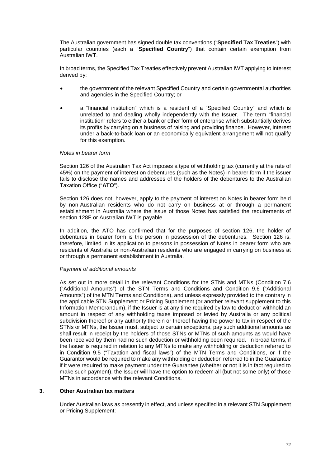The Australian government has signed double tax conventions ("**Specified Tax Treaties**") with particular countries (each a "**Specified Country**") that contain certain exemption from Australian IWT.

In broad terms, the Specified Tax Treaties effectively prevent Australian IWT applying to interest derived by:

- the government of the relevant Specified Country and certain governmental authorities and agencies in the Specified Country; or
- a "financial institution" which is a resident of a "Specified Country" and which is unrelated to and dealing wholly independently with the Issuer. The term "financial institution" refers to either a bank or other form of enterprise which substantially derives its profits by carrying on a business of raising and providing finance. However, interest under a back-to-back loan or an economically equivalent arrangement will not qualify for this exemption.

# *Notes in bearer form*

Section 126 of the Australian Tax Act imposes a type of withholding tax (currently at the rate of 45%) on the payment of interest on debentures (such as the Notes) in bearer form if the issuer fails to disclose the names and addresses of the holders of the debentures to the Australian Taxation Office ("**ATO**").

Section 126 does not, however, apply to the payment of interest on Notes in bearer form held by non-Australian residents who do not carry on business at or through a permanent establishment in Australia where the issue of those Notes has satisfied the requirements of section 128F or Australian IWT is payable.

In addition, the ATO has confirmed that for the purposes of section 126, the holder of debentures in bearer form is the person in possession of the debentures. Section 126 is, therefore, limited in its application to persons in possession of Notes in bearer form who are residents of Australia or non-Australian residents who are engaged in carrying on business at or through a permanent establishment in Australia.

# *Payment of additional amounts*

As set out in more detail in the relevant Conditions for the STNs and MTNs (Condition 7.6 ("Additional Amounts") of the STN Terms and Conditions and Condition 9.6 ("Additional Amounts") of the MTN Terms and Conditions), and unless expressly provided to the contrary in the applicable STN Supplement or Pricing Supplement (or another relevant supplement to this Information Memorandum), if the Issuer is at any time required by law to deduct or withhold an amount in respect of any withholding taxes imposed or levied by Australia or any political subdivision thereof or any authority therein or thereof having the power to tax in respect of the STNs or MTNs, the Issuer must, subject to certain exceptions, pay such additional amounts as shall result in receipt by the holders of those STNs or MTNs of such amounts as would have been received by them had no such deduction or withholding been required. In broad terms, if the Issuer is required in relation to any MTNs to make any withholding or deduction referred to in Condition 9.5 ("Taxation and fiscal laws") of the MTN Terms and Conditions, or if the Guarantor would be required to make any withholding or deduction referred to in the Guarantee if it were required to make payment under the Guarantee (whether or not it is in fact required to make such payment), the Issuer will have the option to redeem all (but not some only) of those MTNs in accordance with the relevant Conditions.

### **3. Other Australian tax matters**

Under Australian laws as presently in effect, and unless specified in a relevant STN Supplement or Pricing Supplement: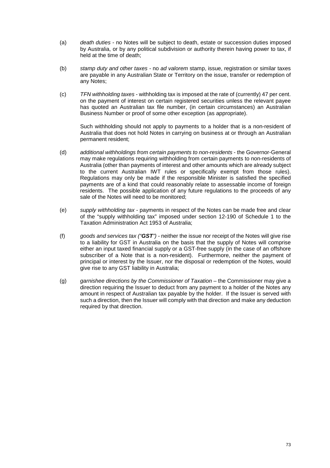- (a) *death duties* no Notes will be subject to death, estate or succession duties imposed by Australia, or by any political subdivision or authority therein having power to tax, if held at the time of death;
- (b) *stamp duty and other taxes* no *ad valorem* stamp, issue, registration or similar taxes are payable in any Australian State or Territory on the issue, transfer or redemption of any Notes;
- (c) *TFN withholding taxes* withholding tax is imposed at the rate of (currently) 47 per cent. on the payment of interest on certain registered securities unless the relevant payee has quoted an Australian tax file number, (in certain circumstances) an Australian Business Number or proof of some other exception (as appropriate).

Such withholding should not apply to payments to a holder that is a non-resident of Australia that does not hold Notes in carrying on business at or through an Australian permanent resident;

- (d) *additional withholdings from certain payments to non-residents*  the Governor-General may make regulations requiring withholding from certain payments to non-residents of Australia (other than payments of interest and other amounts which are already subject to the current Australian IWT rules or specifically exempt from those rules). Regulations may only be made if the responsible Minister is satisfied the specified payments are of a kind that could reasonably relate to assessable income of foreign residents. The possible application of any future regulations to the proceeds of any sale of the Notes will need to be monitored;
- (e) *supply withholding tax* payments in respect of the Notes can be made free and clear of the "supply withholding tax" imposed under section 12-190 of Schedule 1 to the Taxation Administration Act 1953 of Australia;
- (f) *goods and services tax ("GST")* neither the issue nor receipt of the Notes will give rise to a liability for GST in Australia on the basis that the supply of Notes will comprise either an input taxed financial supply or a GST-free supply (in the case of an offshore subscriber of a Note that is a non-resident). Furthermore, neither the payment of principal or interest by the Issuer, nor the disposal or redemption of the Notes, would give rise to any GST liability in Australia;
- (g) *garnishee directions by the Commissioner of Taxation* the Commissioner may give a direction requiring the Issuer to deduct from any payment to a holder of the Notes any amount in respect of Australian tax payable by the holder. If the Issuer is served with such a direction, then the Issuer will comply with that direction and make any deduction required by that direction.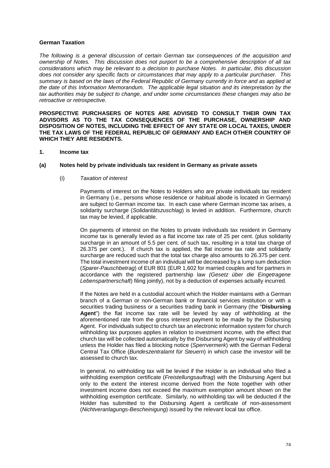# **German Taxation**

*The following is a general discussion of certain German tax consequences of the acquisition and ownership of Notes. This discussion does not purport to be a comprehensive description of all tax considerations which may be relevant to a decision to purchase Notes. In particular, this discussion does not consider any specific facts or circumstances that may apply to a particular purchaser. This summary is based on the laws of the Federal Republic of Germany currently in force and as applied at the date of this Information Memorandum. The applicable legal situation and its interpretation by the tax authorities may be subject to change, and under some circumstances these changes may also be retroactive or retrospective.* 

**PROSPECTIVE PURCHASERS OF NOTES ARE ADVISED TO CONSULT THEIR OWN TAX ADVISORS AS TO THE TAX CONSEQUENCES OF THE PURCHASE, OWNERSHIP AND DISPOSITION OF NOTES, INCLUDING THE EFFECT OF ANY STATE OR LOCAL TAXES, UNDER THE TAX LAWS OF THE FEDERAL REPUBLIC OF GERMANY AND EACH OTHER COUNTRY OF WHICH THEY ARE RESIDENTS.** 

### **1. Income tax**

# **(a) Notes held by private individuals tax resident in Germany as private assets**

### (i) *Taxation of interest*

Payments of interest on the Notes to Holders who are private individuals tax resident in Germany (i.e., persons whose residence or habitual abode is located in Germany) are subject to German income tax. In each case where German income tax arises, a solidarity surcharge (*Solidaritätszuschlag*) is levied in addition. Furthermore, church tax may be levied, if applicable.

On payments of interest on the Notes to private individuals tax resident in Germany income tax is generally levied as a flat income tax rate of 25 per cent. (plus solidarity surcharge in an amount of 5.5 per cent. of such tax, resulting in a total tax charge of 26.375 per cent.). If church tax is applied, the flat income tax rate and solidarity surcharge are reduced such that the total tax charge also amounts to 26.375 per cent. The total investment income of an individual will be decreased by a lump sum deduction (*Sparer-Pauschbetrag*) of EUR 801 (EUR 1,602 for married couples and for partners in accordance with the registered partnership law *(Gesetz über die Eingetragene Lebenspartnerschaft*) filing jointly), not by a deduction of expenses actually incurred.

If the Notes are held in a custodial account which the Holder maintains with a German branch of a German or non-German bank or financial services institution or with a securities trading business or a securities trading bank in Germany (the "**Disbursing Agent**") the flat income tax rate will be levied by way of withholding at the aforementioned rate from the gross interest payment to be made by the Disbursing Agent. For individuals subject to church tax an electronic information system for church withholding tax purposes applies in relation to investment income, with the effect that church tax will be collected automatically by the Disbursing Agent by way of withholding unless the Holder has filed a blocking notice (*Sperrvermerk*) with the German Federal Central Tax Office (*Bundeszentralamt für Steuern*) in which case the investor will be assessed to church tax.

In general, no withholding tax will be levied if the Holder is an individual who filed a withholding exemption certificate (*Freistellungsauftrag*) with the Disbursing Agent but only to the extent the interest income derived from the Note together with other investment income does not exceed the maximum exemption amount shown on the withholding exemption certificate. Similarly, no withholding tax will be deducted if the Holder has submitted to the Disbursing Agent a certificate of non-assessment (*Nichtveranlagungs-Bescheinigung*) issued by the relevant local tax office.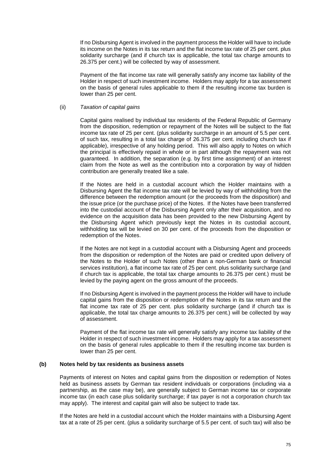If no Disbursing Agent is involved in the payment process the Holder will have to include its income on the Notes in its tax return and the flat income tax rate of 25 per cent. plus solidarity surcharge (and if church tax is applicable, the total tax charge amounts to 26.375 per cent.) will be collected by way of assessment.

Payment of the flat income tax rate will generally satisfy any income tax liability of the Holder in respect of such investment income. Holders may apply for a tax assessment on the basis of general rules applicable to them if the resulting income tax burden is lower than 25 per cent.

# (ii) *Taxation of capital gains*

Capital gains realised by individual tax residents of the Federal Republic of Germany from the disposition, redemption or repayment of the Notes will be subject to the flat income tax rate of 25 per cent. (plus solidarity surcharge in an amount of 5.5 per cent. of such tax, resulting in a total tax charge of 26.375 per cent. including church tax if applicable), irrespective of any holding period. This will also apply to Notes on which the principal is effectively repaid in whole or in part although the repayment was not guaranteed. In addition, the separation (e.g. by first time assignment) of an interest claim from the Note as well as the contribution into a corporation by way of hidden contribution are generally treated like a sale.

If the Notes are held in a custodial account which the Holder maintains with a Disbursing Agent the flat income tax rate will be levied by way of withholding from the difference between the redemption amount (or the proceeds from the disposition) and the issue price (or the purchase price) of the Notes. If the Notes have been transferred into the custodial account of the Disbursing Agent only after their acquisition, and no evidence on the acquisition data has been provided to the new Disbursing Agent by the Disbursing Agent which previously kept the Notes in its custodial account, withholding tax will be levied on 30 per cent. of the proceeds from the disposition or redemption of the Notes.

If the Notes are not kept in a custodial account with a Disbursing Agent and proceeds from the disposition or redemption of the Notes are paid or credited upon delivery of the Notes to the Holder of such Notes (other than a non-German bank or financial services institution), a flat income tax rate of 25 per cent. plus solidarity surcharge (and if church tax is applicable, the total tax charge amounts to 26.375 per cent.) must be levied by the paying agent on the gross amount of the proceeds.

If no Disbursing Agent is involved in the payment process the Holder will have to include capital gains from the disposition or redemption of the Notes in its tax return and the flat income tax rate of 25 per cent. plus solidarity surcharge (and if church tax is applicable, the total tax charge amounts to 26.375 per cent.) will be collected by way of assessment.

Payment of the flat income tax rate will generally satisfy any income tax liability of the Holder in respect of such investment income. Holders may apply for a tax assessment on the basis of general rules applicable to them if the resulting income tax burden is lower than 25 per cent.

### **(b) Notes held by tax residents as business assets**

Payments of interest on Notes and capital gains from the disposition or redemption of Notes held as business assets by German tax resident individuals or corporations (including via a partnership, as the case may be), are generally subject to German income tax or corporate income tax (in each case plus solidarity surcharge; if tax payer is not a corporation church tax may apply). The interest and capital gain will also be subject to trade tax.

If the Notes are held in a custodial account which the Holder maintains with a Disbursing Agent tax at a rate of 25 per cent. (plus a solidarity surcharge of 5.5 per cent. of such tax) will also be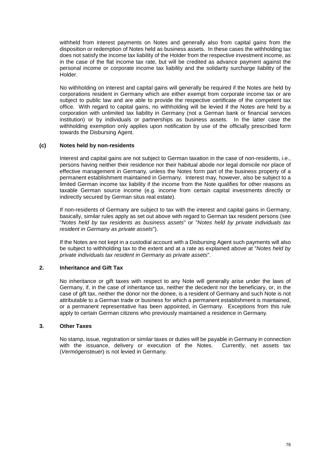withheld from interest payments on Notes and generally also from capital gains from the disposition or redemption of Notes held as business assets. In these cases the withholding tax does not satisfy the income tax liability of the Holder from the respective investment income, as in the case of the flat income tax rate, but will be credited as advance payment against the personal income or corporate income tax liability and the solidarity surcharge liability of the Holder.

No withholding on interest and capital gains will generally be required if the Notes are held by corporations resident in Germany which are either exempt from corporate income tax or are subject to public law and are able to provide the respective certificate of the competent tax office. With regard to capital gains, no withholding will be levied if the Notes are held by a corporation with unlimited tax liability in Germany (not a German bank or financial services institution) or by individuals or partnerships as business assets. In the latter case the withholding exemption only applies upon notification by use of the officially prescribed form towards the Disbursing Agent.

# **(c) Notes held by non-residents**

Interest and capital gains are not subject to German taxation in the case of non-residents, *i.e.*, persons having neither their residence nor their habitual abode nor legal domicile nor place of effective management in Germany, unless the Notes form part of the business property of a permanent establishment maintained in Germany. Interest may, however, also be subject to a limited German income tax liability if the income from the Note qualifies for other reasons as taxable German source income (e.g. income from certain capital investments directly or indirectly secured by German situs real estate).

If non-residents of Germany are subject to tax with the interest and capital gains in Germany, basically, similar rules apply as set out above with regard to German tax resident persons (see "*Notes held by tax residents as business assets*" or "*Notes held by private individuals tax resident in Germany as private assets*").

If the Notes are not kept in a custodial account with a Disbursing Agent such payments will also be subject to withholding tax to the extent and at a rate as explained above at "*Notes held by private individuals tax resident in Germany as private assets*".

# **2. Inheritance and Gift Tax**

No inheritance or gift taxes with respect to any Note will generally arise under the laws of Germany, if, in the case of inheritance tax, neither the decedent nor the beneficiary, or, in the case of gift tax, neither the donor nor the donee, is a resident of Germany and such Note is not attributable to a German trade or business for which a permanent establishment is maintained, or a permanent representative has been appointed, in Germany. Exceptions from this rule apply to certain German citizens who previously maintained a residence in Germany.

# **3. Other Taxes**

No stamp, issue, registration or similar taxes or duties will be payable in Germany in connection with the issuance, delivery or execution of the Notes. Currently, net assets tax (*Vermögensteuer*) is not levied in Germany.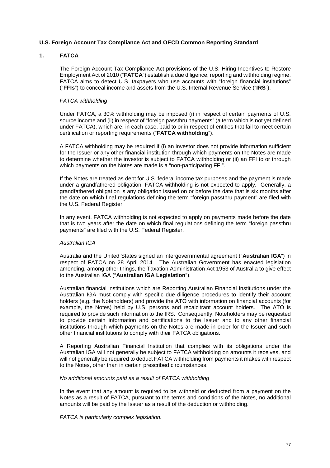# **U.S. Foreign Account Tax Compliance Act and OECD Common Reporting Standard**

# **1. FATCA**

The Foreign Account Tax Compliance Act provisions of the U.S. Hiring Incentives to Restore Employment Act of 2010 ("**FATCA**") establish a due diligence, reporting and withholding regime. FATCA aims to detect U.S. taxpayers who use accounts with "foreign financial institutions" ("**FFIs**") to conceal income and assets from the U.S. Internal Revenue Service ("**IRS**").

## *FATCA withholding*

Under FATCA, a 30% withholding may be imposed (i) in respect of certain payments of U.S. source income and (ii) in respect of "foreign passthru payments" (a term which is not yet defined under FATCA), which are, in each case, paid to or in respect of entities that fail to meet certain certification or reporting requirements ("**FATCA withholding**").

A FATCA withholding may be required if (i) an investor does not provide information sufficient for the Issuer or any other financial institution through which payments on the Notes are made to determine whether the investor is subject to FATCA withholding or (ii) an FFI to or through which payments on the Notes are made is a "non-participating FFI".

If the Notes are treated as debt for U.S. federal income tax purposes and the payment is made under a grandfathered obligation, FATCA withholding is not expected to apply. Generally, a grandfathered obligation is any obligation issued on or before the date that is six months after the date on which final regulations defining the term "foreign passthru payment" are filed with the U.S. Federal Register.

In any event, FATCA withholding is not expected to apply on payments made before the date that is two years after the date on which final regulations defining the term "foreign passthru payments" are filed with the U.S. Federal Register.

### *Australian IGA*

Australia and the United States signed an intergovernmental agreement ("**Australian IGA**") in respect of FATCA on 28 April 2014. The Australian Government has enacted legislation amending, among other things, the Taxation Administration Act 1953 of Australia to give effect to the Australian IGA ("**Australian IGA Legislation**").

Australian financial institutions which are Reporting Australian Financial Institutions under the Australian IGA must comply with specific due diligence procedures to identify their account holders (e.g. the Noteholders) and provide the ATO with information on financial accounts (for example, the Notes) held by U.S. persons and recalcitrant account holders. The ATO is required to provide such information to the IRS. Consequently, Noteholders may be requested to provide certain information and certifications to the Issuer and to any other financial institutions through which payments on the Notes are made in order for the Issuer and such other financial institutions to comply with their FATCA obligations.

A Reporting Australian Financial Institution that complies with its obligations under the Australian IGA will not generally be subject to FATCA withholding on amounts it receives, and will not generally be required to deduct FATCA withholding from payments it makes with respect to the Notes, other than in certain prescribed circumstances.

### *No additional amounts paid as a result of FATCA withholding*

In the event that any amount is required to be withheld or deducted from a payment on the Notes as a result of FATCA, pursuant to the terms and conditions of the Notes, no additional amounts will be paid by the Issuer as a result of the deduction or withholding.

*FATCA is particularly complex legislation.*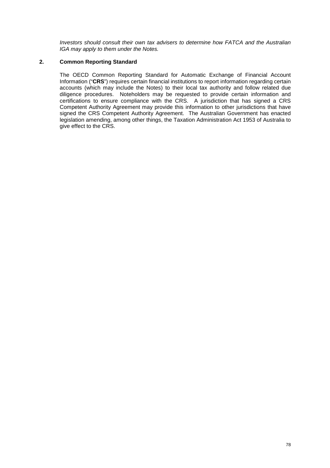*Investors should consult their own tax advisers to determine how FATCA and the Australian IGA may apply to them under the Notes.* 

# **2. Common Reporting Standard**

The OECD Common Reporting Standard for Automatic Exchange of Financial Account Information ("**CRS**") requires certain financial institutions to report information regarding certain accounts (which may include the Notes) to their local tax authority and follow related due diligence procedures. Noteholders may be requested to provide certain information and certifications to ensure compliance with the CRS. A jurisdiction that has signed a CRS Competent Authority Agreement may provide this information to other jurisdictions that have signed the CRS Competent Authority Agreement. The Australian Government has enacted legislation amending, among other things, the Taxation Administration Act 1953 of Australia to give effect to the CRS.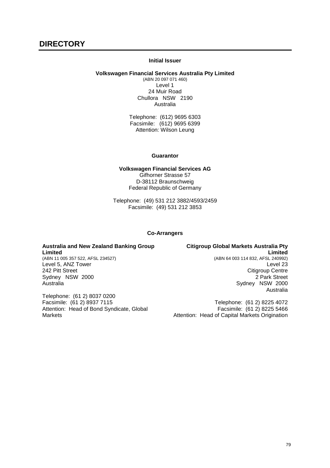## **Initial Issuer**

#### **Volkswagen Financial Services Australia Pty Limited**

(ABN 20 097 071 460) Level 1 24 Muir Road Chullora NSW 2190 Australia

Telephone: (612) 9695 6303 Facsimile: (612) 9695 6399 Attention: Wilson Leung

#### **Guarantor**

**Volkswagen Financial Services AG**  Gifhorner Strasse 57 D-38112 Braunschweig Federal Republic of Germany

Telephone: (49) 531 212 3882/4593/2459 Facsimile: (49) 531 212 3853

#### **Co-Arrangers**

**Australia and New Zealand Banking Group Limited**  (ABN 11 005 357 522, AFSL 234527) Level 5, ANZ Tower 242 Pitt Street Sydney NSW 2000 Australia

Telephone: (61 2) 8037 0200 Facsimile: (61 2) 8937 7115 Attention: Head of Bond Syndicate, Global Markets

**Citigroup Global Markets Australia Pty Limited** (ABN 64 003 114 832, AFSL 240992) Level 23 Citigroup Centre 2 Park Street Sydney NSW 2000 Australia

Telephone: (61 2) 8225 4072 Facsimile: (61 2) 8225 5466 Attention: Head of Capital Markets Origination